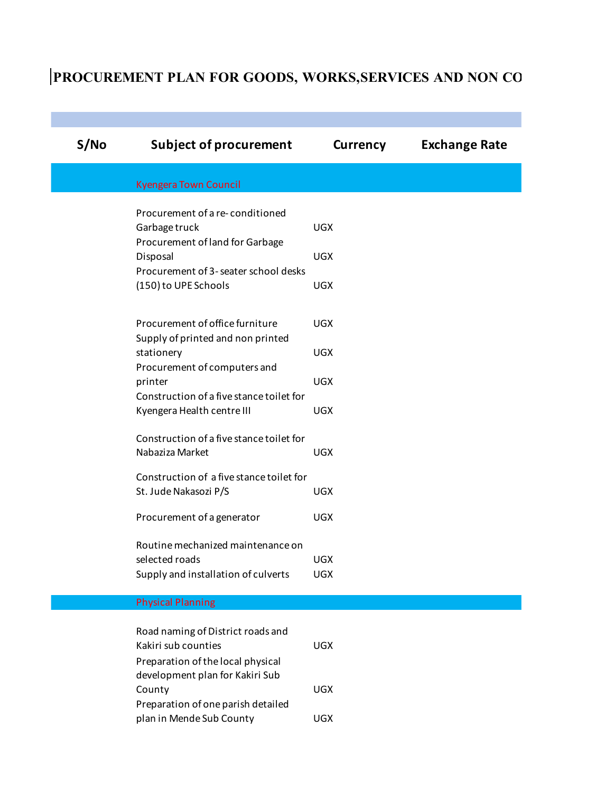# PROCUREMENT PLAN FOR GOODS, WORKS,SERVICES AND NON CO

| S/No | <b>Subject of procurement</b>                                        | <b>Currency</b>          | <b>Exchange Rate</b> |
|------|----------------------------------------------------------------------|--------------------------|----------------------|
|      | <b>Kyengera Town Council</b>                                         |                          |                      |
|      | Procurement of a re-conditioned                                      |                          |                      |
|      | Garbage truck                                                        | <b>UGX</b>               |                      |
|      | Procurement of land for Garbage                                      |                          |                      |
|      | Disposal<br>Procurement of 3- seater school desks                    | <b>UGX</b>               |                      |
|      | (150) to UPE Schools                                                 | <b>UGX</b>               |                      |
|      |                                                                      |                          |                      |
|      | Procurement of office furniture<br>Supply of printed and non printed | <b>UGX</b>               |                      |
|      | stationery                                                           | <b>UGX</b>               |                      |
|      | Procurement of computers and<br>printer                              | <b>UGX</b>               |                      |
|      | Construction of a five stance toilet for                             |                          |                      |
|      | Kyengera Health centre III                                           | <b>UGX</b>               |                      |
|      | Construction of a five stance toilet for                             |                          |                      |
|      | Nabaziza Market                                                      | <b>UGX</b>               |                      |
|      | Construction of a five stance toilet for                             |                          |                      |
|      | St. Jude Nakasozi P/S                                                | <b>UGX</b>               |                      |
|      | Procurement of a generator                                           | <b>UGX</b>               |                      |
|      | Routine mechanized maintenance on                                    |                          |                      |
|      | selected roads<br>Supply and installation of culverts                | <b>UGX</b><br><b>UGX</b> |                      |
|      |                                                                      |                          |                      |
|      | <b>Physical Planning</b>                                             |                          |                      |
|      | Road naming of District roads and                                    |                          |                      |
|      | Kakiri sub counties                                                  | <b>UGX</b>               |                      |
|      | Preparation of the local physical<br>development plan for Kakiri Sub |                          |                      |
|      | County                                                               | <b>UGX</b>               |                      |

Preparation of one parish detailed

plan in Mende Sub County **UGX**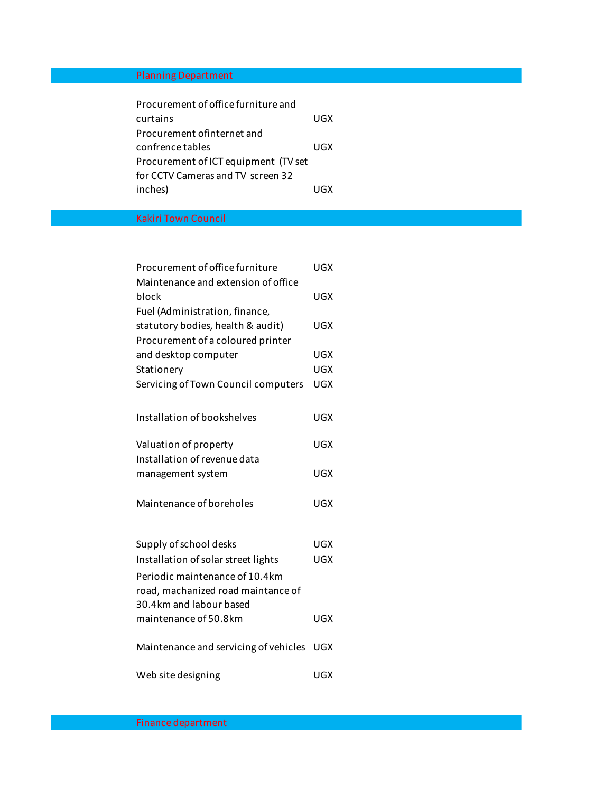## Planning Department

| Procurement of office furniture and  |     |
|--------------------------------------|-----|
| curtains                             | UGX |
| Procurement ofinternet and           |     |
| confrence tables                     | UGX |
| Procurement of ICT equipment (TV set |     |
| for CCTV Cameras and TV screen 32    |     |
| inches)                              | UGX |
|                                      |     |

## Kakiri Town Council

| Procurement of office furniture                                                                 | <b>UGX</b> |
|-------------------------------------------------------------------------------------------------|------------|
| Maintenance and extension of office                                                             |            |
| block                                                                                           | UGX        |
| Fuel (Administration, finance,                                                                  |            |
| statutory bodies, health & audit)                                                               | UGX        |
| Procurement of a coloured printer                                                               |            |
| and desktop computer                                                                            | <b>UGX</b> |
| Stationery                                                                                      | <b>UGX</b> |
| Servicing of Town Council computers                                                             | <b>UGX</b> |
| Installation of bookshelves                                                                     | UGX        |
| Valuation of property                                                                           | <b>UGX</b> |
| Installation of revenue data                                                                    |            |
| management system                                                                               | <b>UGX</b> |
| Maintenance of boreholes                                                                        | UGX        |
| Supply of school desks                                                                          | <b>UGX</b> |
| Installation of solar street lights                                                             | <b>UGX</b> |
| Periodic maintenance of 10.4km<br>road, machanized road maintance of<br>30.4km and labour based |            |
| maintenance of 50.8km                                                                           | <b>UGX</b> |
| Maintenance and servicing of vehicles                                                           | UGX        |
| Web site designing                                                                              | <b>UGX</b> |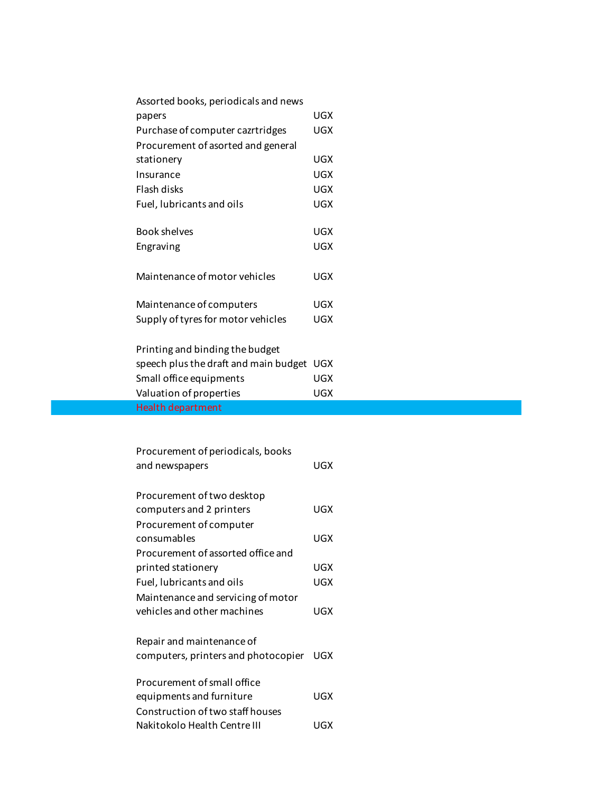| Assorted books, periodicals and news  |            |
|---------------------------------------|------------|
| papers                                | UGX        |
| Purchase of computer cazrtridges      | UGX        |
| Procurement of asorted and general    |            |
| stationery                            | UGX        |
| Insurance                             | UGX        |
| <b>Flash disks</b>                    | <b>UGX</b> |
| Fuel, lubricants and oils             | <b>UGX</b> |
|                                       |            |
| <b>Book shelves</b>                   | UGX        |
| Engraving                             | UGX        |
|                                       |            |
| Maintenance of motor vehicles         | UGX        |
|                                       |            |
| Maintenance of computers              | UGX        |
| Supply of tyres for motor vehicles    | UGX        |
|                                       |            |
| Printing and binding the budget       |            |
| speech plus the draft and main budget | UGX        |
| Small office equipments               | <b>UGX</b> |
| Valuation of properties               | UGX        |
| <b>Health department</b>              |            |

| Procurement of periodicals, books   |     |
|-------------------------------------|-----|
| and newspapers                      | UGX |
|                                     |     |
| Procurement of two desktop          |     |
| computers and 2 printers            | UGX |
| Procurement of computer             |     |
| consumables                         | UGX |
| Procurement of assorted office and  |     |
| printed stationery                  | UGX |
| Fuel, lubricants and oils           | UGX |
| Maintenance and servicing of motor  |     |
| vehicles and other machines         | UGX |
|                                     |     |
| Repair and maintenance of           |     |
| computers, printers and photocopier | UGX |
|                                     |     |
| Procurement of small office         |     |
| equipments and furniture            | UGX |
| Construction of two staff houses    |     |
| Nakitokolo Health Centre III        | UGX |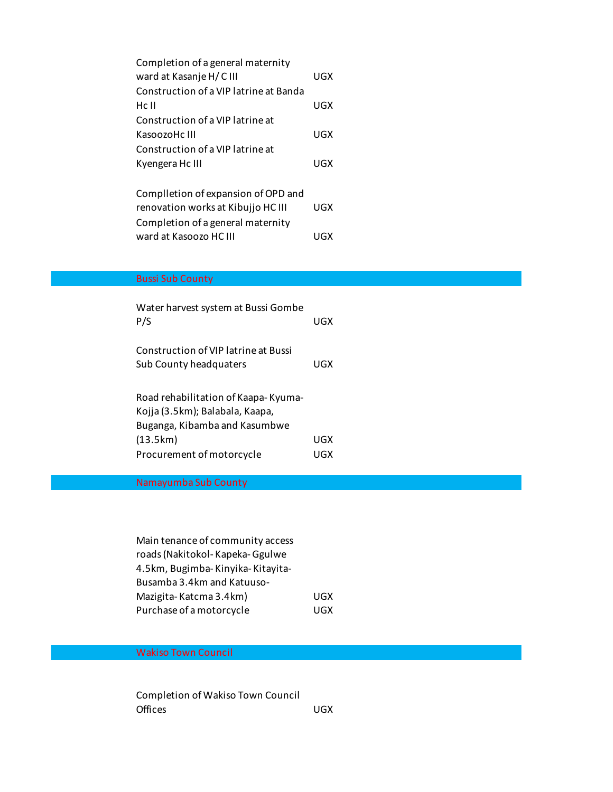| Completion of a general maternity<br>ward at Kasanje H/C III | UGX |
|--------------------------------------------------------------|-----|
| Construction of a VIP latrine at Banda                       |     |
| Hc II                                                        | UGX |
| Construction of a VIP latrine at                             |     |
| KasoozoHc III                                                | UGX |
| Construction of a VIP latrine at                             |     |
| Kyengera Hc III                                              | มดx |
|                                                              |     |
| Complletion of expansion of OPD and                          |     |
| renovation works at Kibujjo HC III                           | มดx |
| Completion of a general maternity                            |     |
| ward at Kasoozo HC III                                       | UGX |

## Bussi Sub County

| UGX |
|-----|
| UGX |
|     |
| UGX |
| UGX |
|     |

Namayumba Sub County

| Main tenance of community access |     |
|----------------------------------|-----|
| roads (Nakitokol-Kapeka-Ggulwe   |     |
| 4.5km, Bugimba-Kinyika-Kitayita- |     |
| Busamba 3.4km and Katuuso-       |     |
| Mazigita-Katcma 3.4km)           | UGX |
| Purchase of a motorcycle         | UGX |

### Wakiso Town Council

Completion of Wakiso Town Council Offices UGX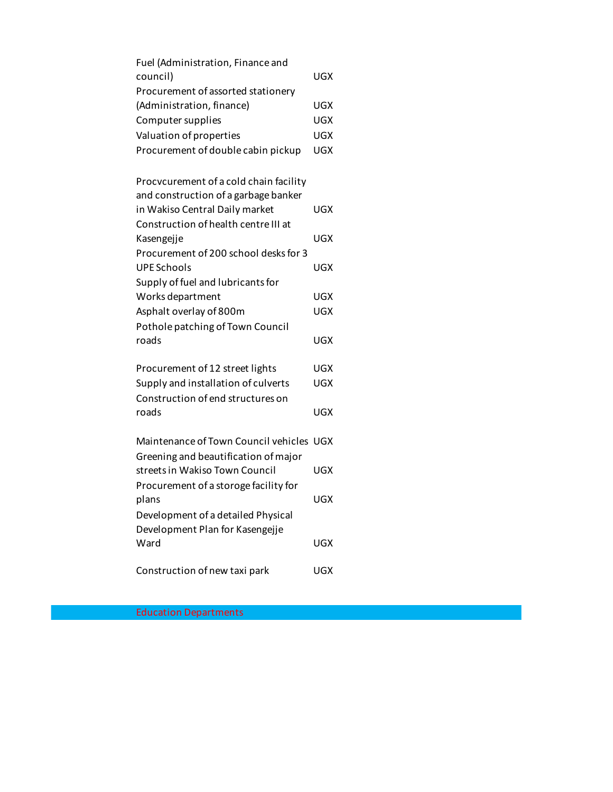| Fuel (Administration, Finance and                                     |            |
|-----------------------------------------------------------------------|------------|
| council)                                                              | UGX        |
| Procurement of assorted stationery                                    |            |
| (Administration, finance)                                             | UGX        |
| Computer supplies                                                     | <b>UGX</b> |
| Valuation of properties                                               | <b>UGX</b> |
| Procurement of double cabin pickup                                    | <b>UGX</b> |
| Procvcurement of a cold chain facility                                |            |
| and construction of a garbage banker                                  |            |
| in Wakiso Central Daily market                                        | UGX        |
| Construction of health centre III at                                  |            |
| Kasengejje                                                            | UGX        |
| Procurement of 200 school desks for 3                                 |            |
| <b>UPE Schools</b>                                                    | UGX        |
| Supply of fuel and lubricants for                                     |            |
| Works department                                                      | UGX        |
| Asphalt overlay of 800m                                               | <b>UGX</b> |
| Pothole patching of Town Council                                      |            |
| roads                                                                 | UGX        |
| Procurement of 12 street lights                                       | UGX        |
| Supply and installation of culverts                                   | <b>UGX</b> |
| Construction of end structures on                                     |            |
| roads                                                                 | <b>UGX</b> |
| Maintenance of Town Council vehicles UGX                              |            |
| Greening and beautification of major                                  |            |
| streets in Wakiso Town Council                                        | UGX        |
| Procurement of a storoge facility for                                 |            |
| plans                                                                 | UGX        |
| Development of a detailed Physical<br>Development Plan for Kasengejje |            |
| Ward                                                                  | UGX        |
| Construction of new taxi park                                         | UGX        |

Education Departments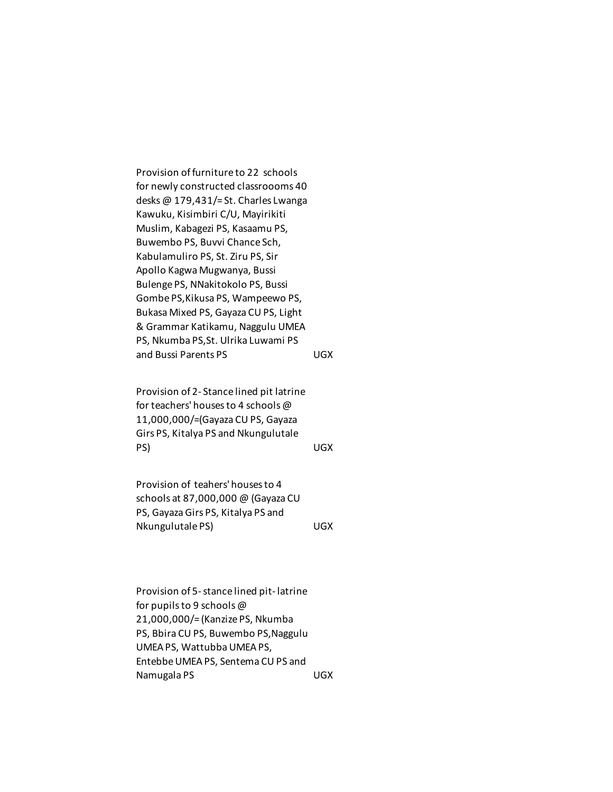Provision of furniture to 22 schools for newly constructed classroooms 40 desks @ 179,431/= St. Charles Lwanga Kawuku, Kisimbiri C/U, Mayirikiti Muslim, Kabagezi PS, Kasaamu PS, Buwembo PS, Buvvi Chance Sch, Kabulamuliro PS, St. Ziru PS, Sir Apollo Kagwa Mugwanya, Bussi Bulenge PS, NNakitokolo PS, Bussi Gombe PS,Kikusa PS, Wampeewo PS, Bukasa Mixed PS, Gayaza CU PS, Light & Grammar Katikamu, Naggulu UMEA PS, Nkumba PS,St. Ulrika Luwami PS and Bussi Parents PS **No. 2018** UGX

Provision of 2- Stance lined pit latrine for teachers' houses to 4 schools @ 11,000,000/=(Gayaza CU PS, Gayaza Girs PS, Kitalya PS and Nkungulutale PS) UGX

Provision of teahers' houses to 4 schools at 87,000,000 @ (Gayaza CU PS, Gayaza Girs PS, Kitalya PS and Nkungulutale PS) UGX

Provision of 5- stance lined pit- latrine for pupils to 9 schools @ 21,000,000/= (Kanzize PS, Nkumba PS, Bbira CU PS, Buwembo PS,Naggulu UMEA PS, Wattubba UMEA PS, Entebbe UMEA PS, Sentema CU PS and Namugala PS UGX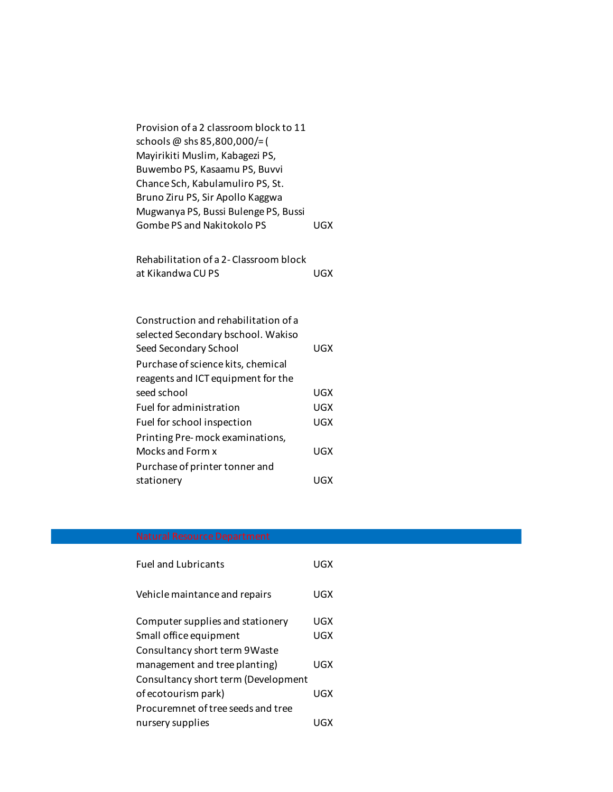| Provision of a 2 classroom block to 11<br>schools @ shs 85,800,000/=(<br>Mayirikiti Muslim, Kabagezi PS,<br>Buwembo PS, Kasaamu PS, Buvvi |     |
|-------------------------------------------------------------------------------------------------------------------------------------------|-----|
| Chance Sch, Kabulamuliro PS, St.                                                                                                          |     |
| Bruno Ziru PS, Sir Apollo Kaggwa                                                                                                          |     |
| Mugwanya PS, Bussi Bulenge PS, Bussi                                                                                                      |     |
| Gombe PS and Nakitokolo PS                                                                                                                | UGX |
| Rehabilitation of a 2- Classroom block                                                                                                    |     |
| at Kikandwa CU PS                                                                                                                         | UGX |
| Construction and rehabilitation of a<br>selected Secondary bschool. Wakiso<br>Seed Secondary School                                       | UGX |
| Purchase of science kits, chemical                                                                                                        |     |
| reagents and ICT equipment for the                                                                                                        |     |
| seed school                                                                                                                               | UGX |
| Fuel for administration                                                                                                                   | UGX |
| Fuel for school inspection                                                                                                                | UGX |
| Printing Pre-mock examinations,                                                                                                           |     |
| Mocks and Form x                                                                                                                          | UGX |
| Purchase of printer tonner and                                                                                                            |     |
| stationery                                                                                                                                | UGX |

## Natural Resource Department

| <b>Fuel and Lubricants</b>                                      | UGX        |
|-----------------------------------------------------------------|------------|
| Vehicle maintance and repairs                                   | UGX        |
| Computer supplies and stationery<br>Small office equipment      | UGX<br>UGX |
| Consultancy short term 9 Waste<br>management and tree planting) | UGX        |
| Consultancy short term (Development<br>of ecotourism park)      | UGX        |
| Procuremnet of tree seeds and tree<br>nursery supplies          | UGX        |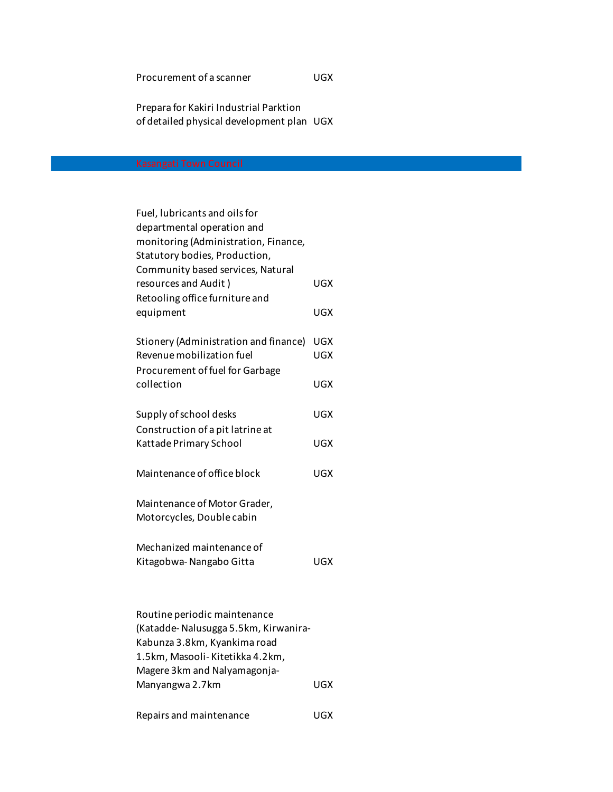Procurement of a scanner **UGX** 

Prepara for Kakiri Industrial Parktion of detailed physical development plan UGX

## Kasangati Town Council

| Fuel, lubricants and oils for<br>departmental operation and<br>monitoring (Administration, Finance,<br>Statutory bodies, Production,                                    |                   |
|-------------------------------------------------------------------------------------------------------------------------------------------------------------------------|-------------------|
| Community based services, Natural<br>resources and Audit)                                                                                                               | UGX               |
| Retooling office furniture and<br>equipment                                                                                                                             | UGX               |
| Stionery (Administration and finance)<br>Revenue mobilization fuel<br>Procurement of fuel for Garbage                                                                   | UGX<br><b>UGX</b> |
| collection                                                                                                                                                              | <b>UGX</b>        |
| Supply of school desks<br>Construction of a pit latrine at                                                                                                              | UGX               |
| Kattade Primary School                                                                                                                                                  | UGX               |
| Maintenance of office block                                                                                                                                             | <b>UGX</b>        |
| Maintenance of Motor Grader,<br>Motorcycles, Double cabin                                                                                                               |                   |
| Mechanized maintenance of<br>Kitagobwa-Nangabo Gitta                                                                                                                    | UGX               |
| Routine periodic maintenance<br>(Katadde-Nalusugga 5.5km, Kirwanira-<br>Kabunza 3.8km, Kyankima road<br>1.5km, Masooli-Kitetikka 4.2km,<br>Magere 3km and Nalyamagonja- |                   |
| Manyangwa 2.7km                                                                                                                                                         | UGX               |

Repairs and maintenance **UGX**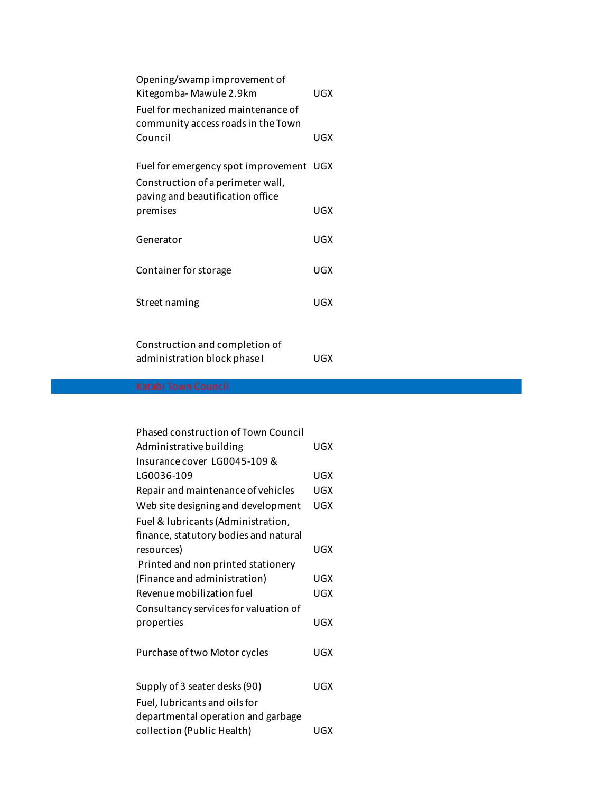| Opening/swamp improvement of            |     |
|-----------------------------------------|-----|
| Kitegomba-Mawule 2.9km                  | UGX |
| Fuel for mechanized maintenance of      |     |
| community access roads in the Town      |     |
| Council                                 | UGX |
| Fuel for emergency spot improvement UGX |     |
| Construction of a perimeter wall,       |     |
| paving and beautification office        |     |
| premises                                | UGX |
| Generator                               | UGX |
|                                         |     |
| Container for storage                   | UGX |
| Street naming                           | UGX |
|                                         |     |
| Construction and completion of          |     |

Construction and completion of administration block phase I UGX

## Katabi Town Council

| Phased construction of Town Council   |     |
|---------------------------------------|-----|
| Administrative building               | UGX |
| Insurance cover LG0045-109 &          |     |
| LG0036-109                            | UGX |
| Repair and maintenance of vehicles    | UGX |
| Web site designing and development    | UGX |
| Fuel & lubricants (Administration,    |     |
| finance, statutory bodies and natural |     |
| resources)                            | UGX |
| Printed and non printed stationery    |     |
| (Finance and administration)          | UGX |
| Revenue mobilization fuel             | UGX |
| Consultancy services for valuation of |     |
| properties                            | UGX |
|                                       |     |
| Purchase of two Motor cycles          | UGX |
|                                       |     |
| Supply of 3 seater desks (90)         | UGX |
| Fuel, lubricants and oils for         |     |
| departmental operation and garbage    |     |
| collection (Public Health)            | UGX |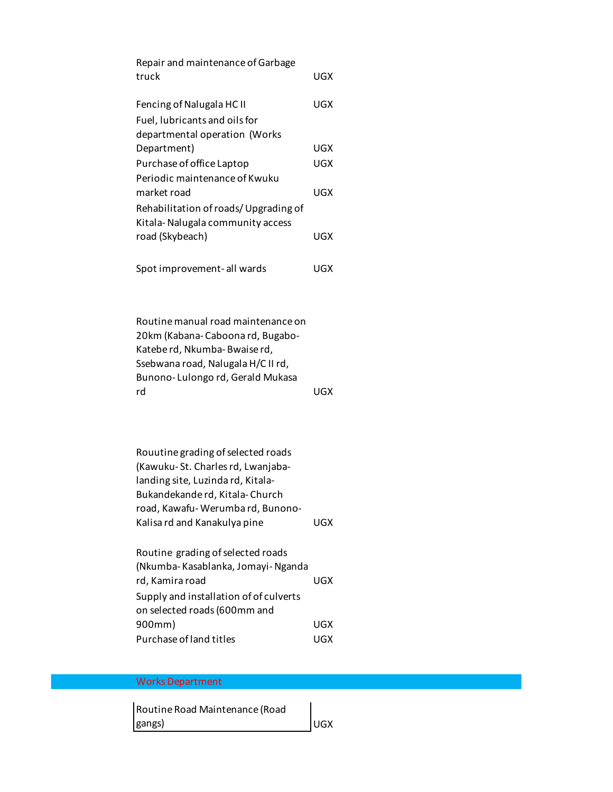| Repair and maintenance of Garbage<br>truck                                                                                                                                                                        | UGX        |
|-------------------------------------------------------------------------------------------------------------------------------------------------------------------------------------------------------------------|------------|
| Fencing of Nalugala HC II<br>Fuel, lubricants and oils for<br>departmental operation (Works                                                                                                                       | UGX        |
| Department)                                                                                                                                                                                                       | UGX        |
| Purchase of office Laptop                                                                                                                                                                                         | <b>UGX</b> |
| Periodic maintenance of Kwuku<br>market road<br>Rehabilitation of roads/Upgrading of                                                                                                                              | UGX        |
| Kitala-Nalugala community access<br>road (Skybeach)                                                                                                                                                               | UGX        |
| Spot improvement-all wards                                                                                                                                                                                        | UGX        |
| Routine manual road maintenance on<br>20km (Kabana-Caboona rd, Bugabo-<br>Kateberd, Nkumba-Bwaiserd,<br>Ssebwana road, Nalugala H/C II rd,<br>Bunono-Lulongo rd, Gerald Mukasa<br>rd                              | UGX        |
| Rouutine grading of selected roads<br>(Kawuku-St. Charles rd, Lwanjaba-<br>landing site, Luzinda rd, Kitala-<br>Bukandekanderd, Kitala-Church<br>road, Kawafu-Werumba rd, Bunono-<br>Kalisa rd and Kanakulya pine | UGX        |
| Routine grading of selected roads<br>(Nkumba-Kasablanka, Jomayi-Nganda<br>rd, Kamira road<br>Supply and installation of of culverts<br>on selected roads (600mm and                                               | UGX        |
| 900mm)<br>Purchase of land titles                                                                                                                                                                                 | UGX<br>UGX |
|                                                                                                                                                                                                                   |            |

## Works Department

| Routine Road Maintenance (Road |            |
|--------------------------------|------------|
| gangs)                         | <b>UGX</b> |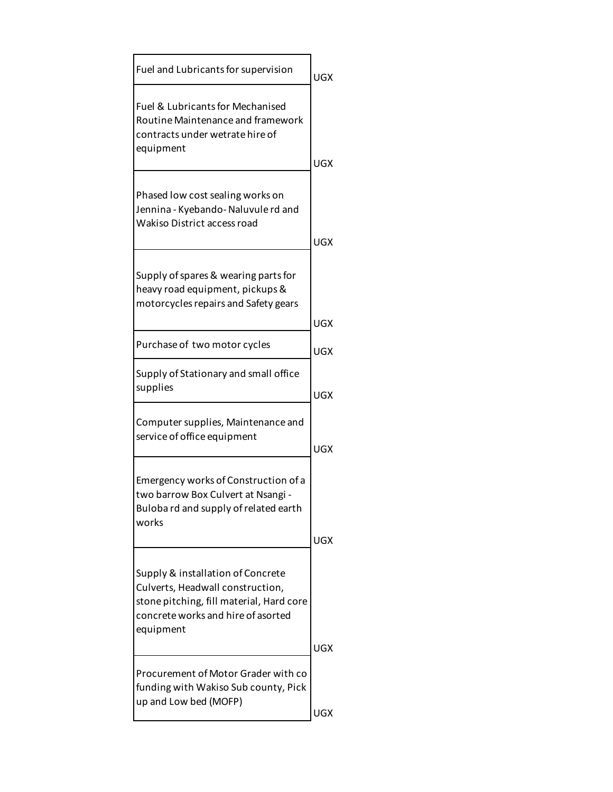| Fuel and Lubricants for supervision                                                                                                                                  | <b>UGX</b> |
|----------------------------------------------------------------------------------------------------------------------------------------------------------------------|------------|
| Fuel & Lubricants for Mechanised<br>Routine Maintenance and framework<br>contracts under wetrate hire of<br>equipment                                                |            |
|                                                                                                                                                                      | UGX        |
| Phased low cost sealing works on<br>Jennina - Kyebando-Naluvule rd and<br><b>Wakiso District access road</b>                                                         |            |
|                                                                                                                                                                      | <b>UGX</b> |
| Supply of spares & wearing parts for<br>heavy road equipment, pickups &<br>motorcycles repairs and Safety gears                                                      |            |
|                                                                                                                                                                      | <b>UGX</b> |
| Purchase of two motor cycles                                                                                                                                         | UGX        |
| Supply of Stationary and small office<br>supplies                                                                                                                    | UGX        |
| Computer supplies, Maintenance and<br>service of office equipment                                                                                                    | UGX        |
| Emergency works of Construction of a<br>two barrow Box Culvert at Nsangi -<br>Buloba rd and supply of related earth<br>works                                         |            |
|                                                                                                                                                                      | <b>UGX</b> |
| Supply & installation of Concrete<br>Culverts, Headwall construction,<br>stone pitching, fill material, Hard core<br>concrete works and hire of asorted<br>equipment | UGX        |
|                                                                                                                                                                      |            |
| Procurement of Motor Grader with co<br>funding with Wakiso Sub county, Pick<br>up and Low bed (MOFP)                                                                 | <b>UGX</b> |
|                                                                                                                                                                      |            |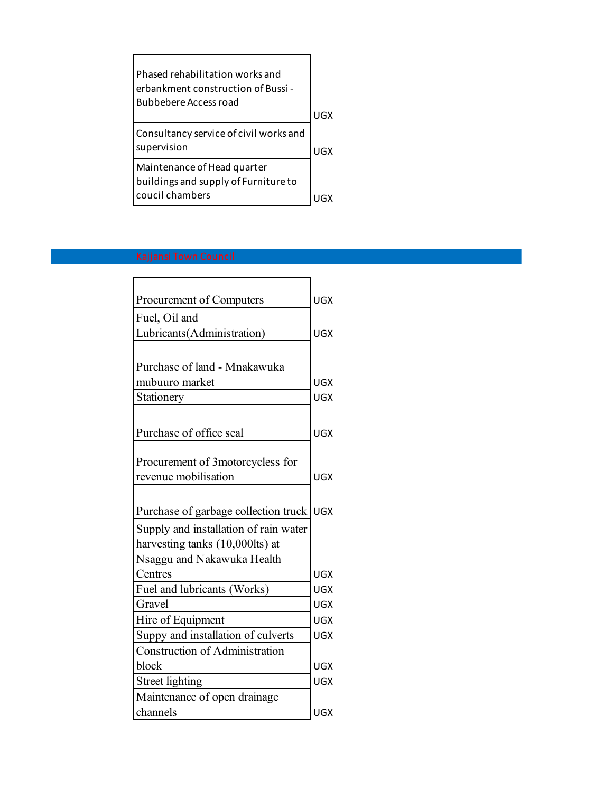| Phased rehabilitation works and<br>erbankment construction of Bussi -<br>Bubbebere Access road | UGX |
|------------------------------------------------------------------------------------------------|-----|
| Consultancy service of civil works and<br>supervision                                          |     |
| Maintenance of Head quarter<br>buildings and supply of Furniture to<br>coucil chambers         |     |

| Procurement of Computers              | UGX        |
|---------------------------------------|------------|
| Fuel, Oil and                         |            |
| Lubricants (Administration)           | UGX        |
|                                       |            |
| Purchase of land - Mnakawuka          |            |
| mubuuro market                        | UGX        |
| Stationery                            | UGX        |
|                                       |            |
| Purchase of office seal               | UGX        |
|                                       |            |
| Procurement of 3motorcycless for      |            |
| revenue mobilisation                  | UGX        |
|                                       |            |
| Purchase of garbage collection truck  | UGX        |
| Supply and installation of rain water |            |
| harvesting tanks (10,000lts) at       |            |
| Nsaggu and Nakawuka Health            |            |
| Centres                               | UGX        |
| Fuel and lubricants (Works)           | UGX        |
| Gravel                                | <b>UGX</b> |
| Hire of Equipment                     | <b>UGX</b> |
| Suppy and installation of culverts    | <b>UGX</b> |
| <b>Construction of Administration</b> |            |
| block                                 | <b>UGX</b> |
| <b>Street lighting</b>                | <b>UGX</b> |
| Maintenance of open drainage          |            |
| channels                              | <b>UGX</b> |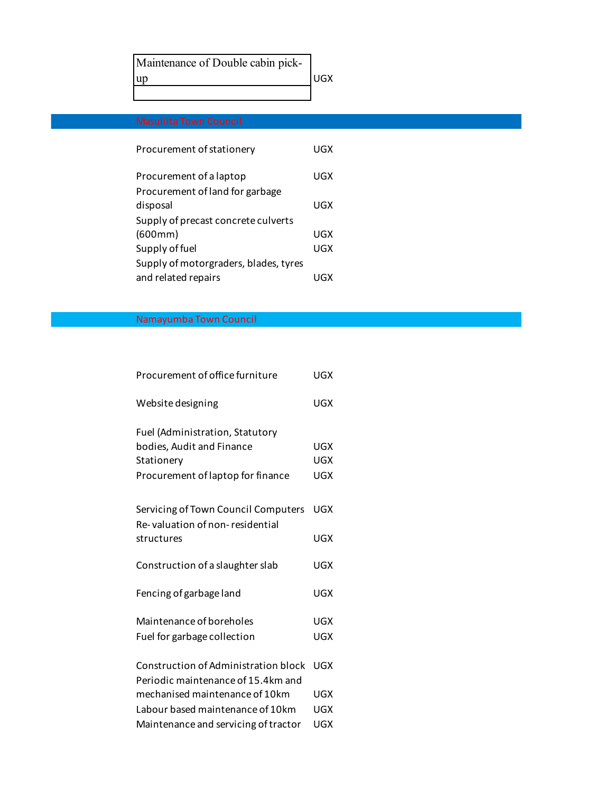| Procurement of stationery             | UGX |
|---------------------------------------|-----|
| Procurement of a laptop               | UGX |
| Procurement of land for garbage       |     |
| disposal                              | UGX |
| Supply of precast concrete culverts   |     |
| (600mm)                               | UGX |
| Supply of fuel                        | UGX |
| Supply of motorgraders, blades, tyres |     |
| and related repairs                   |     |

## Namayumba Town Council

| Procurement of office furniture                                            | <b>UGX</b> |
|----------------------------------------------------------------------------|------------|
| Website designing                                                          | UGX        |
| Fuel (Administration, Statutory                                            |            |
| bodies, Audit and Finance                                                  | UGX        |
| Stationery                                                                 | <b>UGX</b> |
| Procurement of laptop for finance                                          | <b>UGX</b> |
| Servicing of Town Council Computers<br>Re-valuation of non-residential     | UGX        |
| structures                                                                 | UGX        |
| Construction of a slaughter slab                                           | UGX        |
| Fencing of garbage land                                                    | <b>UGX</b> |
| Maintenance of boreholes                                                   | <b>UGX</b> |
| Fuel for garbage collection                                                | <b>UGX</b> |
| Construction of Administration block<br>Periodic maintenance of 15.4km and | UGX        |
| mechanised maintenance of 10km                                             | UGX        |
| Labour based maintenance of 10km                                           | UGX        |
| Maintenance and servicing of tractor                                       | UGX        |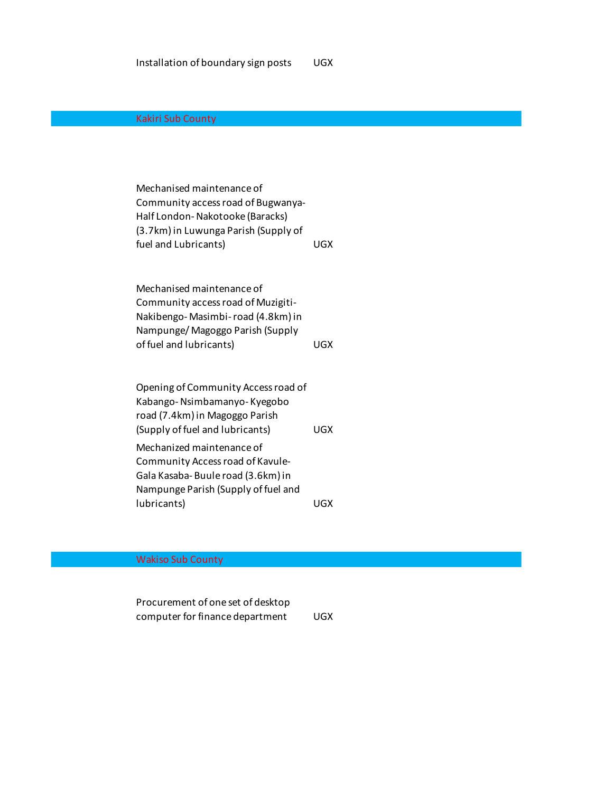### Kakiri Sub County

Mechanised maintenance of Community access road of Bugwanya-Half London- Nakotooke (Baracks) (3.7km) in Luwunga Parish (Supply of fuel and Lubricants) UGX

Mechanised maintenance of Community access road of Muzigiti-Nakibengo- Masimbi- road (4.8km) in Nampunge/ Magoggo Parish (Supply of fuel and lubricants) UGX

Opening of Community Access road of Kabango- Nsimbamanyo- Kyegobo road (7.4km) in Magoggo Parish (Supply of fuel and lubricants) UGX Mechanized maintenance of

Community Access road of Kavule-Gala Kasaba- Buule road (3.6km) in Nampunge Parish (Supply of fuel and lubricants) UGX

#### Wakiso Sub County

Procurement of one set of desktop computer for finance department UGX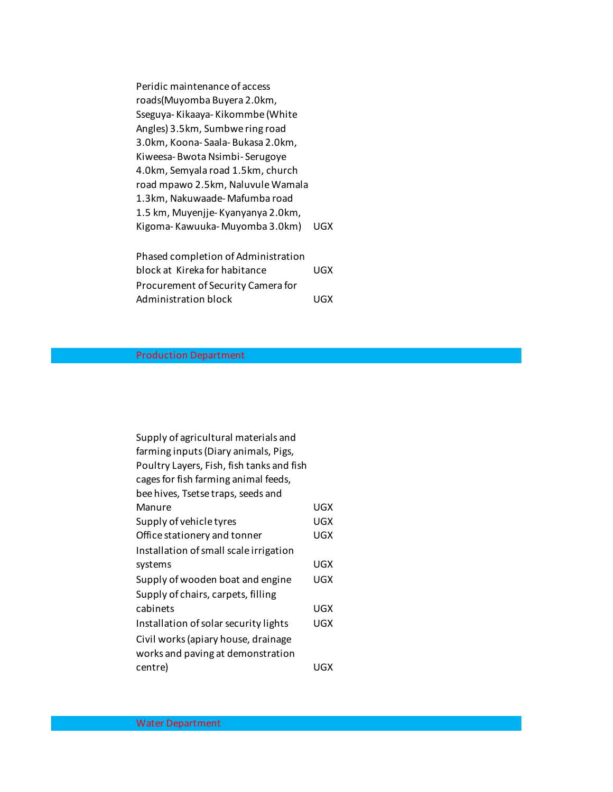Peridic maintenance of access roads(Muyomba Buyera 2.0km, Sseguya- Kikaaya- Kikommbe (White Angles) 3.5km, Sumbwe ring road 3.0km, Koona- Saala- Bukasa 2.0km, Kiweesa- Bwota Nsimbi- Serugoye 4.0km, Semyala road 1.5km, church road mpawo 2.5km, Naluvule Wamala 1.3km, Nakuwaade- Mafumba road 1.5 km, Muyenjje- Kyanyanya 2.0km, Kigoma- Kawuuka- Muyomba 3.0km) UGX

Phased completion of Administration block at Kireka for habitance UGX Procurement of Security Camera for Administration block UGX

#### Production Department

| Supply of agricultural materials and      |            |
|-------------------------------------------|------------|
| farming inputs (Diary animals, Pigs,      |            |
| Poultry Layers, Fish, fish tanks and fish |            |
| cages for fish farming animal feeds,      |            |
| bee hives, Tsetse traps, seeds and        |            |
| Manure                                    | UGX        |
| Supply of vehicle tyres                   | UGX        |
| Office stationery and tonner              | UGX        |
| Installation of small scale irrigation    |            |
| systems                                   | UGX        |
| Supply of wooden boat and engine          | <b>UGX</b> |
| Supply of chairs, carpets, filling        |            |
| cabinets                                  | UGX        |
| Installation of solar security lights     | UGX        |
| Civil works (apiary house, drainage       |            |
| works and paving at demonstration         |            |
| centre)                                   | UGX        |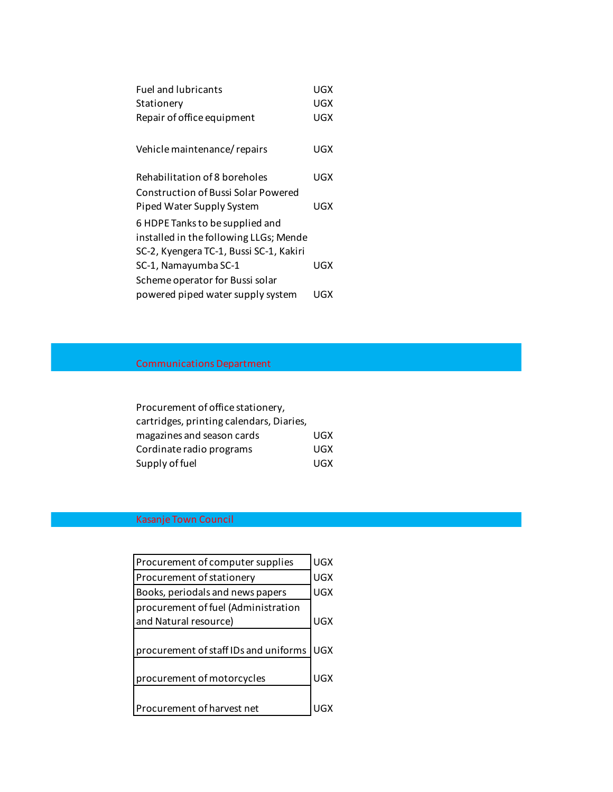| <b>Fuel and Jubricants</b><br>Stationery                                          | UGX<br>UGX |
|-----------------------------------------------------------------------------------|------------|
| Repair of office equipment                                                        | UGX        |
| Vehicle maintenance/repairs                                                       | UGX        |
| Rehabilitation of 8 boreholes<br>Construction of Bussi Solar Powered              | UGX        |
| Piped Water Supply System<br>6 HDPE Tanks to be supplied and                      | UGX        |
| installed in the following LLGs; Mende<br>SC-2, Kyengera TC-1, Bussi SC-1, Kakiri |            |
| SC-1, Namayumba SC-1<br>Scheme operator for Bussi solar                           | UGX        |
| powered piped water supply system                                                 | UGX        |

## Communications Department

| Procurement of office stationery,        |     |
|------------------------------------------|-----|
| cartridges, printing calendars, Diaries, |     |
| magazines and season cards               | UGX |
| Cordinate radio programs                 | UGX |
| Supply of fuel                           | UGX |

## Kasanje Town Council

| Procurement of computer supplies      | <b>UGX</b> |
|---------------------------------------|------------|
| Procurement of stationery             | <b>UGX</b> |
| Books, periodals and news papers      | <b>UGX</b> |
| procurement of fuel (Administration   |            |
| and Natural resource)                 |            |
|                                       |            |
| procurement of staff IDs and uniforms | <b>UGX</b> |
|                                       |            |
| procurement of motorcycles            | UGX        |
|                                       |            |
| Procurement of harvest net            |            |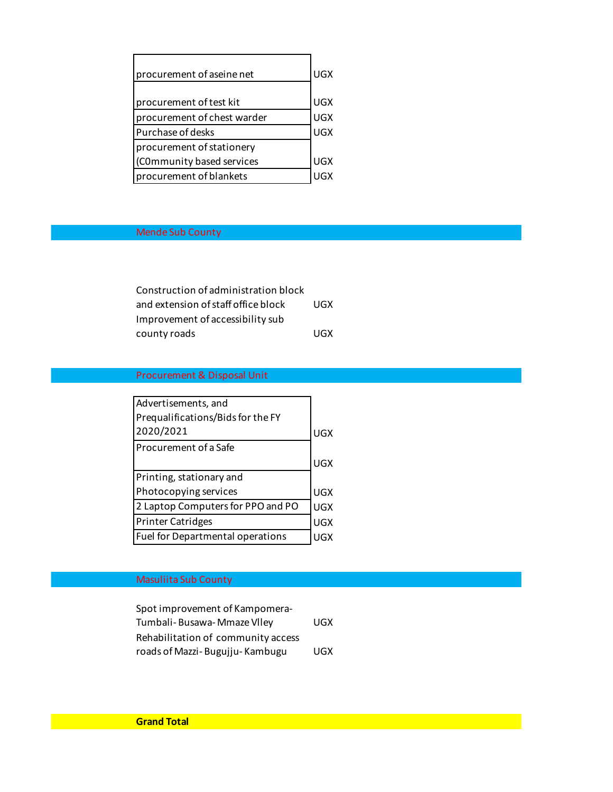| procurement of aseine net   | UGX        |
|-----------------------------|------------|
| procurement of test kit     | <b>UGX</b> |
| procurement of chest warder | <b>UGX</b> |
| Purchase of desks           | <b>UGX</b> |
| procurement of stationery   |            |
| (COmmunity based services   | UGX        |
| procurement of blankets     |            |

## Mende Sub County

| Construction of administration block |     |
|--------------------------------------|-----|
| and extension of staff office block  | UGX |
| Improvement of accessibility sub     |     |
| county roads                         | UGX |

Procurement & Disposal Unit

| Advertisements, and               |     |
|-----------------------------------|-----|
| Prequalifications/Bids for the FY |     |
| 2020/2021                         | UGX |
| Procurement of a Safe             |     |
|                                   | UGX |
| Printing, stationary and          |     |
| Photocopying services             | UGX |
| 2 Laptop Computers for PPO and PO | UGX |
| <b>Printer Catridges</b>          | UGX |
| Fuel for Departmental operations  |     |

## Masuliita Sub County

Spot improvement of Kampomera-Tumbali- Busawa- Mmaze Vlley UGX Rehabilitation of community access roads of Mazzi- Bugujju- Kambugu UGX

**Grand Total**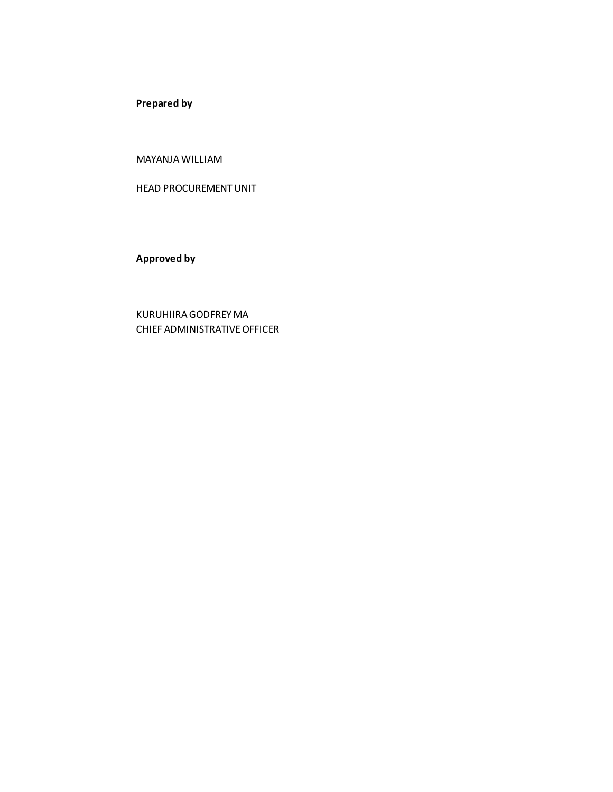**Prepared by** 

MAYANJA WILLIAM

HEAD PROCUREMENT UNIT

**Approved by**

KURUHIIRA GODFREY MA CHIEF ADMINISTRATIVE OFFICER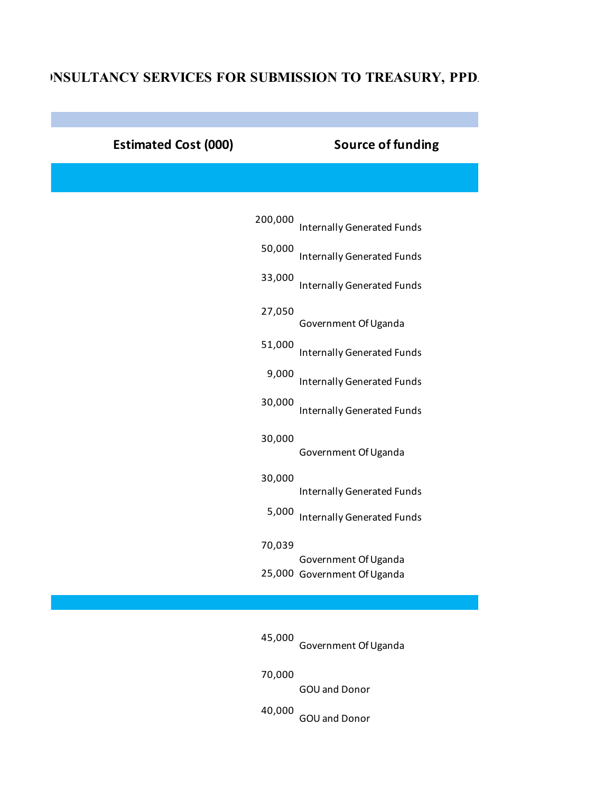# PROULTANCY SERVICES FOR SUBMISSION TO TREASURY, PPD.

| <b>Estimated Cost (000)</b> | <b>Source of funding</b>          |
|-----------------------------|-----------------------------------|
|                             |                                   |
| 200,000                     | <b>Internally Generated Funds</b> |
| 50,000                      | <b>Internally Generated Funds</b> |
| 33,000                      | <b>Internally Generated Funds</b> |
| 27,050                      | Government Of Uganda              |
| 51,000                      | <b>Internally Generated Funds</b> |
| 9,000                       | <b>Internally Generated Funds</b> |
| 30,000                      | <b>Internally Generated Funds</b> |
| 30,000                      | Government Of Uganda              |
| 30,000                      | <b>Internally Generated Funds</b> |
| 5,000                       | <b>Internally Generated Funds</b> |
| 70,039                      | Government Of Uganda              |
|                             | 25,000 Government Of Uganda       |
|                             |                                   |
| 45,000                      | Government Of Uganda              |
| 70,000                      | <b>GOU and Donor</b>              |
| 40,000                      | <b>GOU and Donor</b>              |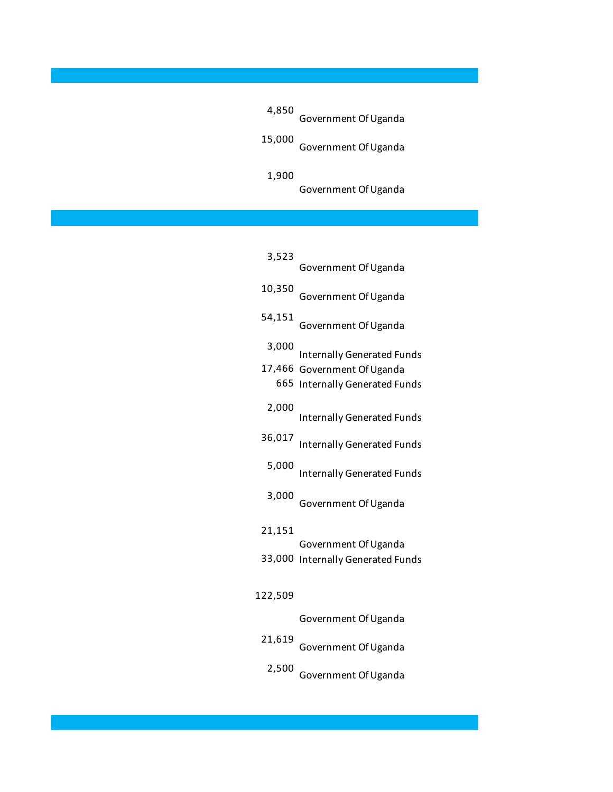| 4,850  | Government Of Uganda |
|--------|----------------------|
| 15,000 | Government Of Uganda |
| 1,900  | Government Of Uganda |
|        |                      |

| 3,523   |                                   |
|---------|-----------------------------------|
|         | Government Of Uganda              |
| 10,350  | Government Of Uganda              |
| 54,151  | Government Of Uganda              |
| 3,000   | <b>Internally Generated Funds</b> |
| 17,466  | Government Of Uganda              |
| 665     | <b>Internally Generated Funds</b> |
| 2,000   | <b>Internally Generated Funds</b> |
| 36,017  | <b>Internally Generated Funds</b> |
| 5,000   | <b>Internally Generated Funds</b> |
| 3,000   | Government Of Uganda              |
| 21,151  | Government Of Uganda              |
| 33,000  | <b>Internally Generated Funds</b> |
| 122,509 |                                   |
|         | Government Of Uganda              |
| 21,619  | Government Of Uganda              |
| 2,500   | Government Of Uganda              |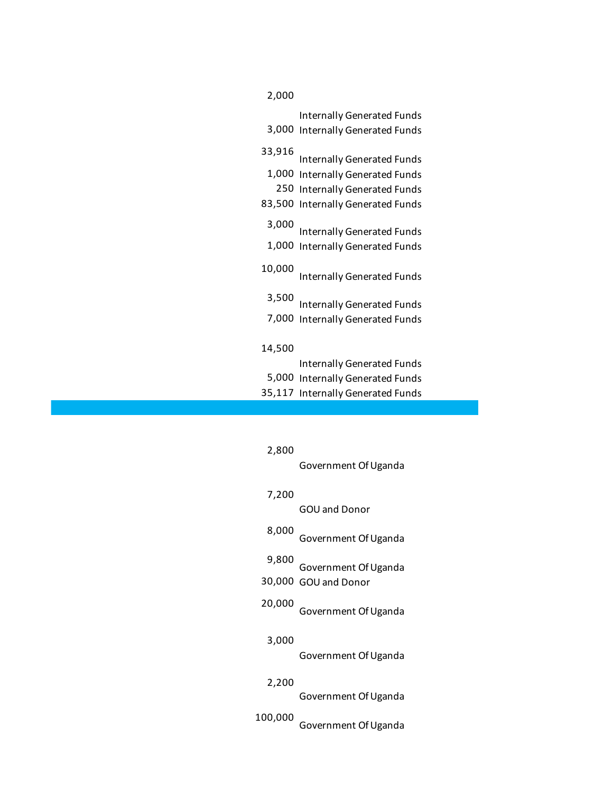|        | <b>Internally Generated Funds</b> |
|--------|-----------------------------------|
| 3,000  | <b>Internally Generated Funds</b> |
| 33,916 |                                   |
|        | <b>Internally Generated Funds</b> |
| 1,000  | <b>Internally Generated Funds</b> |
| 250    | <b>Internally Generated Funds</b> |
| 83,500 | <b>Internally Generated Funds</b> |
| 3,000  |                                   |
|        | <b>Internally Generated Funds</b> |
| 1,000  | <b>Internally Generated Funds</b> |
| 10,000 |                                   |
|        | <b>Internally Generated Funds</b> |
| 3,500  |                                   |
|        | <b>Internally Generated Funds</b> |
| 7,000  | <b>Internally Generated Funds</b> |
|        |                                   |
| 14,500 |                                   |
|        | <b>Internally Generated Funds</b> |
| 5,000  | <b>Internally Generated Funds</b> |
| 35,117 | <b>Internally Generated Funds</b> |

| 2,800   |                      |
|---------|----------------------|
|         | Government Of Uganda |
| 7,200   | <b>GOU and Donor</b> |
|         |                      |
| 8,000   | Government Of Uganda |
| 9,800   | Government Of Uganda |
|         | 30,000 GOU and Donor |
| 20,000  | Government Of Uganda |
| 3,000   | Government Of Uganda |
| 2,200   |                      |
|         | Government Of Uganda |
| 100,000 | Government Of Uganda |

## 2,000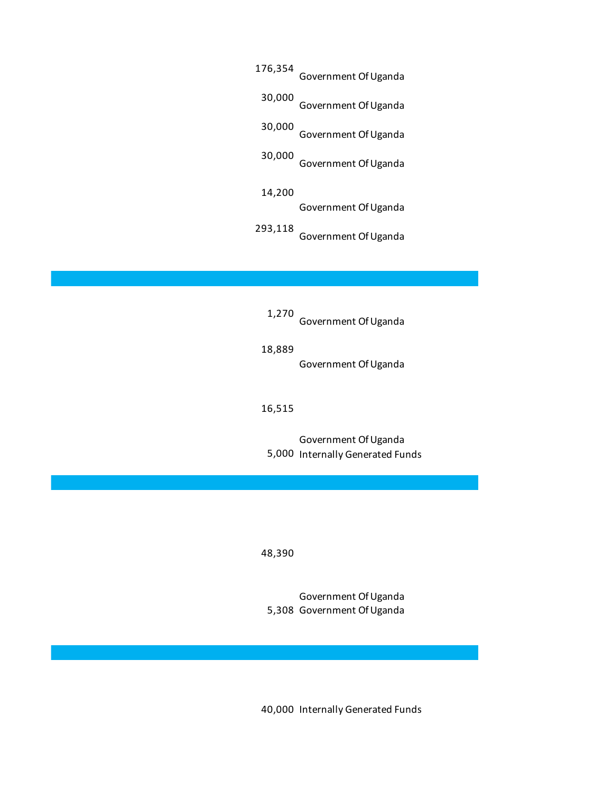|         | 176,354 Government Of Uganda |
|---------|------------------------------|
|         | 30,000 Government Of Uganda  |
|         | 30,000 Government Of Uganda  |
|         | 30,000 Government Of Uganda  |
| 14,200  | Government Of Uganda         |
| 293,118 | Government Of Uganda         |

1,270 Government Of Uganda 18,889 Government Of Uganda

## 16,515

Government Of Uganda 5,000 Internally Generated Funds

48,390

Government Of Uganda 5,308 Government Of Uganda

40,000 Internally Generated Funds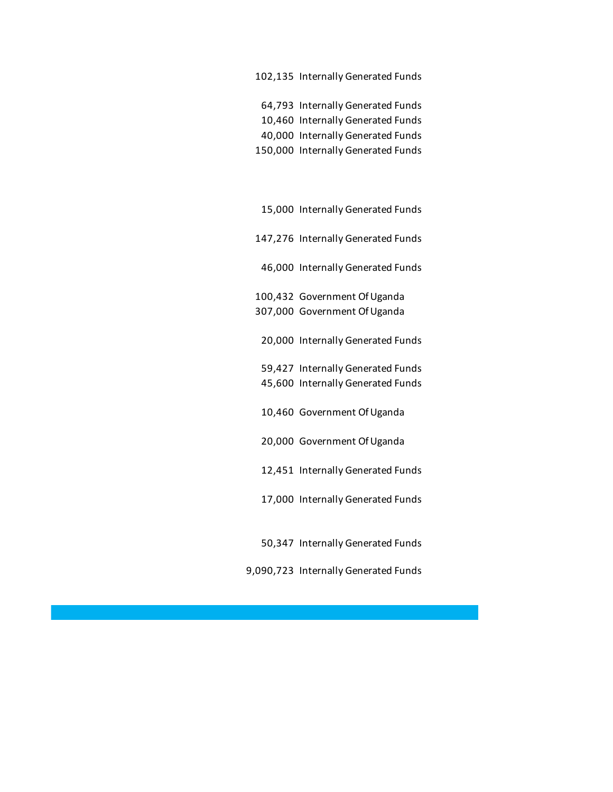64,793 Internally Generated Funds 10,460 Internally Generated Funds 40,000 Internally Generated Funds

150,000 Internally Generated Funds

15,000 Internally Generated Funds

147,276 Internally Generated Funds

46,000 Internally Generated Funds

100,432 Government Of Uganda 307,000 Government Of Uganda

20,000 Internally Generated Funds

59,427 Internally Generated Funds 45,600 Internally Generated Funds

10,460 Government Of Uganda

20,000 Government Of Uganda

12,451 Internally Generated Funds

17,000 Internally Generated Funds

50,347 Internally Generated Funds

9,090,723 Internally Generated Funds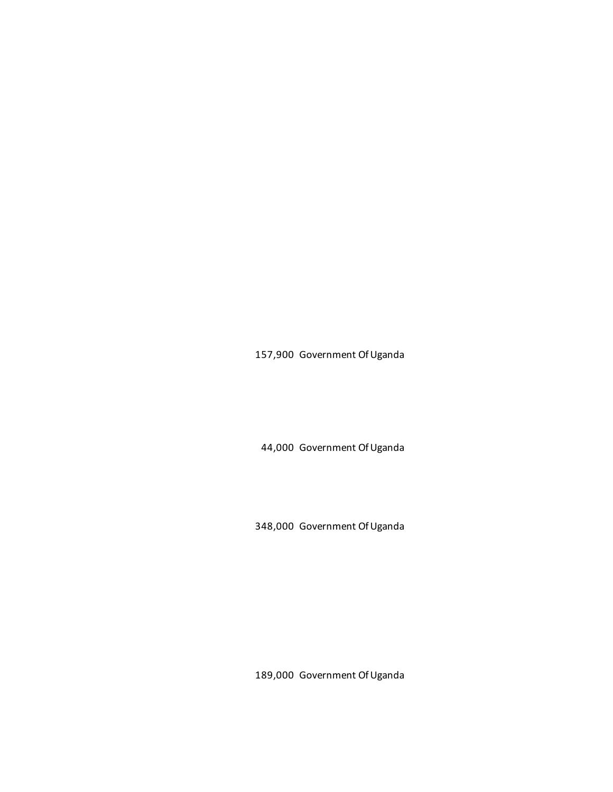157,900 Government Of Uganda

44,000 Government Of Uganda

348,000 Government Of Uganda

189,000 Government Of Uganda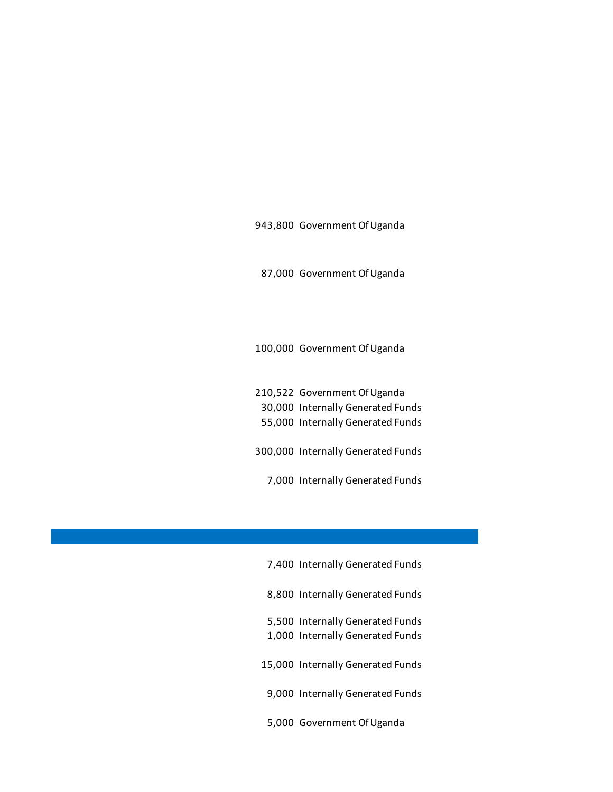943,800 Government Of Uganda

87,000 Government Of Uganda

100,000 Government Of Uganda

210,522 Government Of Uganda 30,000 Internally Generated Funds 55,000 Internally Generated Funds

300,000 Internally Generated Funds

7,000 Internally Generated Funds

| 7,400 Internally Generated Funds                                     |
|----------------------------------------------------------------------|
| 8,800 Internally Generated Funds                                     |
| 5,500 Internally Generated Funds<br>1,000 Internally Generated Funds |
| 15,000 Internally Generated Funds                                    |
| 9,000 Internally Generated Funds                                     |
| 5,000 Government Of Uganda                                           |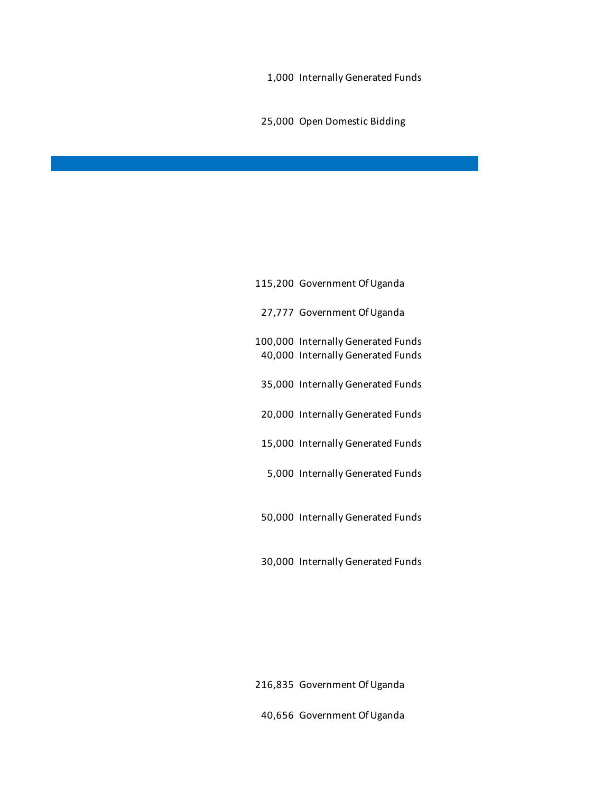25,000 Open Domestic Bidding

115,200 Government Of Uganda 27,777 Government Of Uganda 100,000 Internally Generated Funds 40,000 Internally Generated Funds 35,000 Internally Generated Funds 20,000 Internally Generated Funds 15,000 Internally Generated Funds 5,000 Internally Generated Funds 50,000 Internally Generated Funds 30,000 Internally Generated Funds

216,835 Government Of Uganda

40,656 Government Of Uganda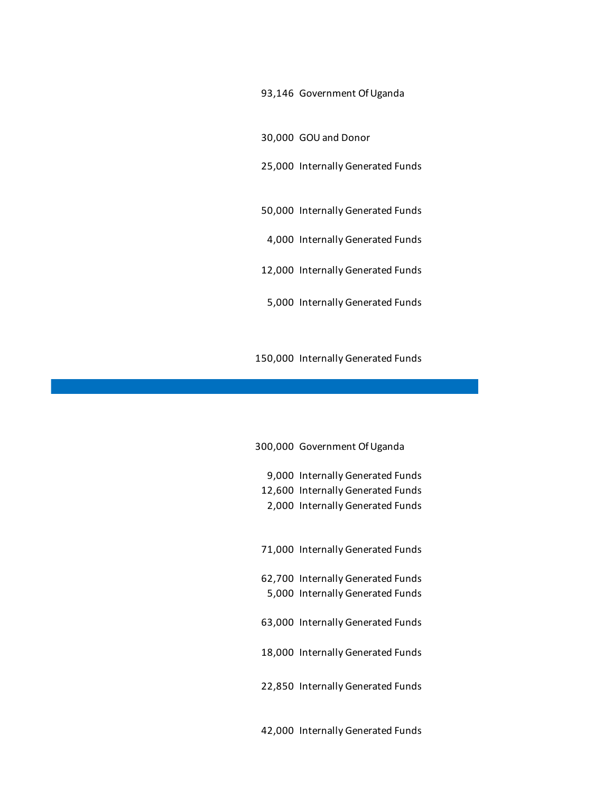### 93,146 Government Of Uganda

30,000 GOU and Donor

25,000 Internally Generated Funds

50,000 Internally Generated Funds

4,000 Internally Generated Funds

12,000 Internally Generated Funds

5,000 Internally Generated Funds

150,000 Internally Generated Funds

300,000 Government Of Uganda 9,000 Internally Generated Funds 12,600 Internally Generated Funds 2,000 Internally Generated Funds 71,000 Internally Generated Funds 62,700 Internally Generated Funds 5,000 Internally Generated Funds 63,000 Internally Generated Funds 18,000 Internally Generated Funds 22,850 Internally Generated Funds

42,000 Internally Generated Funds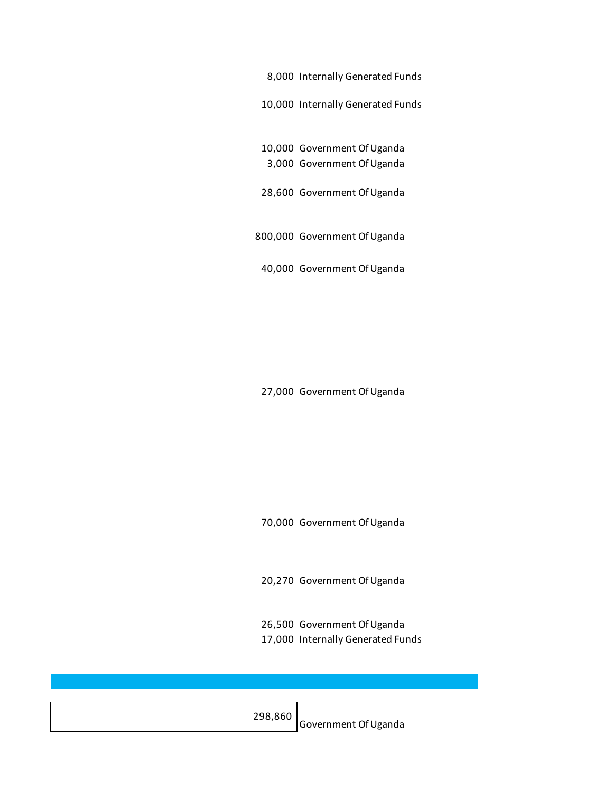10,000 Internally Generated Funds

10,000 Government Of Uganda 3,000 Government Of Uganda

28,600 Government Of Uganda

800,000 Government Of Uganda

40,000 Government Of Uganda

27,000 Government Of Uganda

70,000 Government Of Uganda

20,270 Government Of Uganda

26,500 Government Of Uganda 17,000 Internally Generated Funds

| 298,860<br>Government Of Uganda |
|---------------------------------|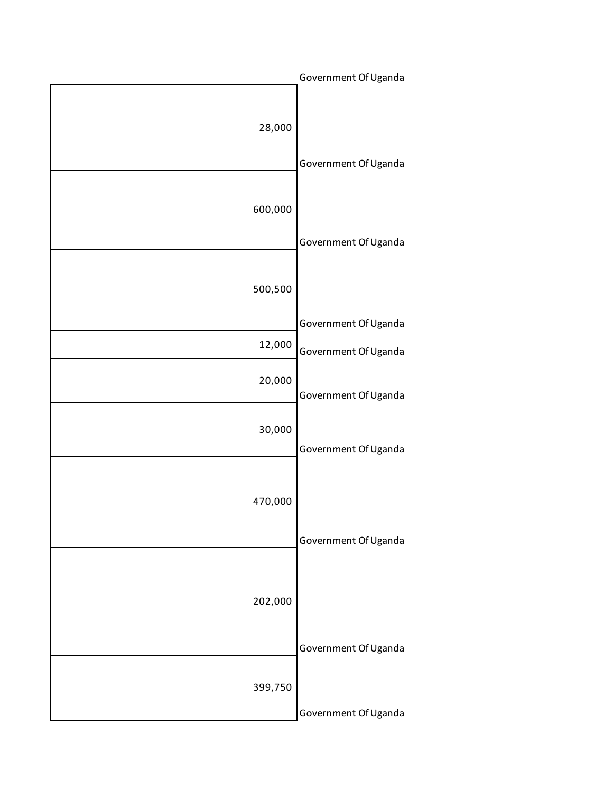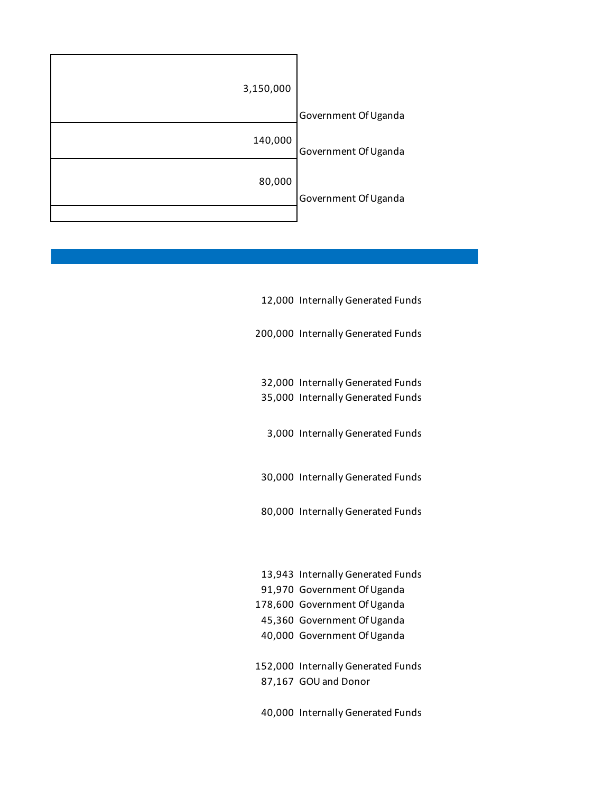| 3,150,000 |                      |
|-----------|----------------------|
|           | Government Of Uganda |
| 140,000   | Government Of Uganda |
| 80,000    | Government Of Uganda |
|           |                      |

200,000 Internally Generated Funds

32,000 Internally Generated Funds

35,000 Internally Generated Funds

3,000 Internally Generated Funds

30,000 Internally Generated Funds

80,000 Internally Generated Funds

13,943 Internally Generated Funds 91,970 Government Of Uganda

178,600 Government Of Uganda

45,360 Government Of Uganda

40,000 Government Of Uganda

152,000 Internally Generated Funds 87,167 GOU and Donor

40,000 Internally Generated Funds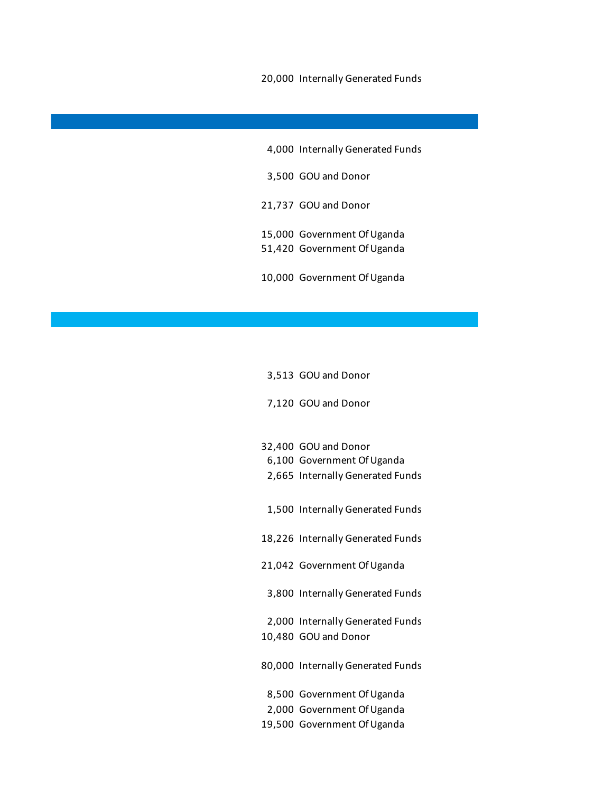4,000 Internally Generated Funds 3,500 GOU and Donor 21,737 GOU and Donor 15,000 Government Of Uganda 51,420 Government Of Uganda 10,000 Government Of Uganda

- 3,513 GOU and Donor
- 7,120 GOU and Donor
- 32,400 GOU and Donor
- 6,100 Government Of Uganda
- 2,665 Internally Generated Funds
- 1,500 Internally Generated Funds
- 18,226 Internally Generated Funds
- 21,042 Government Of Uganda
	- 3,800 Internally Generated Funds
- 2,000 Internally Generated Funds 10,480 GOU and Donor
- 80,000 Internally Generated Funds
- 8,500 Government Of Uganda
- 2,000 Government Of Uganda
- 19,500 Government Of Uganda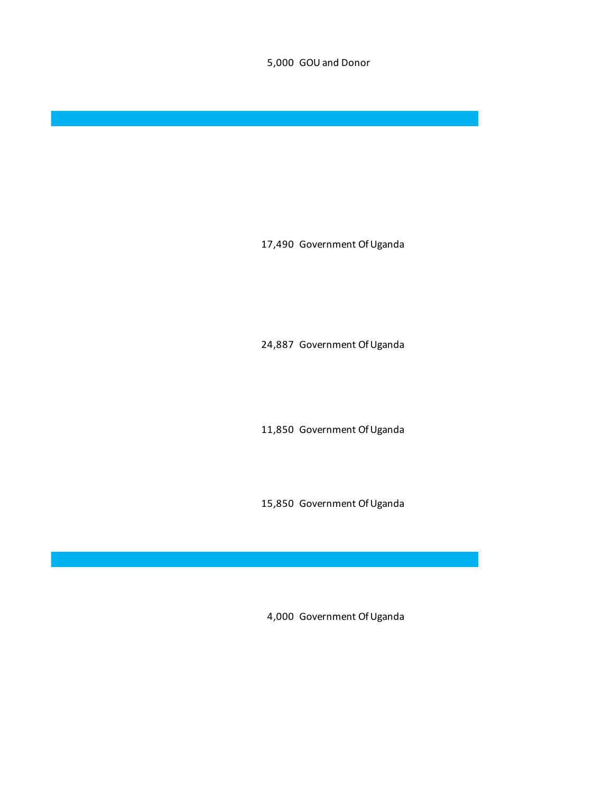5,000 GOU and Donor

17,490 Government Of Uganda

24,887 Government Of Uganda

11,850 Government Of Uganda

15,850 Government Of Uganda

4,000 Government Of Uganda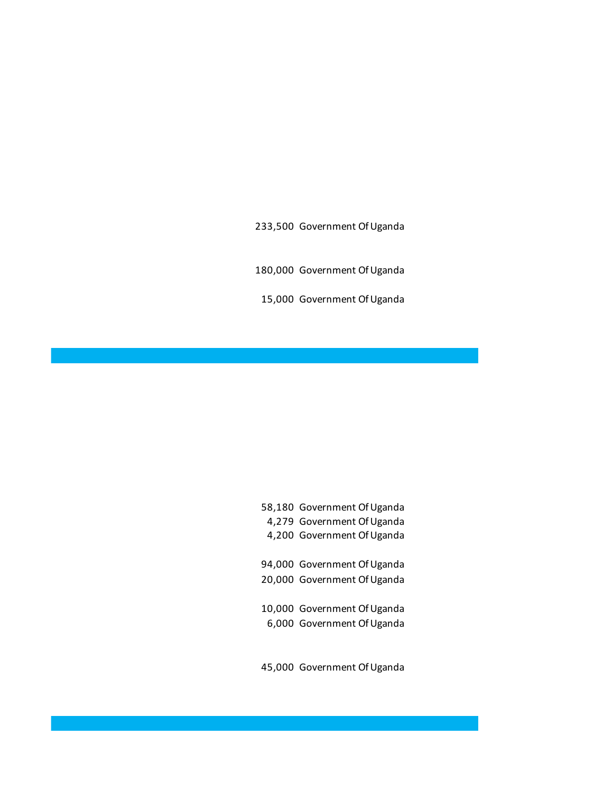233,500 Government Of Uganda

180,000 Government Of Uganda

15,000 Government Of Uganda

58,180 Government Of Uganda 4,279 Government Of Uganda 4,200 Government Of Uganda 94,000 Government Of Uganda 20,000 Government Of Uganda 10,000 Government Of Uganda 6,000 Government Of Uganda

45,000 Government Of Uganda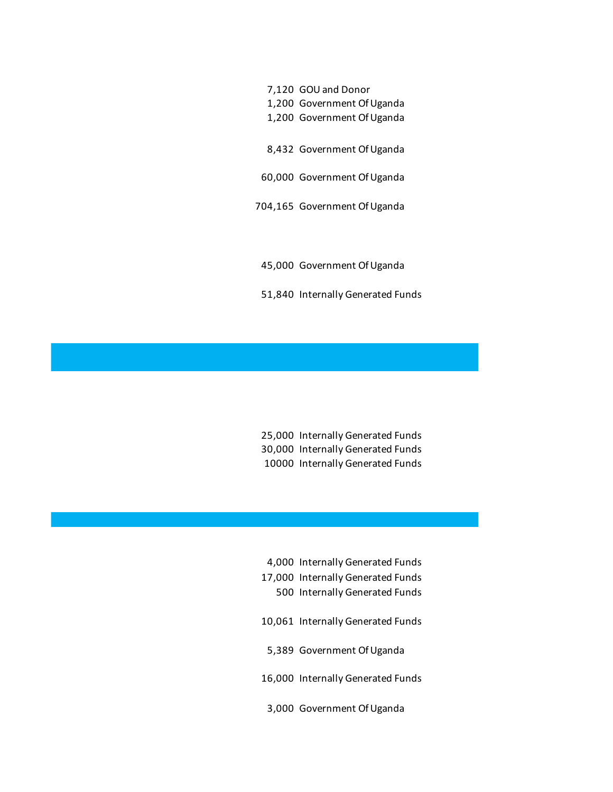- 7,120 GOU and Donor
- 1,200 Government Of Uganda
- 1,200 Government Of Uganda
- 8,432 Government Of Uganda
- 60,000 Government Of Uganda
- 704,165 Government Of Uganda
- 45,000 Government Of Uganda
- 51,840 Internally Generated Funds

25,000 Internally Generated Funds 30,000 Internally Generated Funds 10000 Internally Generated Funds

- 4,000 Internally Generated Funds 17,000 Internally Generated Funds 500 Internally Generated Funds 10,061 Internally Generated Funds 5,389 Government Of Uganda
- 16,000 Internally Generated Funds
- 3,000 Government Of Uganda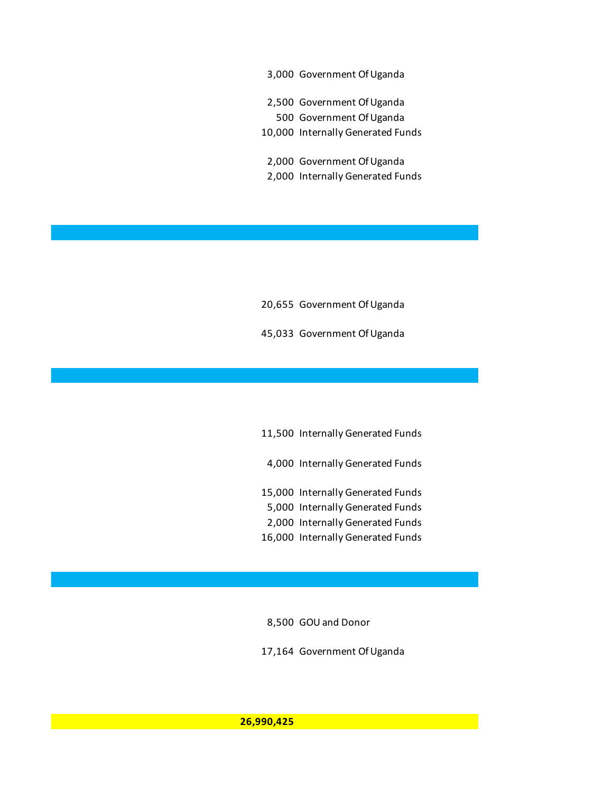- 3,000 Government Of Uganda 2,500 Government Of Uganda 500 Government Of Uganda 10,000 Internally Generated Funds
- 2,000 Government Of Uganda 2,000 Internally Generated Funds

20,655 Government Of Uganda

45,033 Government Of Uganda

11,500 Internally Generated Funds

4,000 Internally Generated Funds

15,000 Internally Generated Funds

5,000 Internally Generated Funds

2,000 Internally Generated Funds

16,000 Internally Generated Funds

8,500 GOU and Donor

17,164 Government Of Uganda

**26,990,425**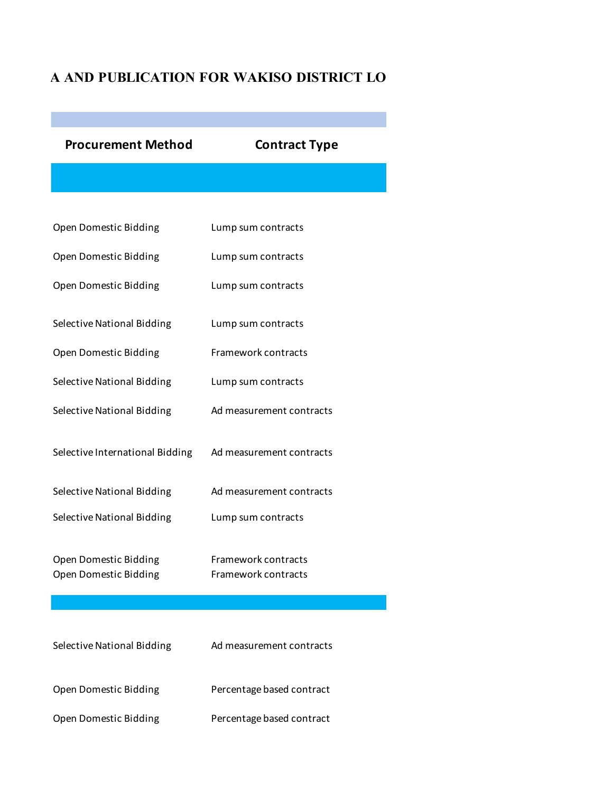## A AND PUBLICATION FOR WAKISO DISTRICT LO

## **Procurement Method Contract Type**

| Open Domestic Bidding                          | Lump sum contracts                         |
|------------------------------------------------|--------------------------------------------|
| Open Domestic Bidding                          | Lump sum contracts                         |
| Open Domestic Bidding                          | Lump sum contracts                         |
| Selective National Bidding                     | Lump sum contracts                         |
| Open Domestic Bidding                          | Framework contracts                        |
| Selective National Bidding                     | Lump sum contracts                         |
| Selective National Bidding                     | Ad measurement contracts                   |
| Selective International Bidding                | Ad measurement contracts                   |
| Selective National Bidding                     | Ad measurement contracts                   |
| Selective National Bidding                     | Lump sum contracts                         |
| Open Domestic Bidding<br>Open Domestic Bidding | Framework contracts<br>Framework contracts |
|                                                |                                            |
| Selective National Bidding                     | Ad measurement contracts                   |
| Open Domestic Bidding                          | Percentage based contract                  |
| Open Domestic Bidding                          | Percentage based contract                  |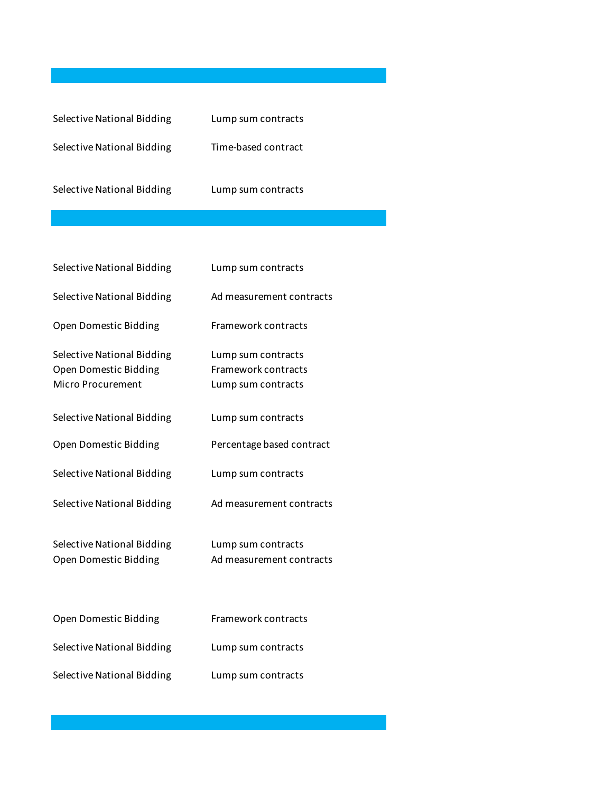| Selective National Bidding                                               | Lump sum contracts                                              |
|--------------------------------------------------------------------------|-----------------------------------------------------------------|
| Selective National Bidding                                               | Time-based contract                                             |
| Selective National Bidding                                               | Lump sum contracts                                              |
|                                                                          |                                                                 |
|                                                                          |                                                                 |
| Selective National Bidding                                               | Lump sum contracts                                              |
| Selective National Bidding                                               | Ad measurement contracts                                        |
| Open Domestic Bidding                                                    | Framework contracts                                             |
| Selective National Bidding<br>Open Domestic Bidding<br>Micro Procurement | Lump sum contracts<br>Framework contracts<br>Lump sum contracts |
| Selective National Bidding                                               | Lump sum contracts                                              |
| Open Domestic Bidding                                                    | Percentage based contract                                       |
| Selective National Bidding                                               | Lump sum contracts                                              |
| Selective National Bidding                                               | Ad measurement contracts                                        |
| Selective National Bidding<br>Open Domestic Bidding                      | Lump sum contracts<br>Ad measurement contracts                  |
| Open Domestic Bidding                                                    | Framework contracts                                             |
| Selective National Bidding                                               | Lump sum contracts                                              |
| Selective National Bidding                                               | Lump sum contracts                                              |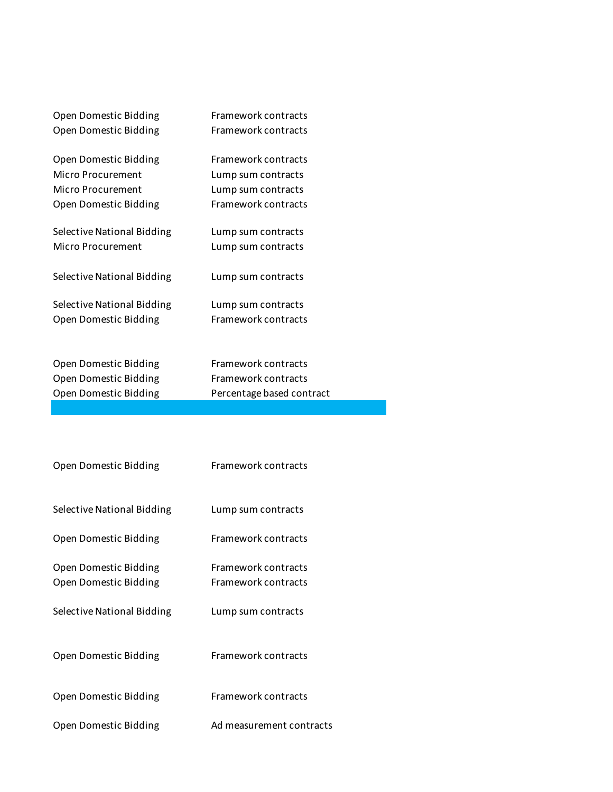| Open Domestic Bidding      | Framework contracts |
|----------------------------|---------------------|
| Open Domestic Bidding      | Framework contracts |
| Open Domestic Bidding      | Framework contracts |
| Micro Procurement          | Lump sum contracts  |
| Micro Procurement          | Lump sum contracts  |
| Open Domestic Bidding      | Framework contracts |
|                            |                     |
| Selective National Bidding | Lump sum contracts  |
| Micro Procurement          | Lump sum contracts  |
|                            |                     |
| Selective National Bidding | Lump sum contracts  |
|                            |                     |
| Selective National Bidding | Lump sum contracts  |
| Open Domestic Bidding      | Framework contracts |
|                            |                     |
| Open Domestic Bidding      | Framework contracts |
|                            |                     |

| Open Domestic Bidding | Framework contracts       |
|-----------------------|---------------------------|
| Open Domestic Bidding | Percentage based contract |
|                       |                           |

| Open Domestic Bidding                          | Framework contracts                        |
|------------------------------------------------|--------------------------------------------|
| Selective National Bidding                     | Lump sum contracts                         |
| Open Domestic Bidding                          | Framework contracts                        |
| Open Domestic Bidding<br>Open Domestic Bidding | Framework contracts<br>Framework contracts |
| Selective National Bidding                     | Lump sum contracts                         |
| Open Domestic Bidding                          | Framework contracts                        |
| Open Domestic Bidding                          | Framework contracts                        |
| Open Domestic Bidding                          | Ad measurement contracts                   |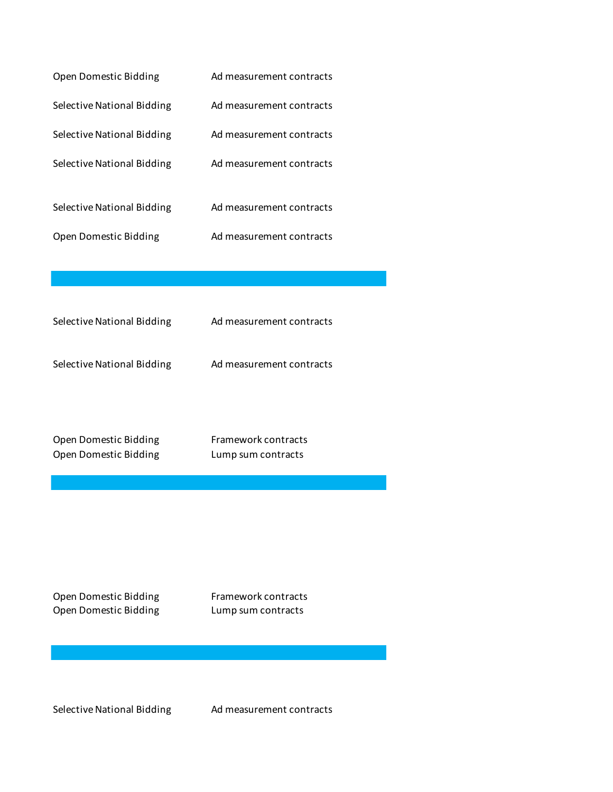| Open Domestic Bidding                          | Ad measurement contracts |
|------------------------------------------------|--------------------------|
| Selective National Bidding                     | Ad measurement contracts |
| Selective National Bidding                     | Ad measurement contracts |
| Selective National Bidding                     | Ad measurement contracts |
|                                                |                          |
| Selective National Bidding                     | Ad measurement contracts |
| Open Domestic Bidding                          | Ad measurement contracts |
|                                                |                          |
|                                                |                          |
|                                                |                          |
|                                                |                          |
| Selective National Bidding                     | Ad measurement contracts |
|                                                |                          |
| Selective National Bidding                     | Ad measurement contracts |
|                                                |                          |
|                                                |                          |
|                                                | Framework contracts      |
| Open Domestic Bidding<br>Open Domestic Bidding | Lump sum contracts       |
|                                                |                          |

Open Domestic Bidding Framework contracts Open Domestic Bidding **Lump** sum contracts

Selective National Bidding Ad measurement contracts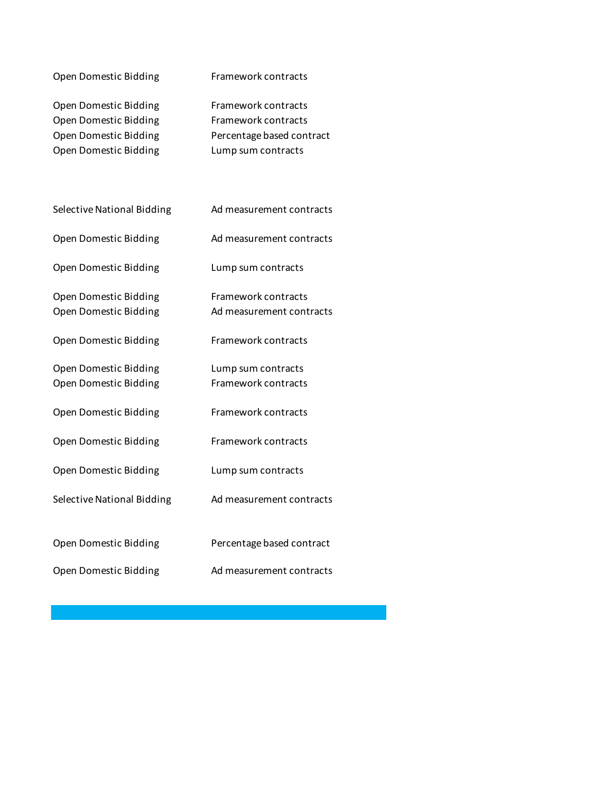|  | Open Domestic Bidding |  |  |
|--|-----------------------|--|--|
|--|-----------------------|--|--|

### Framework contracts

Open Domestic Bidding Lump sum contracts

Open Domestic Bidding Framework contracts Open Domestic Bidding Framework contracts Open Domestic Bidding Percentage based contract

| Ad measurement contracts  |
|---------------------------|
| Ad measurement contracts  |
| Lump sum contracts        |
| Framework contracts       |
| Ad measurement contracts  |
| Framework contracts       |
| Lump sum contracts        |
| Framework contracts       |
| Framework contracts       |
| Framework contracts       |
| Lump sum contracts        |
| Ad measurement contracts  |
|                           |
| Percentage based contract |
| Ad measurement contracts  |
|                           |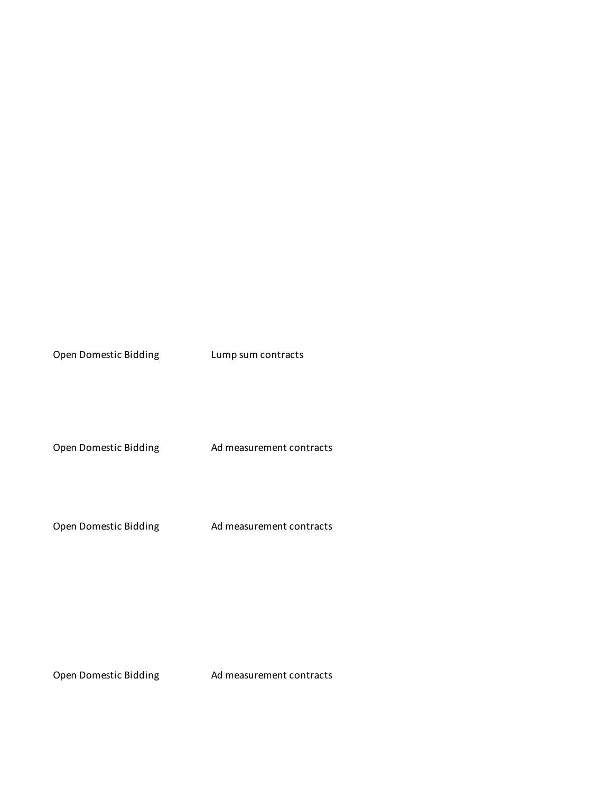| Open Domestic Bidding | Lump sum contracts       |
|-----------------------|--------------------------|
|                       |                          |
|                       |                          |
|                       |                          |
|                       |                          |
|                       |                          |
| Open Domestic Bidding | Ad measurement contracts |
|                       |                          |
|                       |                          |
|                       |                          |
|                       |                          |
| Open Domestic Bidding | Ad measurement contracts |
|                       |                          |
|                       |                          |

Open Domestic Bidding and Ad measurement contracts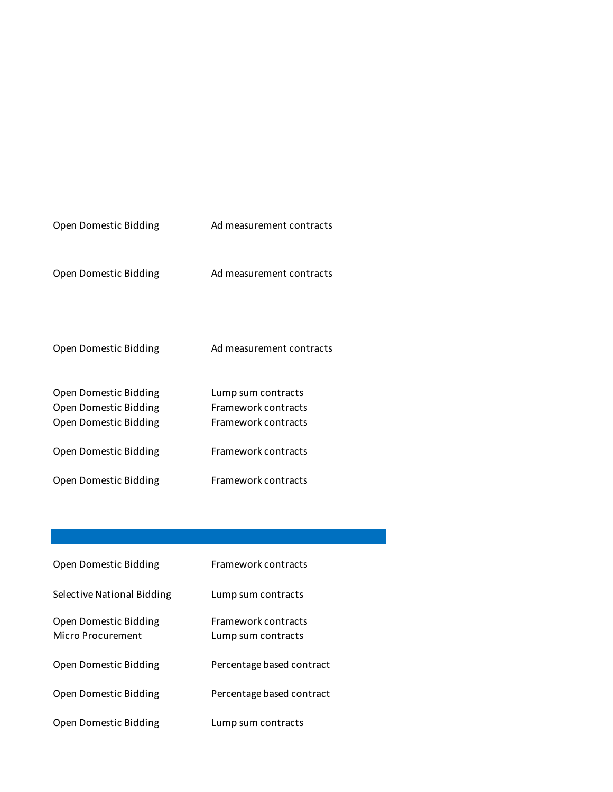| Open Domestic Bidding | Ad measurement contracts |
|-----------------------|--------------------------|
| Open Domestic Bidding | Ad measurement contracts |
| Open Domestic Bidding | Ad measurement contracts |
| Open Domestic Bidding | Lump sum contracts       |
| Open Domestic Bidding | Framework contracts      |
| Open Domestic Bidding | Framework contracts      |
| Open Domestic Bidding | Framework contracts      |
| Open Domestic Bidding | Framework contracts      |

| Open Domestic Bidding                      | <b>Framework contracts</b>                |
|--------------------------------------------|-------------------------------------------|
| Selective National Bidding                 | Lump sum contracts                        |
| Open Domestic Bidding<br>Micro Procurement | Framework contracts<br>Lump sum contracts |
| Open Domestic Bidding                      | Percentage based contract                 |
| Open Domestic Bidding                      | Percentage based contract                 |
| Open Domestic Bidding                      | Lump sum contracts                        |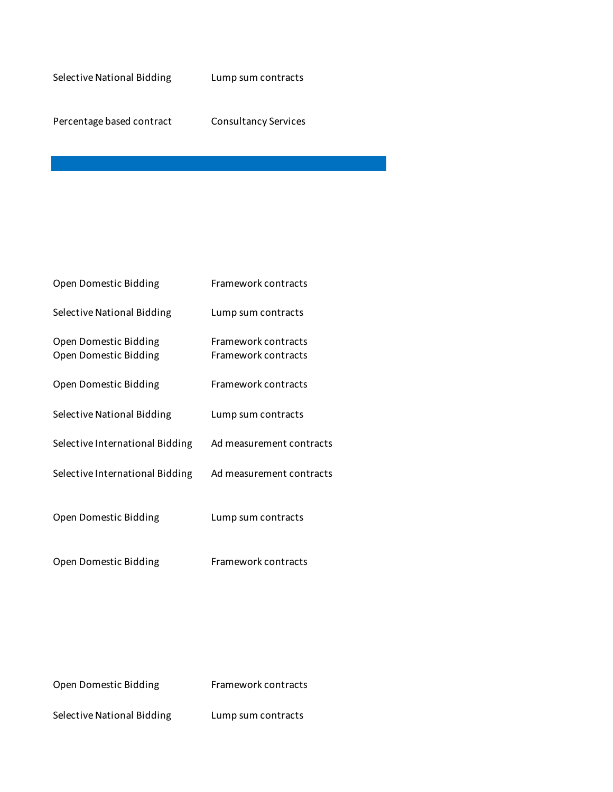Selective National Bidding Lump sum contracts

Percentage based contract Consultancy Services

| Open Domestic Bidding                          | Framework contracts                        |
|------------------------------------------------|--------------------------------------------|
| Selective National Bidding                     | Lump sum contracts                         |
| Open Domestic Bidding<br>Open Domestic Bidding | Framework contracts<br>Framework contracts |
| Open Domestic Bidding                          | Framework contracts                        |
| Selective National Bidding                     | Lump sum contracts                         |
| Selective International Bidding                | Ad measurement contracts                   |
| Selective International Bidding                | Ad measurement contracts                   |
| Open Domestic Bidding                          | Lump sum contracts                         |
| Open Domestic Bidding                          | Framework contracts                        |

Open Domestic Bidding Framework contracts

Selective National Bidding Lump sum contracts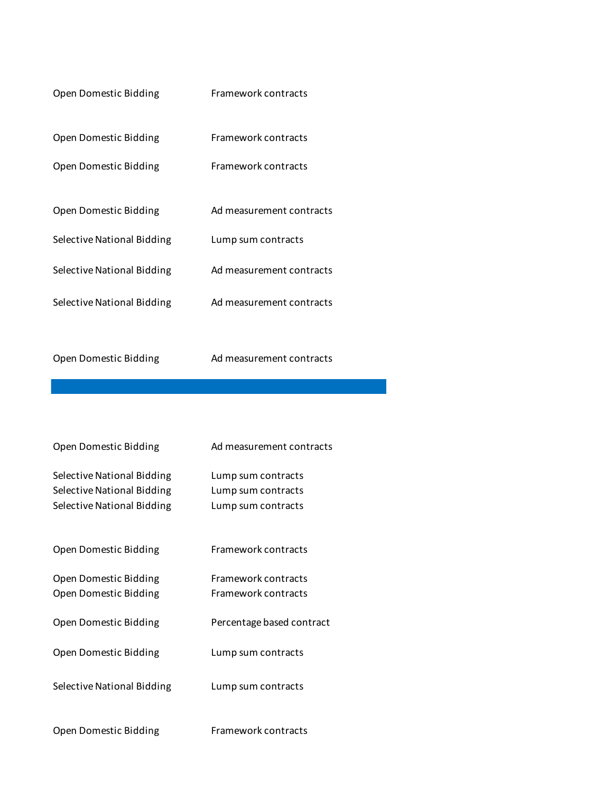| Open Domestic Bidding      | Framework contracts      |
|----------------------------|--------------------------|
| Open Domestic Bidding      | Framework contracts      |
| Open Domestic Bidding      | Framework contracts      |
| Open Domestic Bidding      | Ad measurement contracts |
| Selective National Bidding | Lump sum contracts       |
| Selective National Bidding | Ad measurement contracts |
| Selective National Bidding | Ad measurement contracts |

Open Domestic Bidding and Ad measurement contracts

| Open Domestic Bidding                                                                         | Ad measurement contracts                                       |
|-----------------------------------------------------------------------------------------------|----------------------------------------------------------------|
| <b>Selective National Bidding</b><br>Selective National Bidding<br>Selective National Bidding | Lump sum contracts<br>Lump sum contracts<br>Lump sum contracts |
| Open Domestic Bidding                                                                         | Framework contracts                                            |
| Open Domestic Bidding<br>Open Domestic Bidding                                                | Framework contracts<br>Framework contracts                     |
| Open Domestic Bidding                                                                         | Percentage based contract                                      |
| Open Domestic Bidding                                                                         | Lump sum contracts                                             |
| Selective National Bidding                                                                    | Lump sum contracts                                             |
| Open Domestic Bidding                                                                         | Framework contracts                                            |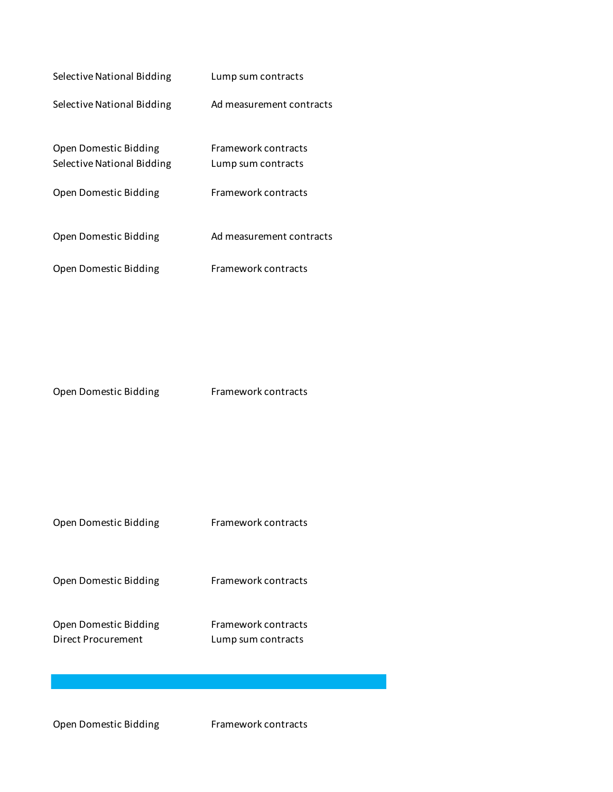| Selective National Bidding                          | Lump sum contracts                        |
|-----------------------------------------------------|-------------------------------------------|
| Selective National Bidding                          | Ad measurement contracts                  |
| Open Domestic Bidding<br>Selective National Bidding | Framework contracts<br>Lump sum contracts |
| Open Domestic Bidding                               | Framework contracts                       |
| Open Domestic Bidding                               | Ad measurement contracts                  |
| Open Domestic Bidding                               | Framework contracts                       |

Open Domestic Bidding Framework contracts

Open Domestic Bidding Framework contracts

Open Domestic Bidding Framework contracts

Open Domestic Bidding Framework contracts Direct Procurement Lump sum contracts

Open Domestic Bidding Framework contracts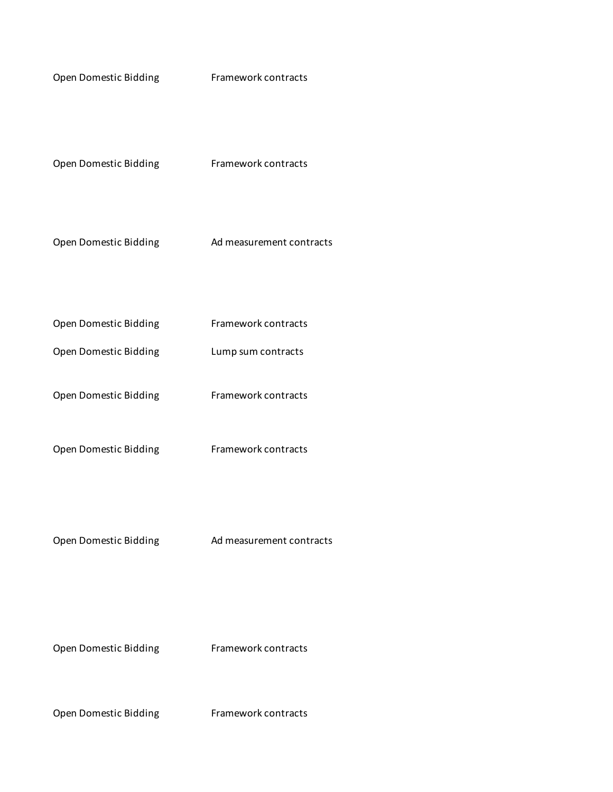| Open Domestic Bidding        | Framework contracts      |
|------------------------------|--------------------------|
| <b>Open Domestic Bidding</b> | Framework contracts      |
| Open Domestic Bidding        | Ad measurement contracts |
| Open Domestic Bidding        | Framework contracts      |
| Open Domestic Bidding        | Lump sum contracts       |
| Open Domestic Bidding        | Framework contracts      |
| Open Domestic Bidding        | Framework contracts      |
| Open Domestic Bidding        | Ad measurement contracts |
| Open Domestic Bidding        | Framework contracts      |
| Open Domestic Bidding        | Framework contracts      |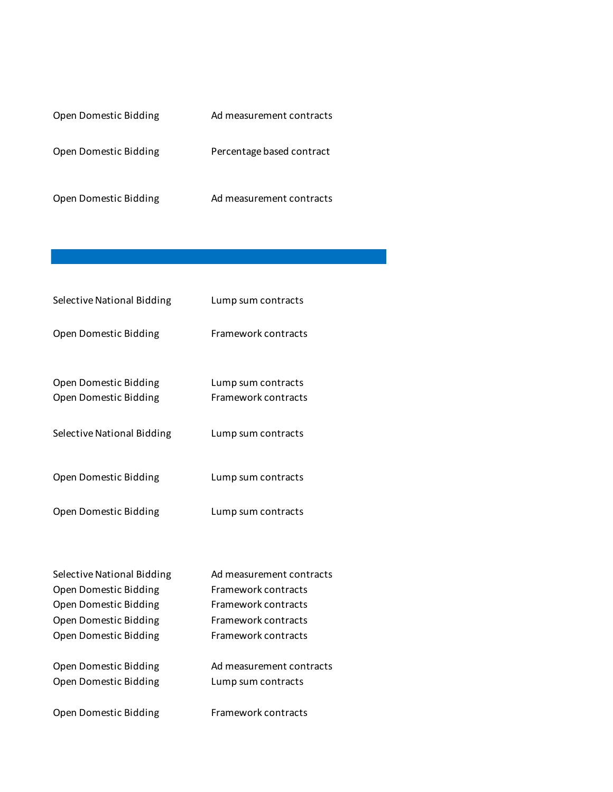| Open Domestic Bidding | Ad measurement contracts  |
|-----------------------|---------------------------|
| Open Domestic Bidding | Percentage based contract |
| Open Domestic Bidding | Ad measurement contracts  |

| Selective National Bidding                     | Lump sum contracts                        |
|------------------------------------------------|-------------------------------------------|
| Open Domestic Bidding                          | Framework contracts                       |
| Open Domestic Bidding<br>Open Domestic Bidding | Lump sum contracts<br>Framework contracts |
| Selective National Bidding                     | Lump sum contracts                        |
| Open Domestic Bidding                          | Lump sum contracts                        |
| Open Domestic Bidding                          | Lump sum contracts                        |
|                                                |                                           |

| Selective National Bidding | Ad measurement contracts |
|----------------------------|--------------------------|
| Open Domestic Bidding      | Framework contracts      |
| Open Domestic Bidding      | Framework contracts      |
| Open Domestic Bidding      | Framework contracts      |
| Open Domestic Bidding      | Framework contracts      |
|                            |                          |
| Open Domestic Bidding      | Ad measurement contracts |
| Open Domestic Bidding      | Lump sum contracts       |
|                            |                          |
| Open Domestic Bidding      | Framework contracts      |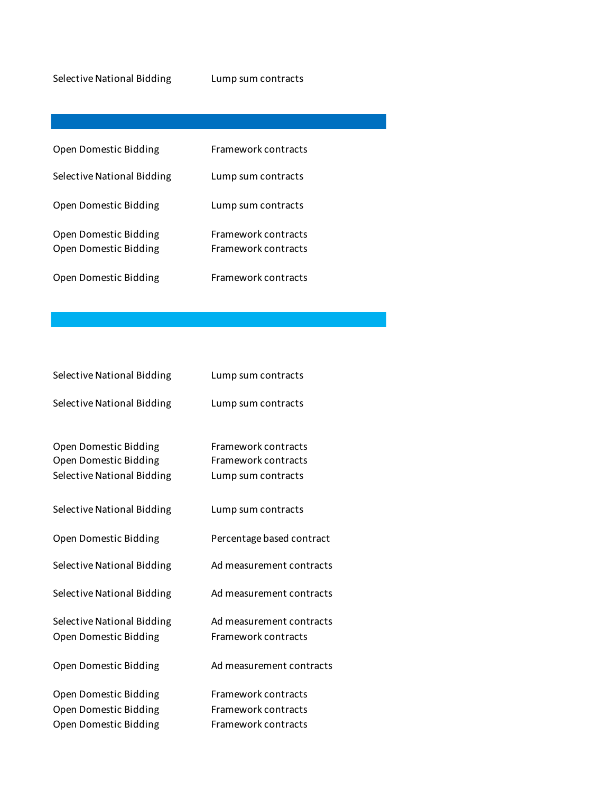| Open Domestic Bidding                          | Framework contracts                        |
|------------------------------------------------|--------------------------------------------|
| Selective National Bidding                     | Lump sum contracts                         |
| Open Domestic Bidding                          | Lump sum contracts                         |
| Open Domestic Bidding<br>Open Domestic Bidding | Framework contracts<br>Framework contracts |
| Open Domestic Bidding                          | Framework contracts                        |

| Selective National Bidding                                                   | Lump sum contracts                                                |
|------------------------------------------------------------------------------|-------------------------------------------------------------------|
| Selective National Bidding                                                   | Lump sum contracts                                                |
| Open Domestic Bidding<br>Open Domestic Bidding<br>Selective National Bidding | Framework contracts<br>Framework contracts<br>Lump sum contracts  |
| Selective National Bidding                                                   | Lump sum contracts                                                |
| Open Domestic Bidding                                                        | Percentage based contract                                         |
| Selective National Bidding                                                   | Ad measurement contracts                                          |
| Selective National Bidding                                                   | Ad measurement contracts                                          |
| Selective National Bidding<br>Open Domestic Bidding                          | Ad measurement contracts<br>Framework contracts                   |
| Open Domestic Bidding                                                        | Ad measurement contracts                                          |
| Open Domestic Bidding<br>Open Domestic Bidding<br>Open Domestic Bidding      | Framework contracts<br>Framework contracts<br>Framework contracts |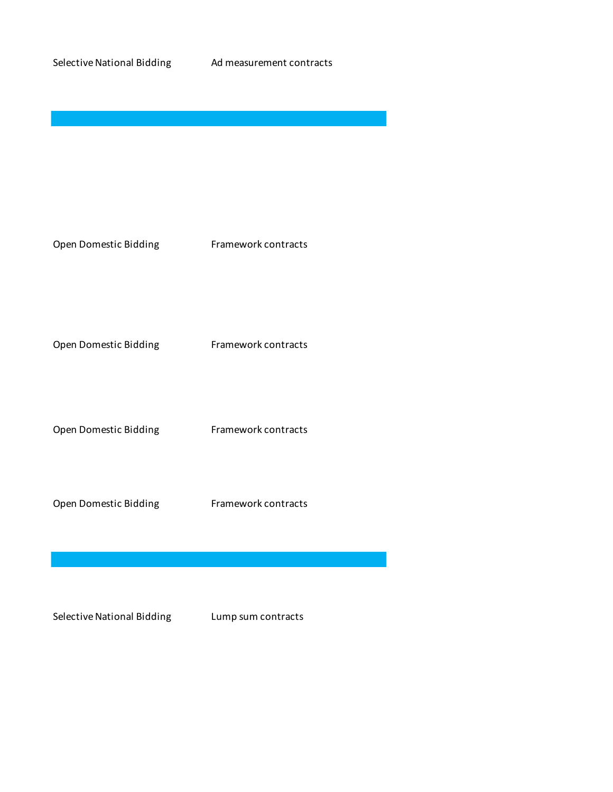

Selective National Bidding Lump sum contracts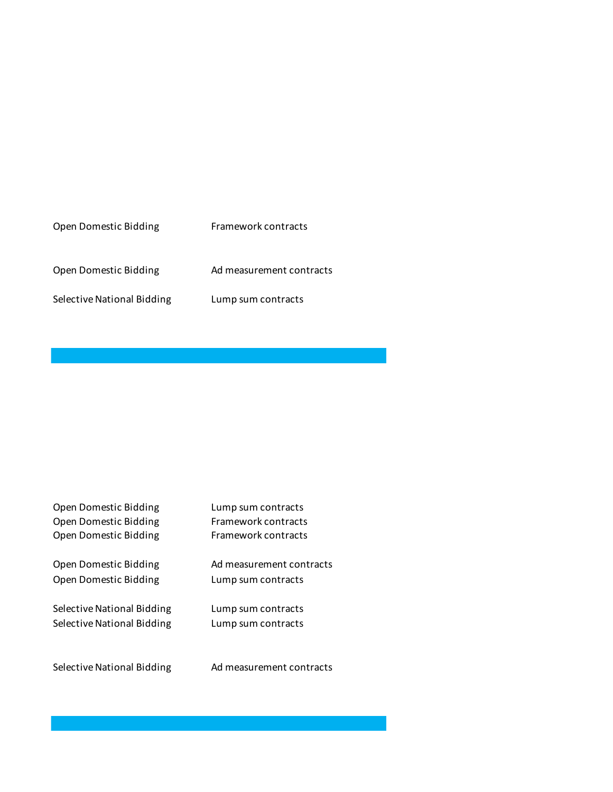| Open Domestic Bidding      | Framework contracts      |
|----------------------------|--------------------------|
| Open Domestic Bidding      | Ad measurement contracts |
| Selective National Bidding | Lump sum contracts       |

| Open Domestic Bidding      | Lump sum contracts       |
|----------------------------|--------------------------|
| Open Domestic Bidding      | Framework contracts      |
| Open Domestic Bidding      | Framework contracts      |
| Open Domestic Bidding      | Ad measurement contracts |
| Open Domestic Bidding      | Lump sum contracts       |
| Selective National Bidding | Lump sum contracts       |
| Selective National Bidding | Lump sum contracts       |
|                            |                          |
| Selective National Bidding | Ad measurement contracts |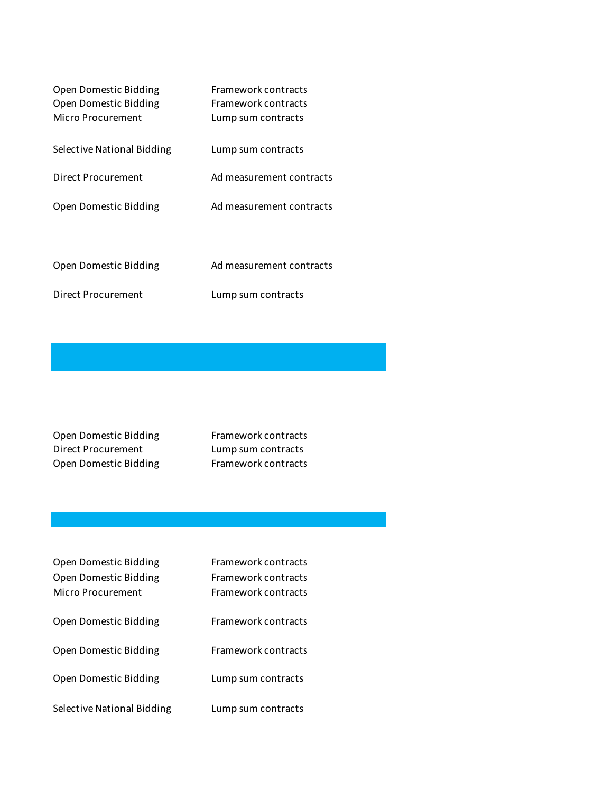| Open Domestic Bidding<br>Open Domestic Bidding<br>Micro Procurement | Framework contracts<br>Framework contracts<br>Lump sum contracts |
|---------------------------------------------------------------------|------------------------------------------------------------------|
| Selective National Bidding                                          | Lump sum contracts                                               |
| Direct Procurement                                                  | Ad measurement contracts                                         |
| Open Domestic Bidding                                               | Ad measurement contracts                                         |
|                                                                     |                                                                  |
| Open Domestic Bidding                                               | Ad measurement contracts                                         |
| Direct Procurement                                                  | Lump sum contracts                                               |

Open Domestic Bidding Framework contracts Direct Procurement Lump sum contracts Open Domestic Bidding Framework contracts

| Open Domestic Bidding      | Framework contracts |
|----------------------------|---------------------|
| Open Domestic Bidding      | Framework contracts |
| Micro Procurement          | Framework contracts |
|                            |                     |
| Open Domestic Bidding      | Framework contracts |
| Open Domestic Bidding      | Framework contracts |
|                            |                     |
| Open Domestic Bidding      | Lump sum contracts  |
|                            |                     |
| Selective National Bidding | Lump sum contracts  |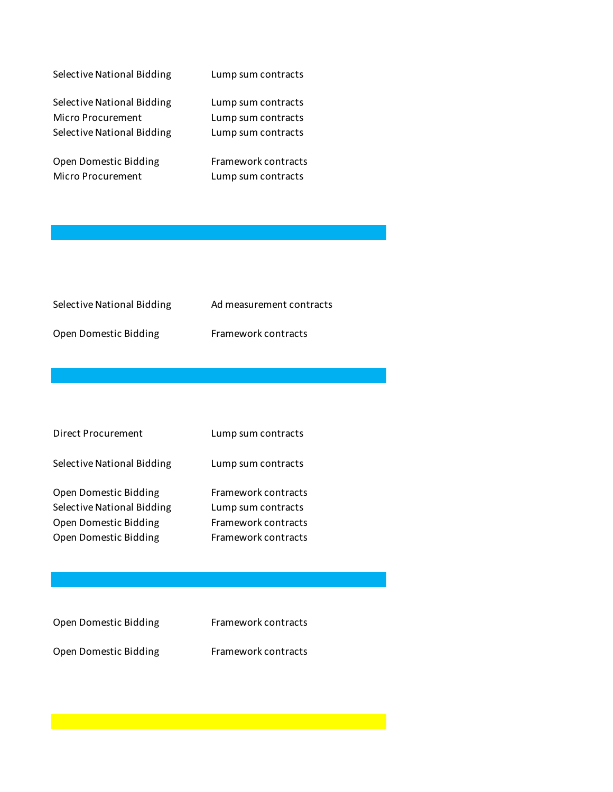| Selective National Bidding | Lump sum contracts  |
|----------------------------|---------------------|
| Selective National Bidding | Lump sum contracts  |
| Micro Procurement          | Lump sum contracts  |
| Selective National Bidding | Lump sum contracts  |
| Open Domestic Bidding      | Framework contracts |
| Micro Procurement          | Lump sum contracts  |

| Selective National Bidding | Ad measurement contracts |
|----------------------------|--------------------------|
| Open Domestic Bidding      | Framework contracts      |

| Direct Procurement         | Lump sum contracts  |
|----------------------------|---------------------|
| Selective National Bidding | Lump sum contracts  |
| Open Domestic Bidding      | Framework contracts |
| Selective National Bidding | Lump sum contracts  |
| Open Domestic Bidding      | Framework contracts |
| Open Domestic Bidding      | Framework contracts |

| Open Domestic Bidding |  |
|-----------------------|--|
| Onen Domestic Ridding |  |

Framework contracts

Open Domestic Bidding Framework contracts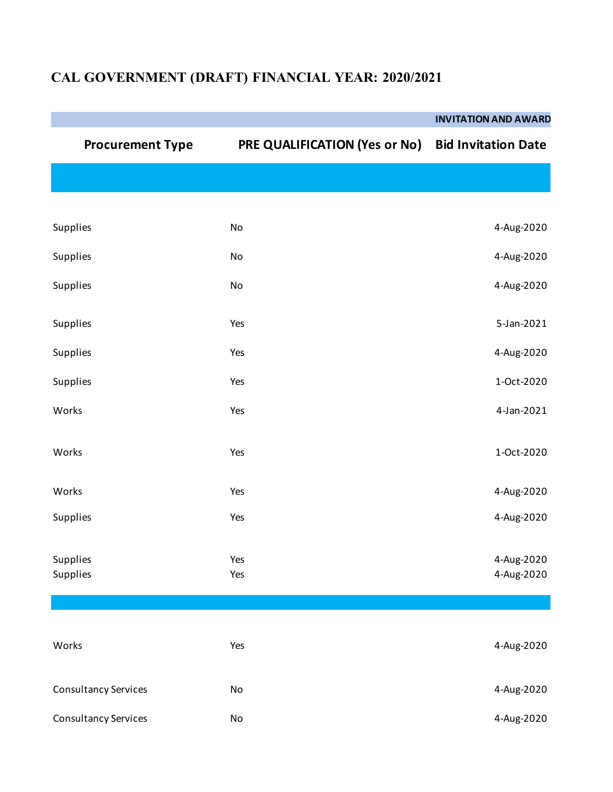# **CAL GOVERNMENT (DRAFT) FINANCIAL YEAR: 2020/2021**

|                             |                               | <b>INVITATION AND AWARD</b> |
|-----------------------------|-------------------------------|-----------------------------|
| <b>Procurement Type</b>     | PRE QUALIFICATION (Yes or No) | <b>Bid Invitation Date</b>  |
|                             |                               |                             |
|                             |                               |                             |
| Supplies                    | $\mathsf{No}$                 | 4-Aug-2020                  |
| Supplies                    | $\mathsf{No}$                 | 4-Aug-2020                  |
| Supplies                    | $\operatorname{\mathsf{No}}$  | 4-Aug-2020                  |
| Supplies                    | Yes                           | 5-Jan-2021                  |
| Supplies                    | Yes                           | 4-Aug-2020                  |
| Supplies                    | Yes                           | 1-Oct-2020                  |
| Works                       | Yes                           | 4-Jan-2021                  |
| Works                       | Yes                           | 1-Oct-2020                  |
| Works                       | Yes                           | 4-Aug-2020                  |
| Supplies                    | Yes                           | 4-Aug-2020                  |
| Supplies                    | Yes                           | 4-Aug-2020                  |
| Supplies                    | Yes                           | 4-Aug-2020                  |
|                             |                               |                             |
| Works                       | Yes                           | 4-Aug-2020                  |
| Consultancy Services        | $\operatorname{\mathsf{No}}$  | 4-Aug-2020                  |
| <b>Consultancy Services</b> | $\operatorname{\mathsf{No}}$  | 4-Aug-2020                  |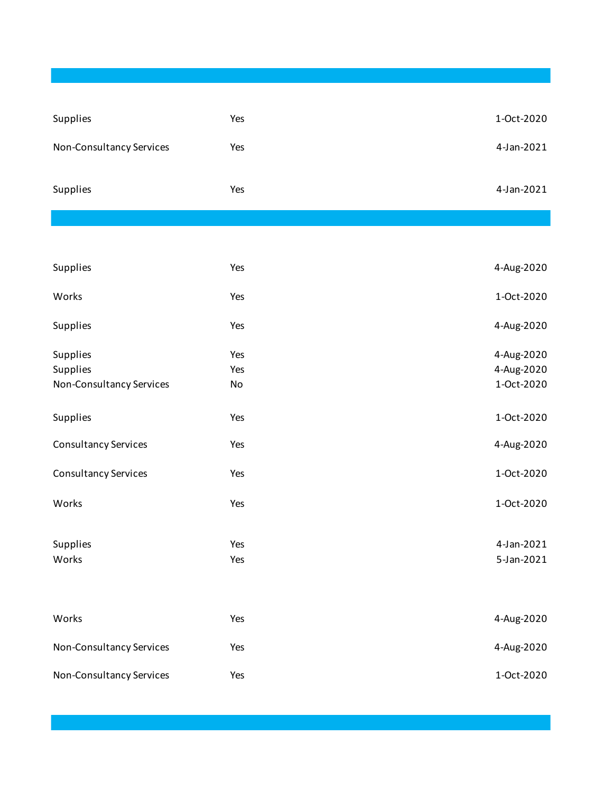| Supplies                 | Yes | 1-Oct-2020 |
|--------------------------|-----|------------|
| Non-Consultancy Services | Yes | 4-Jan-2021 |
| Supplies                 | Yes | 4-Jan-2021 |

| Supplies                    | Yes        | 4-Aug-2020               |
|-----------------------------|------------|--------------------------|
| Works                       | Yes        | 1-Oct-2020               |
| Supplies                    | Yes        | 4-Aug-2020               |
| Supplies<br>Supplies        | Yes<br>Yes | 4-Aug-2020<br>4-Aug-2020 |
| Non-Consultancy Services    | <b>No</b>  | 1-Oct-2020               |
| Supplies                    | Yes        | 1-Oct-2020               |
| <b>Consultancy Services</b> | Yes        | 4-Aug-2020               |
| <b>Consultancy Services</b> | Yes        | 1-Oct-2020               |
| Works                       | Yes        | 1-Oct-2020               |
| Supplies                    | Yes        | 4-Jan-2021               |
| Works                       | Yes        | 5-Jan-2021               |
|                             |            |                          |
| Works                       | Yes        | 4-Aug-2020               |
| Non-Consultancy Services    | Yes        | 4-Aug-2020               |
| Non-Consultancy Services    | Yes        | 1-Oct-2020               |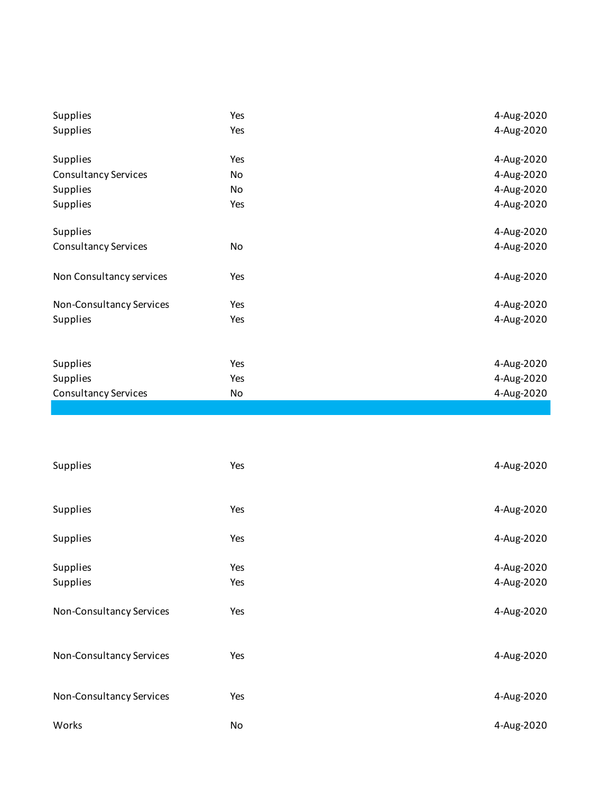| <b>Supplies</b>             | Yes | 4-Aug-2020 |
|-----------------------------|-----|------------|
| <b>Supplies</b>             | Yes | 4-Aug-2020 |
|                             |     |            |
| Supplies                    | Yes | 4-Aug-2020 |
| <b>Consultancy Services</b> | No  | 4-Aug-2020 |
| Supplies                    | No  | 4-Aug-2020 |
| Supplies                    | Yes | 4-Aug-2020 |
|                             |     |            |
| <b>Supplies</b>             |     | 4-Aug-2020 |
| <b>Consultancy Services</b> | No  | 4-Aug-2020 |
|                             |     |            |
| Non Consultancy services    | Yes | 4-Aug-2020 |
|                             |     |            |
| Non-Consultancy Services    | Yes | 4-Aug-2020 |
| Supplies                    | Yes | 4-Aug-2020 |
|                             |     |            |
|                             |     |            |
| Supplies                    | Yes | 4-Aug-2020 |
| Supplies                    | Yes | 4-Aug-2020 |
| <b>Consultancy Services</b> | No  | 4-Aug-2020 |
|                             |     |            |

| Supplies                 | Yes        | 4-Aug-2020               |
|--------------------------|------------|--------------------------|
| Supplies                 | Yes        | 4-Aug-2020               |
| Supplies                 | Yes        | 4-Aug-2020               |
| Supplies<br>Supplies     | Yes<br>Yes | 4-Aug-2020<br>4-Aug-2020 |
| Non-Consultancy Services | Yes        | 4-Aug-2020               |
| Non-Consultancy Services | Yes        | 4-Aug-2020               |
| Non-Consultancy Services | Yes        | 4-Aug-2020               |
| Works                    | No         | 4-Aug-2020               |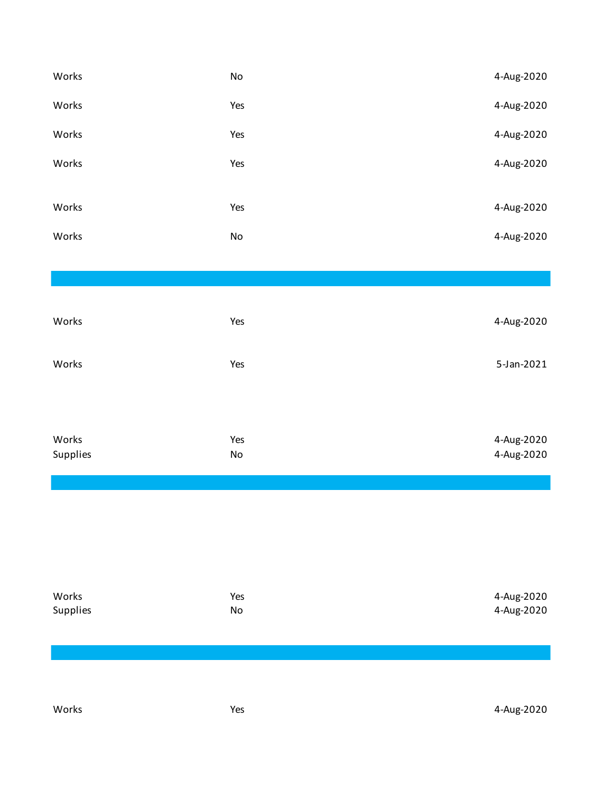| $\mathsf{No}$                | 4-Aug-2020 |
|------------------------------|------------|
| Yes                          | 4-Aug-2020 |
| Yes                          | 4-Aug-2020 |
| Yes                          | 4-Aug-2020 |
|                              |            |
| Yes                          | 4-Aug-2020 |
| $\operatorname{\mathsf{No}}$ | 4-Aug-2020 |
|                              |            |
|                              |            |
|                              |            |
| Yes                          | 4-Aug-2020 |
| Yes                          | 5-Jan-2021 |
|                              |            |
|                              |            |
| Yes                          | 4-Aug-2020 |
| $\operatorname{\mathsf{No}}$ | 4-Aug-2020 |
|                              |            |

| Works    | Yes | 4-Aug-2020 |
|----------|-----|------------|
| Supplies | No  | 4-Aug-2020 |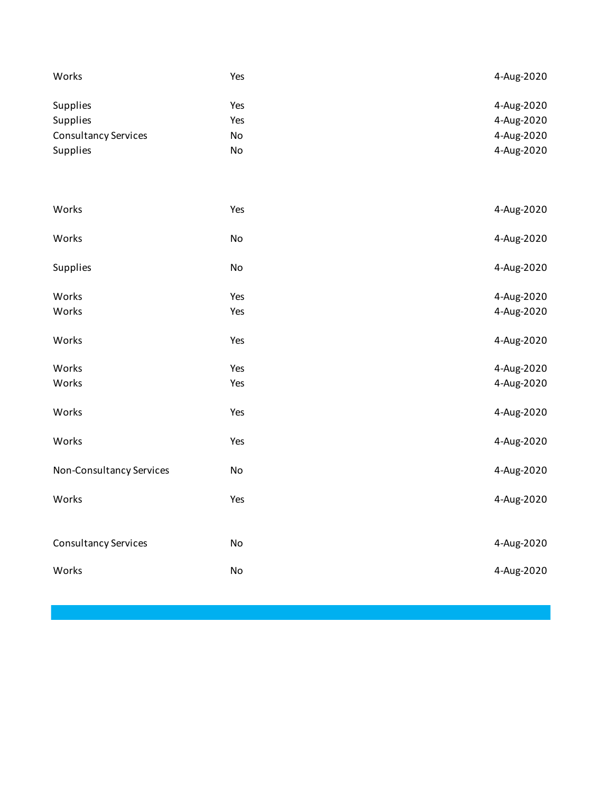| Works                       | Yes       | 4-Aug-2020 |
|-----------------------------|-----------|------------|
| Supplies                    | Yes       | 4-Aug-2020 |
| Supplies                    | Yes       | 4-Aug-2020 |
| Consultancy Services        | No        | 4-Aug-2020 |
| Supplies                    | No        | 4-Aug-2020 |
|                             |           |            |
| Works                       | Yes       | 4-Aug-2020 |
| Works                       | No        | 4-Aug-2020 |
| Supplies                    | <b>No</b> | 4-Aug-2020 |
| Works                       | Yes       | 4-Aug-2020 |
| Works                       | Yes       | 4-Aug-2020 |
| Works                       | Yes       | 4-Aug-2020 |
| Works                       | Yes       | 4-Aug-2020 |
| Works                       | Yes       | 4-Aug-2020 |
| Works                       | Yes       | 4-Aug-2020 |
| Works                       | Yes       | 4-Aug-2020 |
| Non-Consultancy Services    | No        | 4-Aug-2020 |
| Works                       | Yes       | 4-Aug-2020 |
| <b>Consultancy Services</b> | <b>No</b> | 4-Aug-2020 |
|                             |           |            |
| Works                       | No        | 4-Aug-2020 |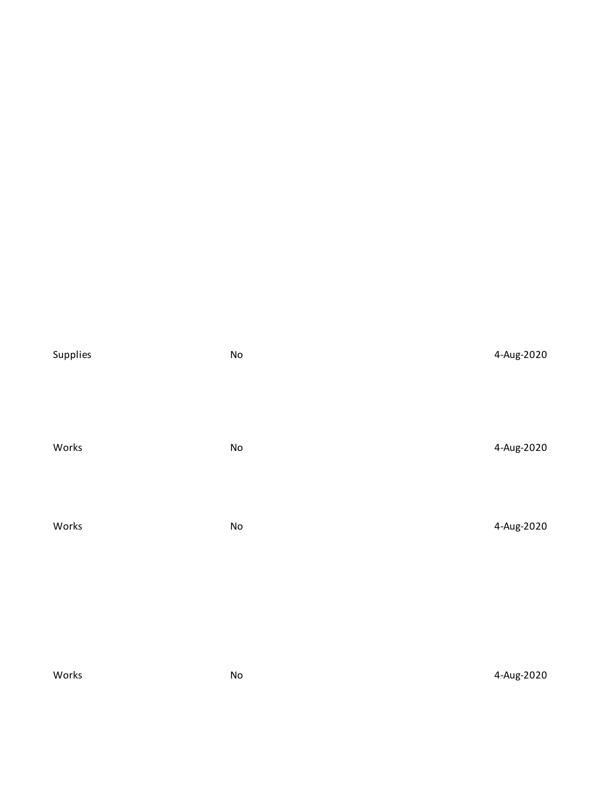| Supplies | No                           | 4-Aug-2020 |
|----------|------------------------------|------------|
| Works    | $\mathsf{No}$                | 4-Aug-2020 |
|          |                              |            |
| Works    | $\operatorname{\mathsf{No}}$ | 4-Aug-2020 |
|          |                              |            |
|          |                              |            |
| Works    | $\operatorname{\mathsf{No}}$ | 4-Aug-2020 |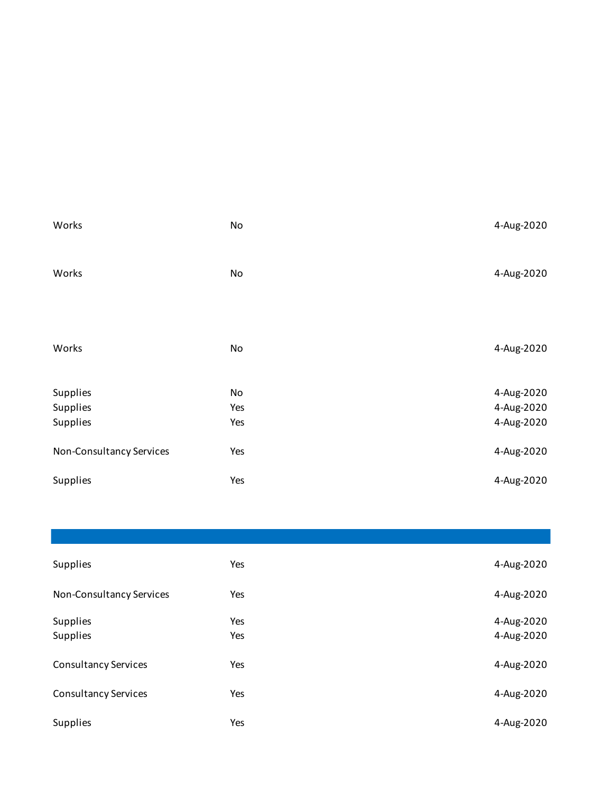| Works                    | No  | 4-Aug-2020 |
|--------------------------|-----|------------|
| Works                    | No  | 4-Aug-2020 |
|                          |     |            |
| Works                    | No  | 4-Aug-2020 |
| Supplies                 | No  | 4-Aug-2020 |
| Supplies                 | Yes | 4-Aug-2020 |
| Supplies                 | Yes | 4-Aug-2020 |
| Non-Consultancy Services | Yes | 4-Aug-2020 |
| Supplies                 | Yes | 4-Aug-2020 |

| Supplies                    | Yes | 4-Aug-2020 |
|-----------------------------|-----|------------|
| Non-Consultancy Services    | Yes | 4-Aug-2020 |
| Supplies                    | Yes | 4-Aug-2020 |
| Supplies                    | Yes | 4-Aug-2020 |
| <b>Consultancy Services</b> | Yes | 4-Aug-2020 |
| <b>Consultancy Services</b> | Yes | 4-Aug-2020 |
| Supplies                    | Yes | 4-Aug-2020 |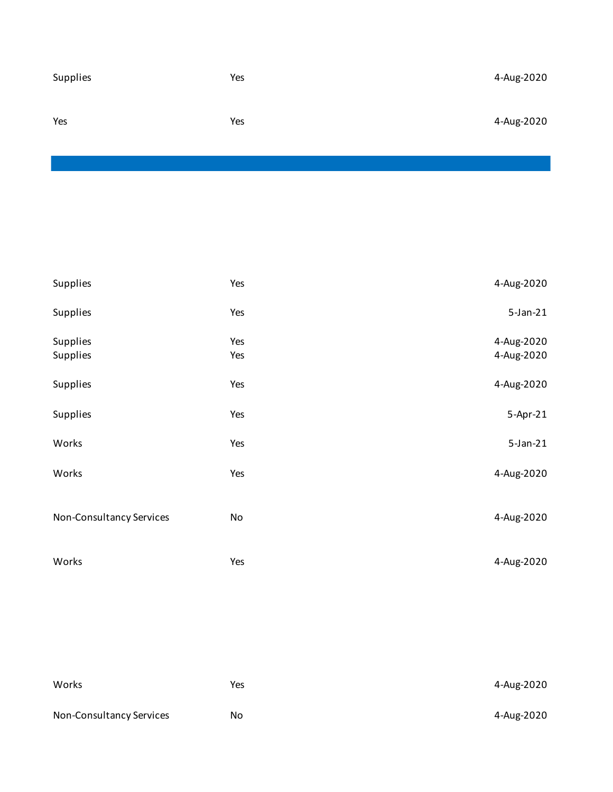| Supplies | Yes | 4-Aug-2020 |
|----------|-----|------------|
| Yes      | Yes | 4-Aug-2020 |

| Supplies                 | Yes        | 4-Aug-2020               |
|--------------------------|------------|--------------------------|
| Supplies                 | Yes        | $5$ -Jan-21              |
| Supplies<br>Supplies     | Yes<br>Yes | 4-Aug-2020<br>4-Aug-2020 |
| Supplies                 | Yes        | 4-Aug-2020               |
| Supplies                 | Yes        | 5-Apr-21                 |
| Works                    | Yes        | $5$ -Jan $-21$           |
| Works                    | Yes        | 4-Aug-2020               |
| Non-Consultancy Services | No         | 4-Aug-2020               |
| Works                    | Yes        | 4-Aug-2020               |

| Works                    | Yes | 4-Aug-2020 |
|--------------------------|-----|------------|
| Non-Consultancy Services | No  | 4-Aug-2020 |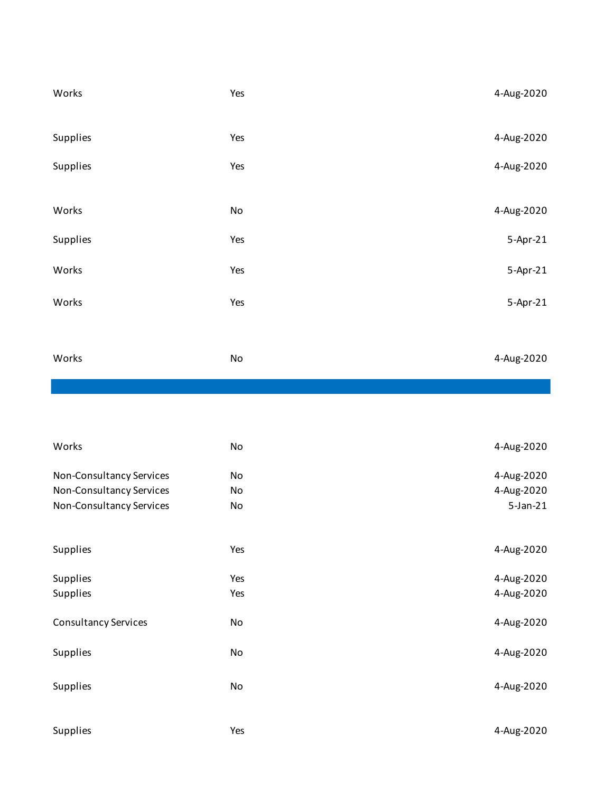| Works    | Yes | 4-Aug-2020 |
|----------|-----|------------|
|          |     |            |
| Supplies | Yes | 4-Aug-2020 |
| Supplies | Yes | 4-Aug-2020 |
|          |     |            |
| Works    | No  | 4-Aug-2020 |
| Supplies | Yes | 5-Apr-21   |
| Works    | Yes | 5-Apr-21   |
| Works    | Yes | 5-Apr-21   |
|          |     |            |
| Works    | No  | 4-Aug-2020 |

| Works                       | No  | 4-Aug-2020 |  |
|-----------------------------|-----|------------|--|
| Non-Consultancy Services    | No  | 4-Aug-2020 |  |
| Non-Consultancy Services    | No  | 4-Aug-2020 |  |
| Non-Consultancy Services    | No  | $5-Jan-21$ |  |
|                             |     |            |  |
| Supplies                    | Yes | 4-Aug-2020 |  |
| Supplies                    | Yes | 4-Aug-2020 |  |
| Supplies                    | Yes | 4-Aug-2020 |  |
| <b>Consultancy Services</b> | No  | 4-Aug-2020 |  |
| Supplies                    | No  | 4-Aug-2020 |  |
| Supplies                    | No  | 4-Aug-2020 |  |
| Supplies                    | Yes | 4-Aug-2020 |  |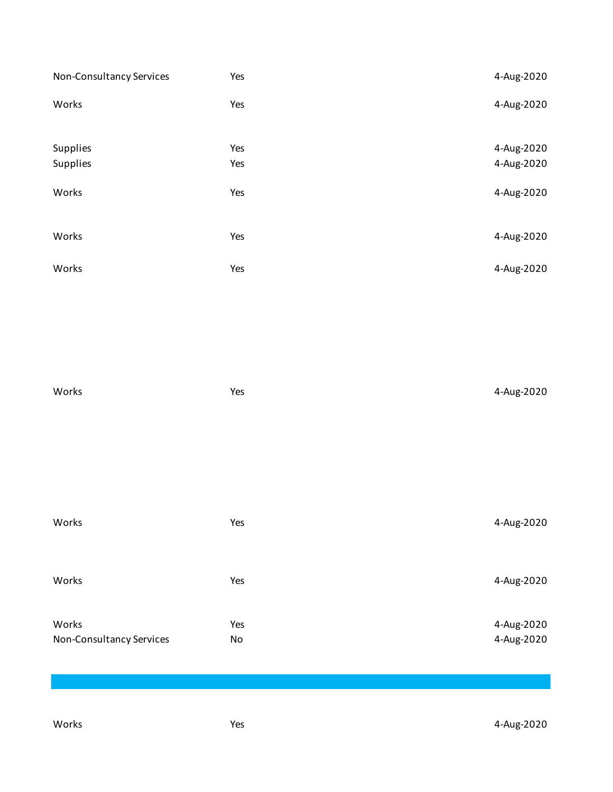| Non-Consultancy Services          | Yes                                 | 4-Aug-2020               |
|-----------------------------------|-------------------------------------|--------------------------|
| Works                             | Yes                                 | 4-Aug-2020               |
|                                   |                                     |                          |
| Supplies                          | Yes                                 | 4-Aug-2020               |
| Supplies                          | Yes                                 | 4-Aug-2020               |
| Works                             | Yes                                 | 4-Aug-2020               |
| Works                             | Yes                                 | 4-Aug-2020               |
|                                   |                                     |                          |
| Works                             | Yes                                 | 4-Aug-2020               |
|                                   |                                     |                          |
|                                   |                                     |                          |
|                                   |                                     |                          |
|                                   |                                     |                          |
|                                   |                                     |                          |
| Works                             | Yes                                 | 4-Aug-2020               |
|                                   |                                     |                          |
|                                   |                                     |                          |
|                                   |                                     |                          |
|                                   |                                     |                          |
|                                   |                                     |                          |
|                                   |                                     |                          |
|                                   |                                     |                          |
|                                   |                                     |                          |
| Works                             | Yes                                 | 4-Aug-2020               |
|                                   |                                     |                          |
|                                   |                                     |                          |
| Works                             | Yes                                 | 4-Aug-2020               |
|                                   |                                     |                          |
| Works<br>Non-Consultancy Services | Yes<br>$\operatorname{\mathsf{No}}$ | 4-Aug-2020<br>4-Aug-2020 |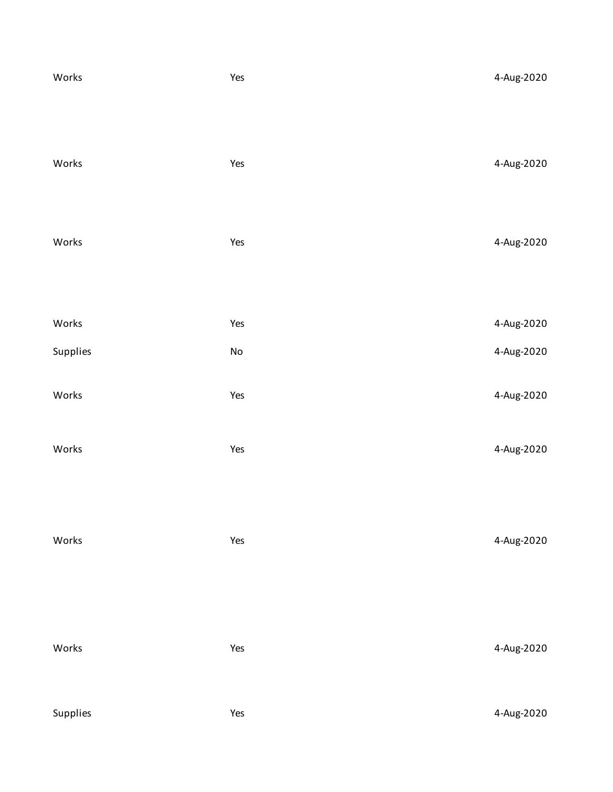| Works    | Yes                          | 4-Aug-2020 |
|----------|------------------------------|------------|
| Works    | Yes                          | 4-Aug-2020 |
| Works    | Yes                          | 4-Aug-2020 |
|          |                              |            |
| Works    | Yes                          | 4-Aug-2020 |
| Supplies | $\operatorname{\mathsf{No}}$ | 4-Aug-2020 |
| Works    | Yes                          | 4-Aug-2020 |
| Works    | Yes                          | 4-Aug-2020 |
|          |                              |            |
| Works    | Yes                          | 4-Aug-2020 |
|          |                              |            |
| Works    | Yes                          | 4-Aug-2020 |
|          |                              |            |
| Supplies | Yes                          | 4-Aug-2020 |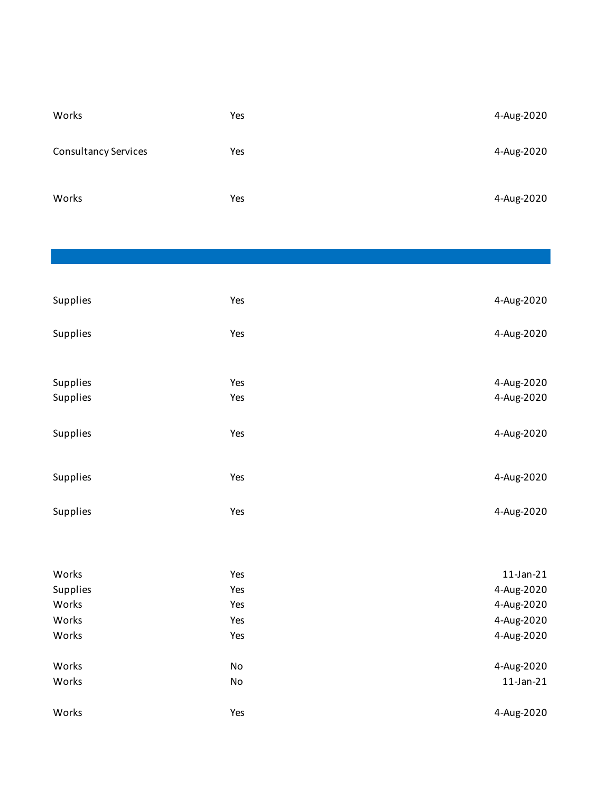| Works                       | Yes | 4-Aug-2020 |
|-----------------------------|-----|------------|
| <b>Consultancy Services</b> | Yes | 4-Aug-2020 |
| Works                       | Yes | 4-Aug-2020 |

| <b>Supplies</b> | Yes           | 4-Aug-2020   |
|-----------------|---------------|--------------|
| <b>Supplies</b> | Yes           | 4-Aug-2020   |
|                 |               |              |
| <b>Supplies</b> | Yes           | 4-Aug-2020   |
| <b>Supplies</b> | Yes           | 4-Aug-2020   |
| <b>Supplies</b> | Yes           | 4-Aug-2020   |
| Supplies        | Yes           | 4-Aug-2020   |
| <b>Supplies</b> | Yes           | 4-Aug-2020   |
|                 |               |              |
| Works           | Yes           | $11$ -Jan-21 |
| <b>Supplies</b> | Yes           | 4-Aug-2020   |
| Works           | Yes           | 4-Aug-2020   |
| Works           | Yes           | 4-Aug-2020   |
| Works           | Yes           | 4-Aug-2020   |
| Works           | $\mathsf{No}$ | 4-Aug-2020   |

| Works | Yes | 4-Aug-2020 |
|-------|-----|------------|

works and the state of the No terms of the No terms of the No terms of the No terms of the No terms of the No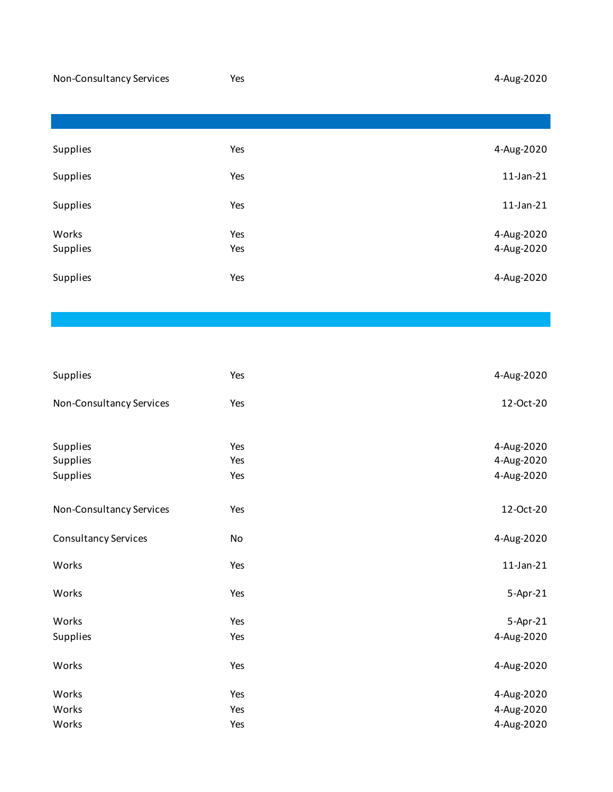| Supplies          | Yes        | 4-Aug-2020               |
|-------------------|------------|--------------------------|
| Supplies          | Yes        | $11$ -Jan- $21$          |
| Supplies          | Yes        | $11$ -Jan- $21$          |
| Works<br>Supplies | Yes<br>Yes | 4-Aug-2020<br>4-Aug-2020 |
| Supplies          | Yes        | 4-Aug-2020               |

| Supplies                    | Yes | 4-Aug-2020      |
|-----------------------------|-----|-----------------|
| Non-Consultancy Services    | Yes | 12-Oct-20       |
|                             |     |                 |
| Supplies                    | Yes | 4-Aug-2020      |
| Supplies                    | Yes | 4-Aug-2020      |
| Supplies                    | Yes | 4-Aug-2020      |
| Non-Consultancy Services    | Yes | 12-Oct-20       |
| <b>Consultancy Services</b> | No  | 4-Aug-2020      |
| Works                       | Yes | $11$ -Jan- $21$ |
| Works                       | Yes | 5-Apr-21        |
| Works                       | Yes | 5-Apr-21        |
| Supplies                    | Yes | 4-Aug-2020      |
| Works                       | Yes | 4-Aug-2020      |
| Works                       | Yes | 4-Aug-2020      |
| Works                       | Yes | 4-Aug-2020      |
| Works                       | Yes | 4-Aug-2020      |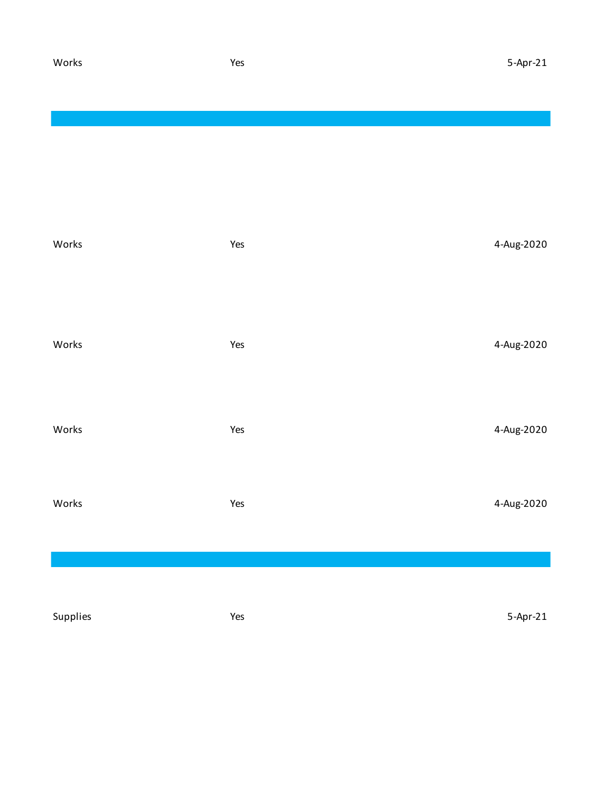|--|--|--|

| Works | Yes | 4-Aug-2020 |
|-------|-----|------------|
| Works | Yes | 4-Aug-2020 |
| Works | Yes | 4-Aug-2020 |
| Works | Yes | 4-Aug-2020 |
|       |     |            |

Supplies 5-Apr-21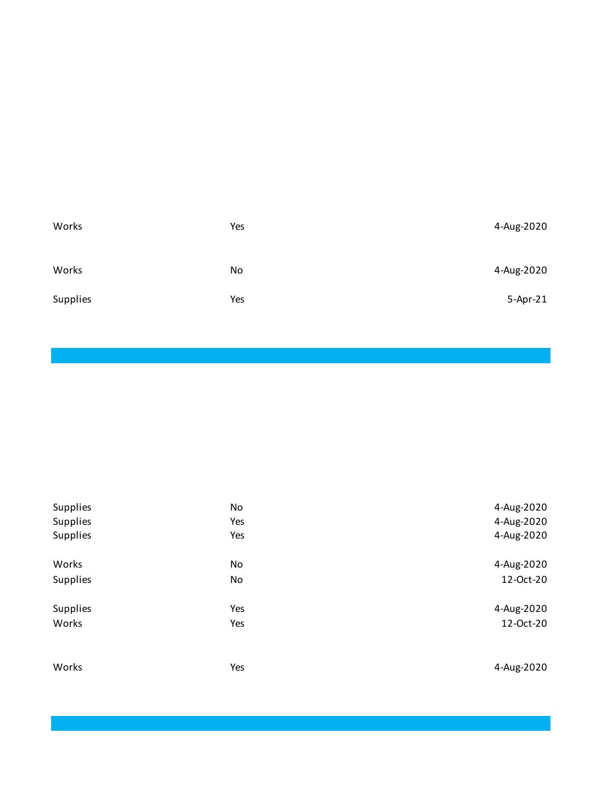| Works    | Yes | 4-Aug-2020 |
|----------|-----|------------|
|          |     |            |
| Works    | No  | 4-Aug-2020 |
| Supplies | Yes | 5-Apr-21   |

| Supplies | No  | 4-Aug-2020 |
|----------|-----|------------|
| Supplies | Yes | 4-Aug-2020 |
| Supplies | Yes | 4-Aug-2020 |
| Works    | No  | 4-Aug-2020 |
| Supplies | No  | 12-Oct-20  |
| Supplies | Yes | 4-Aug-2020 |
| Works    | Yes | 12-Oct-20  |
| Works    | Yes | 4-Aug-2020 |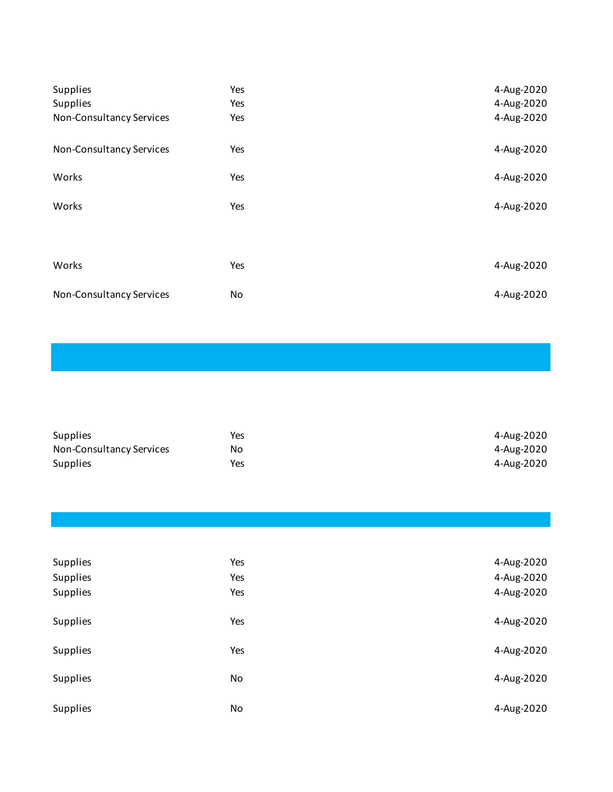| Supplies<br>Supplies<br>Non-Consultancy Services | Yes<br>Yes<br>Yes | 4-Aug-2020<br>4-Aug-2020<br>4-Aug-2020 |
|--------------------------------------------------|-------------------|----------------------------------------|
| Non-Consultancy Services                         | Yes               | 4-Aug-2020                             |
| Works                                            | Yes               | 4-Aug-2020                             |
| Works                                            | Yes               | 4-Aug-2020                             |
|                                                  |                   |                                        |
| Works                                            | Yes               | 4-Aug-2020                             |
| Non-Consultancy Services                         | No                | 4-Aug-2020                             |

| <b>Supplies</b>          | Yes | 4-Aug-2020 |
|--------------------------|-----|------------|
| Non-Consultancy Services | No  | 4-Aug-2020 |
| <b>Supplies</b>          | Yes | 4-Aug-2020 |

| Supplies | Yes | 4-Aug-2020 |
|----------|-----|------------|
| Supplies | Yes | 4-Aug-2020 |
| Supplies | Yes | 4-Aug-2020 |
| Supplies | Yes | 4-Aug-2020 |
| Supplies | Yes | 4-Aug-2020 |
| Supplies | No  | 4-Aug-2020 |
| Supplies | No  | 4-Aug-2020 |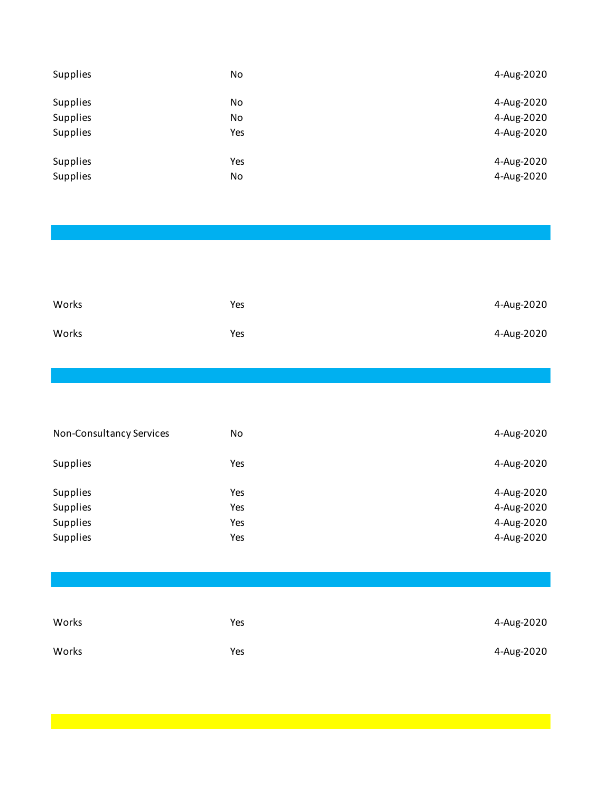| Supplies        | No  | 4-Aug-2020 |
|-----------------|-----|------------|
| Supplies        | No  | 4-Aug-2020 |
| <b>Supplies</b> | No  | 4-Aug-2020 |
| <b>Supplies</b> | Yes | 4-Aug-2020 |
| Supplies        | Yes | 4-Aug-2020 |
| Supplies        | No  | 4-Aug-2020 |

| Works | Yes | 4-Aug-2020 |
|-------|-----|------------|
| Works | Yes | 4-Aug-2020 |

| Non-Consultancy Services | No  | 4-Aug-2020 |
|--------------------------|-----|------------|
| <b>Supplies</b>          | Yes | 4-Aug-2020 |
| Supplies                 | Yes | 4-Aug-2020 |
| Supplies                 | Yes | 4-Aug-2020 |
|                          |     |            |
| Supplies                 | Yes | 4-Aug-2020 |

| Works | Yes | 4-Aug-2020 |
|-------|-----|------------|
|       |     |            |
| Works | Yes | 4-Aug-2020 |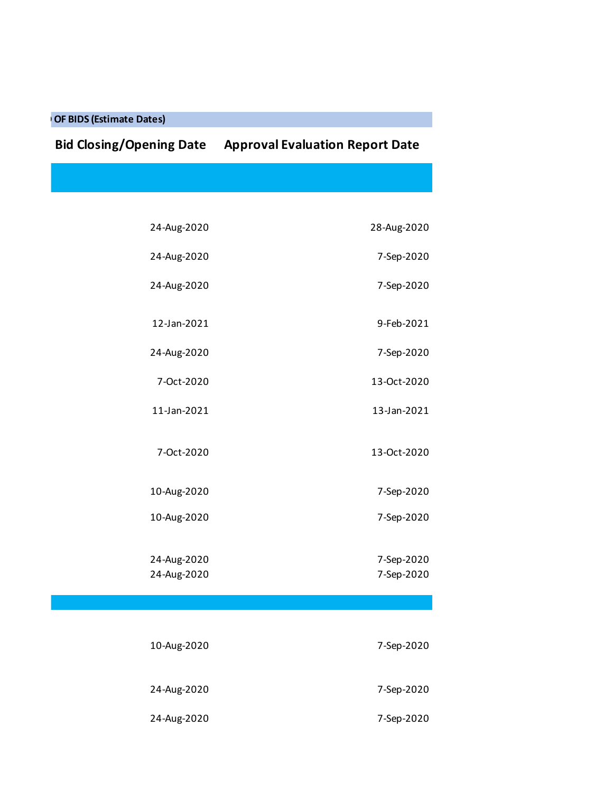## **IOF BIDS (Estimate Dates)**

**Bid Closing/Opening Date Approval Evaluation Report Date**

| 24-Aug-2020 | 28-Aug-2020 |
|-------------|-------------|
| 24-Aug-2020 | 7-Sep-2020  |
| 24-Aug-2020 | 7-Sep-2020  |
| 12-Jan-2021 | 9-Feb-2021  |
| 24-Aug-2020 | 7-Sep-2020  |
| 7-Oct-2020  | 13-Oct-2020 |
| 11-Jan-2021 | 13-Jan-2021 |
| 7-Oct-2020  | 13-Oct-2020 |
| 10-Aug-2020 | 7-Sep-2020  |
| 10-Aug-2020 | 7-Sep-2020  |
| 24-Aug-2020 | 7-Sep-2020  |
| 24-Aug-2020 | 7-Sep-2020  |
|             |             |
| 10-Aug-2020 | 7-Sep-2020  |

24-Aug-2020 7-Sep-2020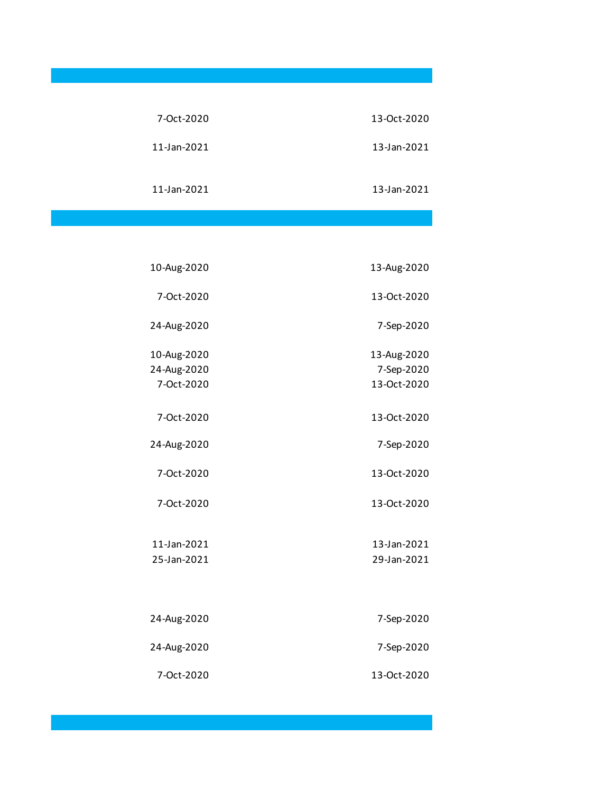| 7-Oct-2020                                                                                                                      | 13-Oct-2020                                                                                                                       |
|---------------------------------------------------------------------------------------------------------------------------------|-----------------------------------------------------------------------------------------------------------------------------------|
| 11-Jan-2021                                                                                                                     | 13-Jan-2021                                                                                                                       |
| 11-Jan-2021                                                                                                                     | 13-Jan-2021                                                                                                                       |
|                                                                                                                                 |                                                                                                                                   |
| 10-Aug-2020                                                                                                                     | 13-Aug-2020                                                                                                                       |
| 7-Oct-2020                                                                                                                      | 13-Oct-2020                                                                                                                       |
| 24-Aug-2020                                                                                                                     | 7-Sep-2020                                                                                                                        |
| 10-Aug-2020<br>24-Aug-2020<br>7-Oct-2020<br>7-Oct-2020<br>24-Aug-2020<br>7-Oct-2020<br>7-Oct-2020<br>11-Jan-2021<br>25-Jan-2021 | 13-Aug-2020<br>7-Sep-2020<br>13-Oct-2020<br>13-Oct-2020<br>7-Sep-2020<br>13-Oct-2020<br>13-Oct-2020<br>13-Jan-2021<br>29-Jan-2021 |
| 24-Aug-2020                                                                                                                     | 7-Sep-2020                                                                                                                        |
| 24-Aug-2020                                                                                                                     | 7-Sep-2020                                                                                                                        |
| 7-Oct-2020                                                                                                                      | 13-Oct-2020                                                                                                                       |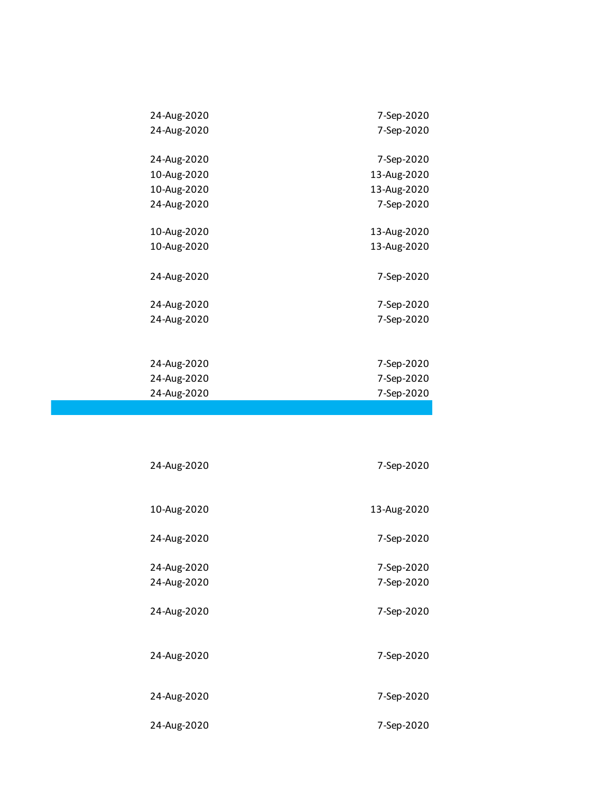| 24-Aug-2020        | 7-Sep-2020  |
|--------------------|-------------|
| 24-Aug-2020        | 7-Sep-2020  |
| 24-Aug-2020        | 7-Sep-2020  |
| 10-Aug-2020        | 13-Aug-2020 |
| 10-Aug-2020        | 13-Aug-2020 |
| 24-Aug-2020        | 7-Sep-2020  |
| 10-Aug-2020        | 13-Aug-2020 |
| 10-Aug-2020        | 13-Aug-2020 |
| 24-Aug-2020        | 7-Sep-2020  |
| 24-Aug-2020        | 7-Sep-2020  |
| 24-Aug-2020        | 7-Sep-2020  |
|                    |             |
| 24-Aug-2020        | 7-Sep-2020  |
| า <i>ก</i> …~ ากาก | 7 Can 2020. |

| 24-Aug-2020 | 7-Sep-2020 |
|-------------|------------|
| 24-Aug-2020 | 7-Sep-2020 |
|             |            |

| 24-Aug-2020                | 7-Sep-2020               |
|----------------------------|--------------------------|
| 10-Aug-2020                | 13-Aug-2020              |
| 24-Aug-2020                | 7-Sep-2020               |
| 24-Aug-2020<br>24-Aug-2020 | 7-Sep-2020<br>7-Sep-2020 |
| 24-Aug-2020                | 7-Sep-2020               |
| 24-Aug-2020                | 7-Sep-2020               |
| 24-Aug-2020                | 7-Sep-2020               |
| 24-Aug-2020                | 7-Sep-2020               |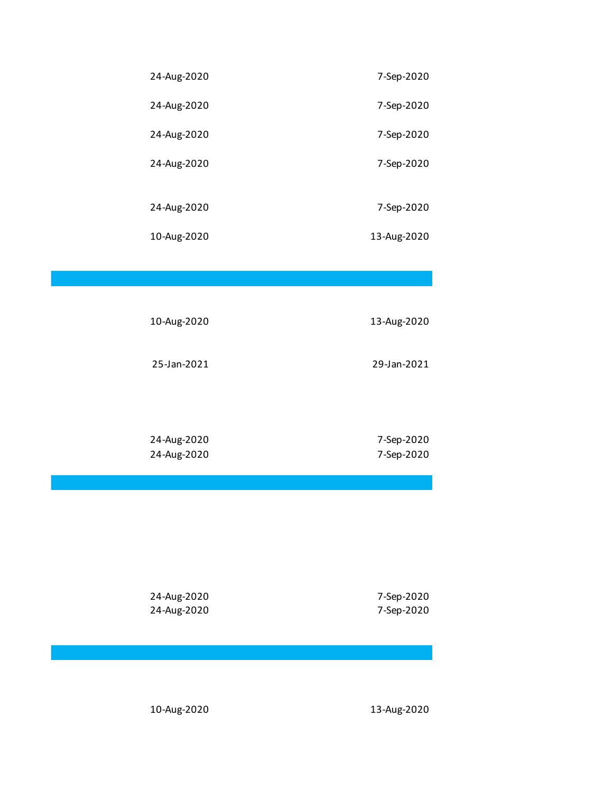| 24-Aug-2020 | 7-Sep-2020 |
|-------------|------------|
|             |            |

24-Aug-2020 7-Sep-2020

24-Aug-2020 7-Sep-2020

24-Aug-2020 7-Sep-2020

10-Aug-2020 13-Aug-2020

10-Aug-2020 13-Aug-2020

25-Jan-2021 29-Jan-2021

24-Aug-2020 7-Sep-2020

24-Aug-2020 7-Sep-2020

24-Aug-2020 7-Sep-2020 24-Aug-2020 7-Sep-2020

10-Aug-2020 13-Aug-2020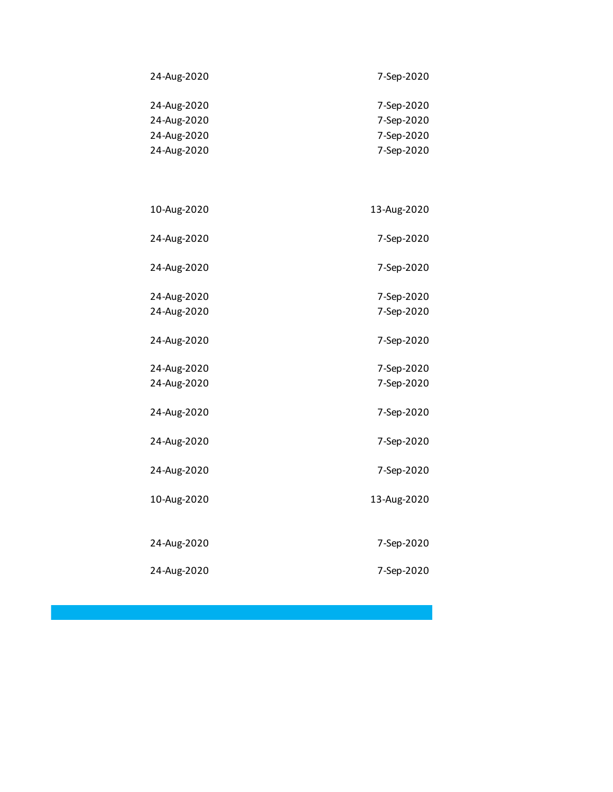| 24-Aug-2020 | 7-Sep-2020 |
|-------------|------------|
| 24-Aug-2020 | 7-Sep-2020 |
| 24-Aug-2020 | 7-Sep-2020 |
| 24-Aug-2020 | 7-Sep-2020 |
| 24-Aug-2020 | 7-Sep-2020 |
|             |            |

- 10-Aug-2020 13-Aug-2020
- 24-Aug-2020 7-Sep-2020 24-Aug-2020 7-Sep-2020
- 24-Aug-2020 7-Sep-2020 24-Aug-2020 7-Sep-2020
- 24-Aug-2020 7-Sep-2020
- 24-Aug-2020 7-Sep-2020 24-Aug-2020 7-Sep-2020
- 24-Aug-2020 7-Sep-2020
- 24-Aug-2020 7-Sep-2020
- 24-Aug-2020 7-Sep-2020
- 10-Aug-2020 13-Aug-2020
- 24-Aug-2020 7-Sep-2020
- 24-Aug-2020 7-Sep-2020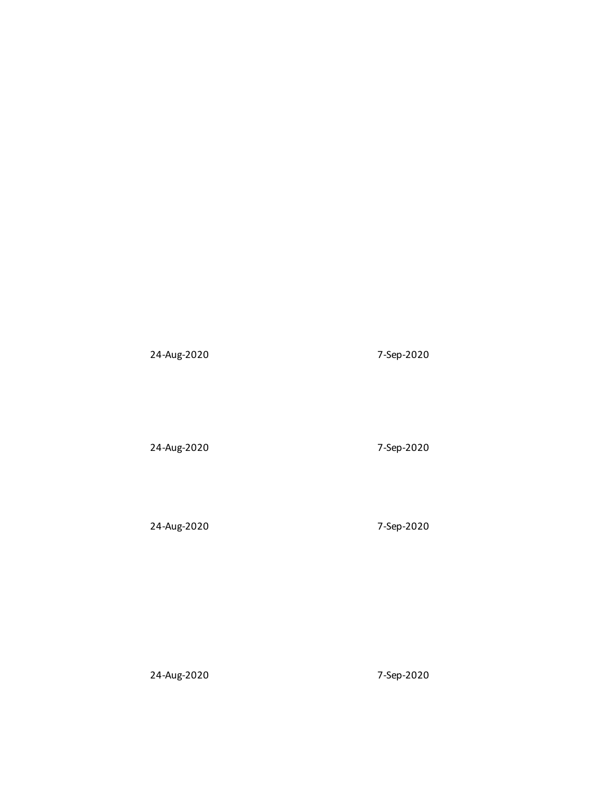24-Aug-2020 7-Sep-2020

24-Aug-2020 7-Sep-2020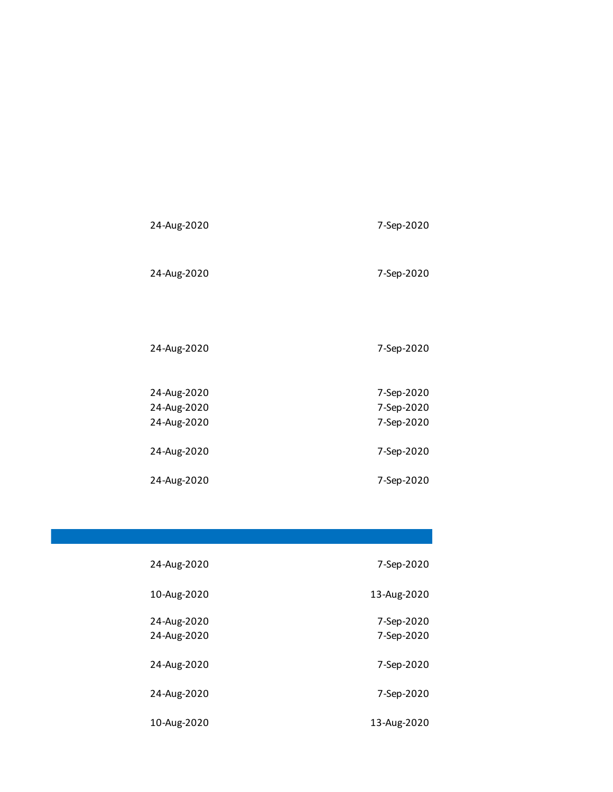| 24-Aug-2020 | 7-Sep-2020 |
|-------------|------------|
|             |            |

- 24-Aug-2020 7-Sep-2020
- 24-Aug-2020 7-Sep-2020 24-Aug-2020 7-Sep-2020 24-Aug-2020 7-Sep-2020 24-Aug-2020 7-Sep-2020 24-Aug-2020 7-Sep-2020

| 24-Aug-2020                | 7-Sep-2020               |
|----------------------------|--------------------------|
| 10-Aug-2020                | 13-Aug-2020              |
| 24-Aug-2020<br>24-Aug-2020 | 7-Sep-2020<br>7-Sep-2020 |
| 24-Aug-2020                | 7-Sep-2020               |
| 24-Aug-2020                | 7-Sep-2020               |
| 10-Aug-2020                | 13-Aug-2020              |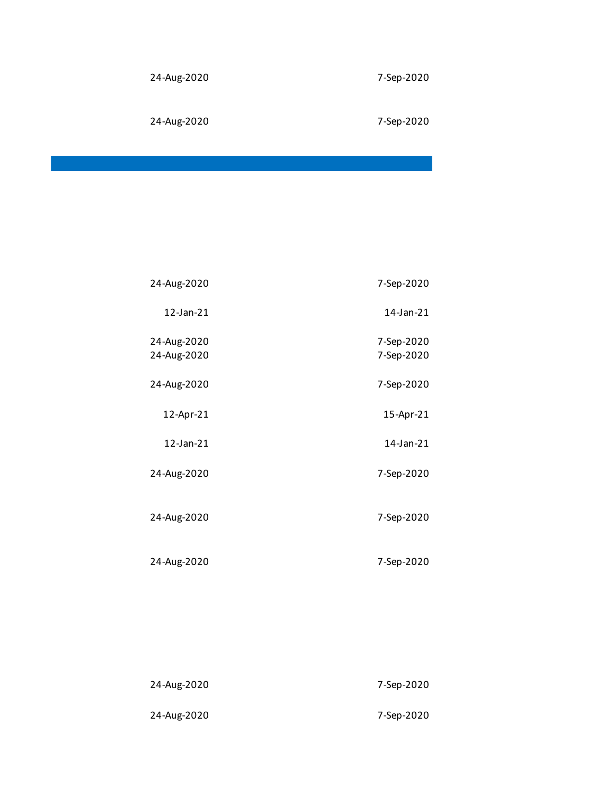| 24-Aug-2020     | 7-Sep-2020      |
|-----------------|-----------------|
| $12$ -Jan- $21$ | $14$ -Jan- $21$ |
| 24-Aug-2020     | 7-Sep-2020      |
| 24-Aug-2020     | 7-Sep-2020      |
| 24-Aug-2020     | 7-Sep-2020      |
| 12-Apr-21       | 15-Apr-21       |
| $12$ -Jan- $21$ | $14$ -Jan- $21$ |
| 24-Aug-2020     | 7-Sep-2020      |
| 24-Aug-2020     | 7-Sep-2020      |
| 24-Aug-2020     | 7-Sep-2020      |

24-Aug-2020 7-Sep-2020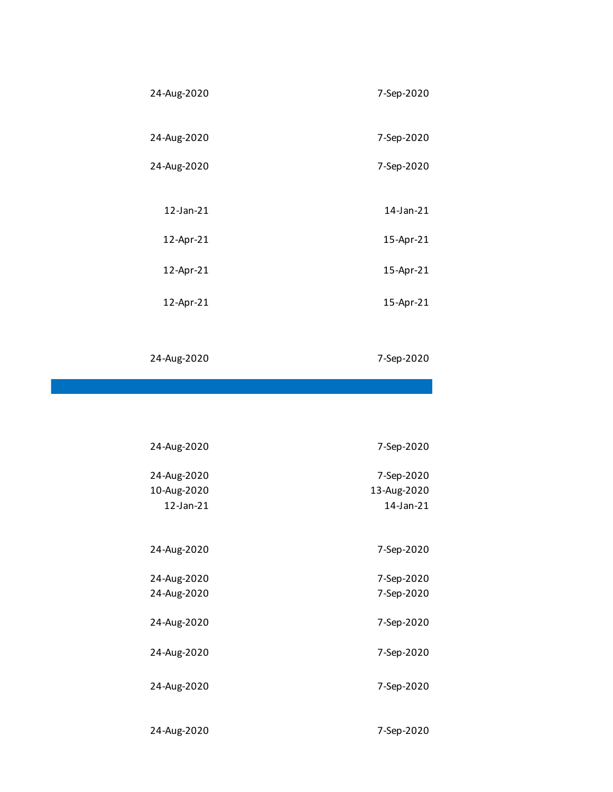| 7-Sep-2020      | 24-Aug-2020     |
|-----------------|-----------------|
| 7-Sep-2020      | 24-Aug-2020     |
| 7-Sep-2020      | 24-Aug-2020     |
|                 |                 |
| $14$ -Jan- $21$ | $12$ -Jan- $21$ |
| 15-Apr-21       | 12-Apr-21       |
| 15-Apr-21       | 12-Apr-21       |
| 15-Apr-21       | 12-Apr-21       |
|                 |                 |

| 24-Aug-2020 | 7-Sep-2020      |
|-------------|-----------------|
| 24-Aug-2020 | 7-Sep-2020      |
| 10-Aug-2020 | 13-Aug-2020     |
| 12-Jan-21   | $14$ -Jan- $21$ |
| 24-Aug-2020 | 7-Sep-2020      |
| 24-Aug-2020 | 7-Sep-2020      |
| 24-Aug-2020 | 7-Sep-2020      |
| 24-Aug-2020 | 7-Sep-2020      |
| 24-Aug-2020 | 7-Sep-2020      |
| 24-Aug-2020 | 7-Sep-2020      |
|             |                 |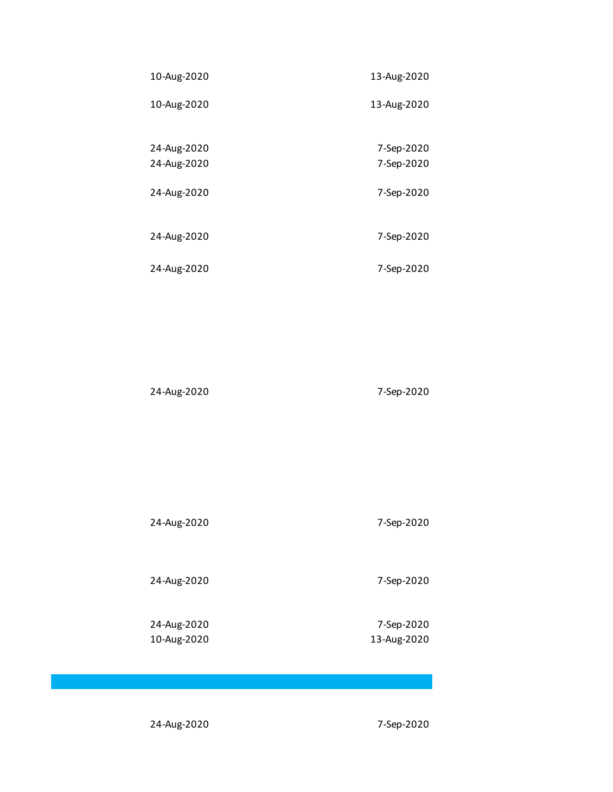| 10-Aug-2020 | 13-Aug-2020 |
|-------------|-------------|
| 10-Aug-2020 | 13-Aug-2020 |
|             |             |
| 24-Aug-2020 | 7-Sep-2020  |
| 24-Aug-2020 | 7-Sep-2020  |
| 24-Aug-2020 | 7-Sep-2020  |
| 24-Aug-2020 | 7-Sep-2020  |
| 24-Aug-2020 | 7-Sep-2020  |

24-Aug-2020 7-Sep-2020

24-Aug-2020 7-Sep-2020

24-Aug-2020 7-Sep-2020

10-Aug-2020 13-Aug-2020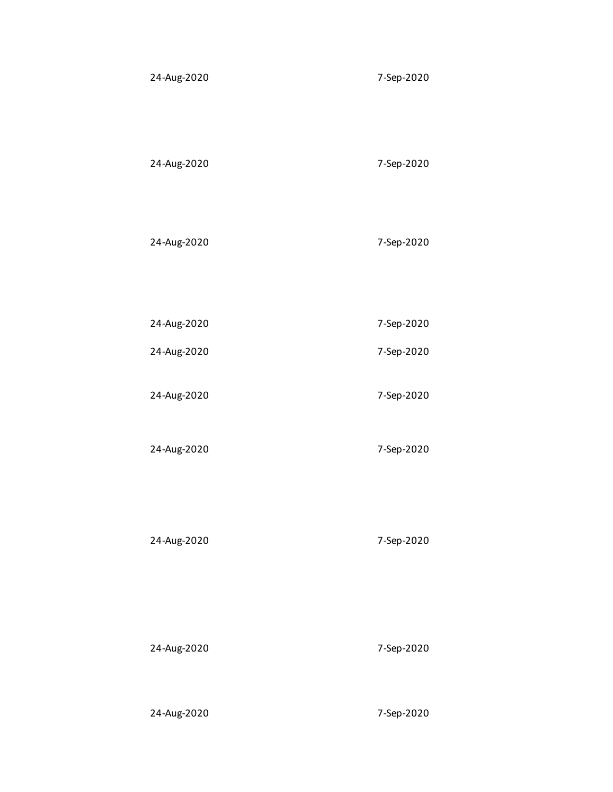24-Aug-2020 7-Sep-2020

24-Aug-2020 7-Sep-2020

24-Aug-2020 7-Sep-2020

24-Aug-2020 7-Sep-2020

24-Aug-2020 7-Sep-2020

24-Aug-2020 7-Sep-2020

24-Aug-2020 7-Sep-2020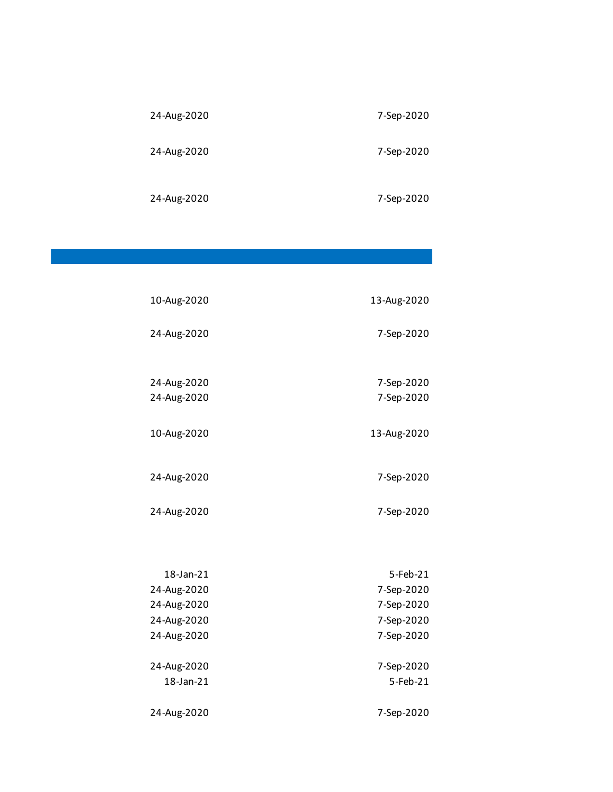| 24-Aug-2020 | 7-Sep-2020 |
|-------------|------------|
|-------------|------------|

24-Aug-2020 7-Sep-2020

10-Aug-2020 13-Aug-2020

24-Aug-2020 7-Sep-2020

24-Aug-2020 7-Sep-2020 24-Aug-2020 7-Sep-2020

10-Aug-2020 13-Aug-2020

24-Aug-2020 7-Sep-2020

| 18-Jan-21   | 5-Feb-21   |
|-------------|------------|
| 24-Aug-2020 | 7-Sep-2020 |
| 24-Aug-2020 | 7-Sep-2020 |
| 24-Aug-2020 | 7-Sep-2020 |
| 24-Aug-2020 | 7-Sep-2020 |
| 24-Aug-2020 | 7-Sep-2020 |
| 18-Jan-21   | 5-Feb-21   |
| 24-Aug-2020 | 7-Sep-2020 |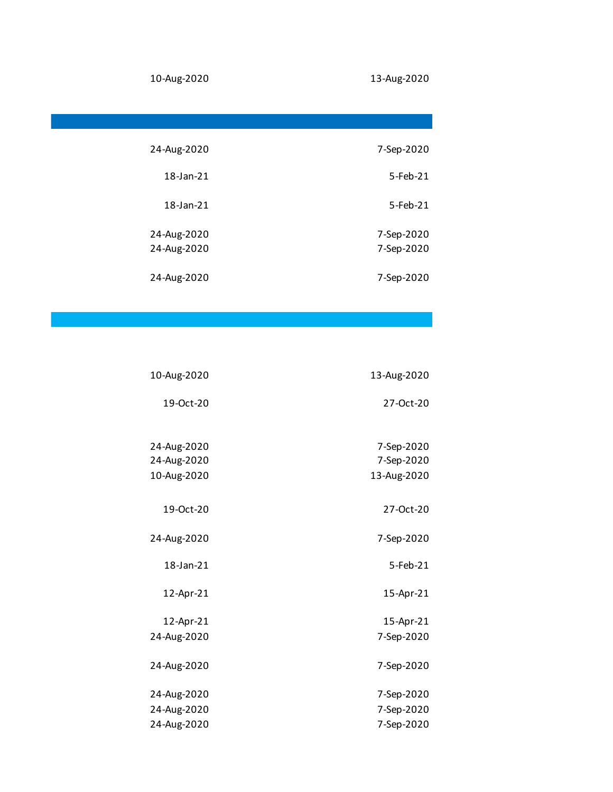| 7-Sep-2020               | 24-Aug-2020                |
|--------------------------|----------------------------|
| $5 - Feb - 21$           | $18$ -Jan- $21$            |
| 5-Feb-21                 | $18$ -Jan- $21$            |
| 7-Sep-2020<br>7-Sep-2020 | 24-Aug-2020<br>24-Aug-2020 |
| 7-Sep-2020               | 24-Aug-2020                |

| 10-Aug-2020 | 13-Aug-2020 |
|-------------|-------------|
| 19-Oct-20   | 27-Oct-20   |
| 24-Aug-2020 | 7-Sep-2020  |
| 24-Aug-2020 | 7-Sep-2020  |
| 10-Aug-2020 | 13-Aug-2020 |
| 19-Oct-20   | 27-Oct-20   |
| 24-Aug-2020 | 7-Sep-2020  |
| 18-Jan-21   | 5-Feb-21    |
| 12-Apr-21   | 15-Apr-21   |
| 12-Apr-21   | 15-Apr-21   |
| 24-Aug-2020 | 7-Sep-2020  |
| 24-Aug-2020 | 7-Sep-2020  |
| 24-Aug-2020 | 7-Sep-2020  |
| 24-Aug-2020 | 7-Sep-2020  |
| 24-Aug-2020 | 7-Sep-2020  |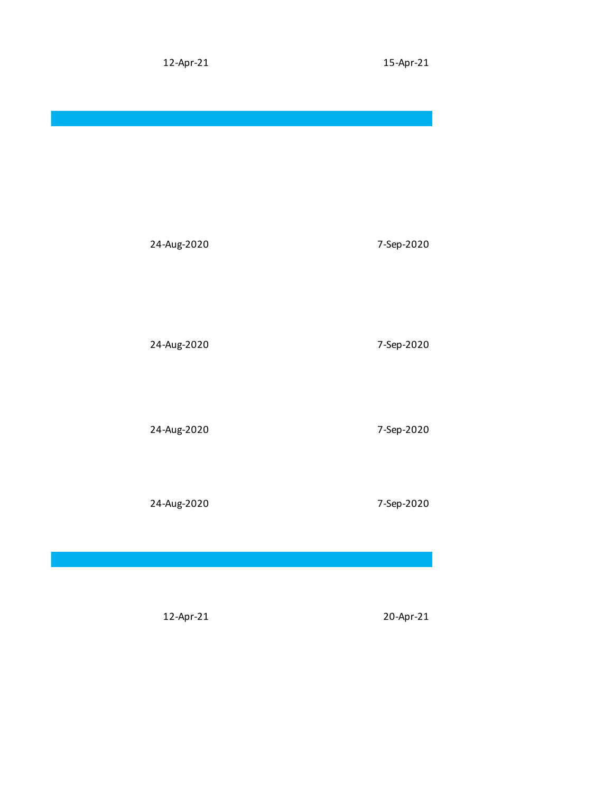24-Aug-2020 7-Sep-2020

24-Aug-2020 7-Sep-2020

24-Aug-2020 7-Sep-2020

12-Apr-21 20-Apr-21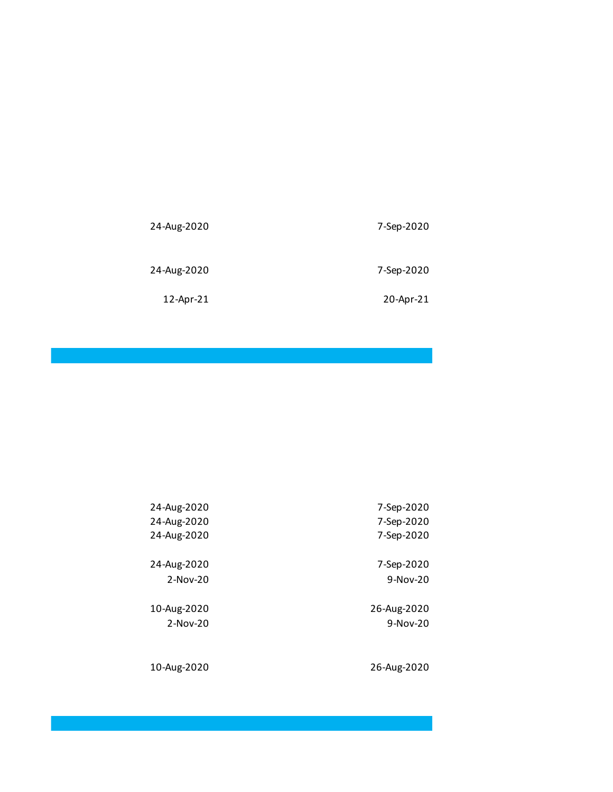24-Aug-2020 7-Sep-2020

12-Apr-21 20-Apr-21

| 24-Aug-2020 | 7-Sep-2020  |
|-------------|-------------|
| 24-Aug-2020 | 7-Sep-2020  |
| 24-Aug-2020 | 7-Sep-2020  |
| 24-Aug-2020 | 7-Sep-2020  |
| $2-Nov-20$  | 9-Nov-20    |
| 10-Aug-2020 | 26-Aug-2020 |
| $2-Nov-20$  | $9-Nov-20$  |
|             |             |
| 10-Aug-2020 | 26-Aug-2020 |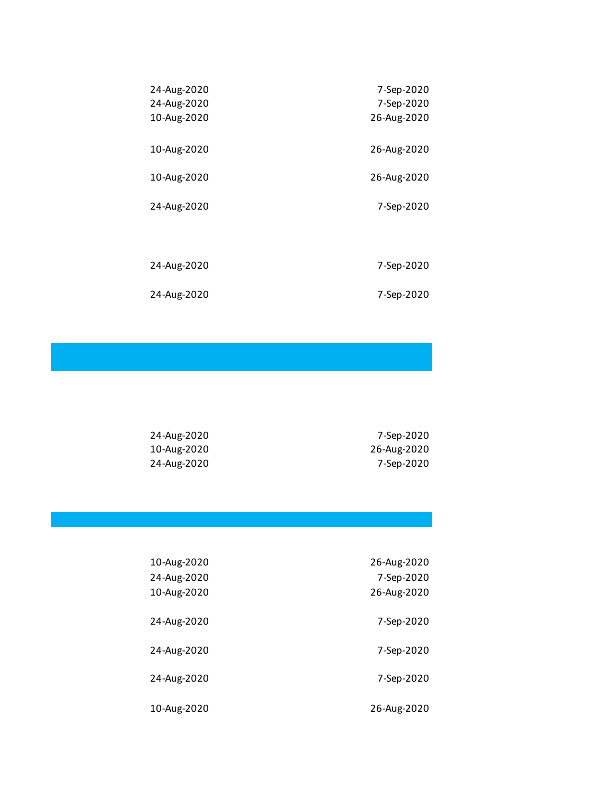| 24-Aug-2020 | 7-Sep-2020  |
|-------------|-------------|
| 24-Aug-2020 | 7-Sep-2020  |
| 10-Aug-2020 | 26-Aug-2020 |
| 10-Aug-2020 | 26-Aug-2020 |
| 10-Aug-2020 | 26-Aug-2020 |
| 24-Aug-2020 | 7-Sep-2020  |
|             |             |
| 24-Aug-2020 | 7-Sep-2020  |
| 24-Aug-2020 | 7-Sep-2020  |

| 7-Sep-2020  |
|-------------|
| 26-Aug-2020 |
| 7-Sep-2020  |

24-Aug-2020 10-Aug-2020 24-Aug-2020

| 10-Aug-2020 | 26-Aug-2020 |
|-------------|-------------|
| 24-Aug-2020 | 7-Sep-2020  |
| 10-Aug-2020 | 26-Aug-2020 |
| 24-Aug-2020 | 7-Sep-2020  |
| 24-Aug-2020 | 7-Sep-2020  |
| 24-Aug-2020 | 7-Sep-2020  |
| 10-Aug-2020 | 26-Aug-2020 |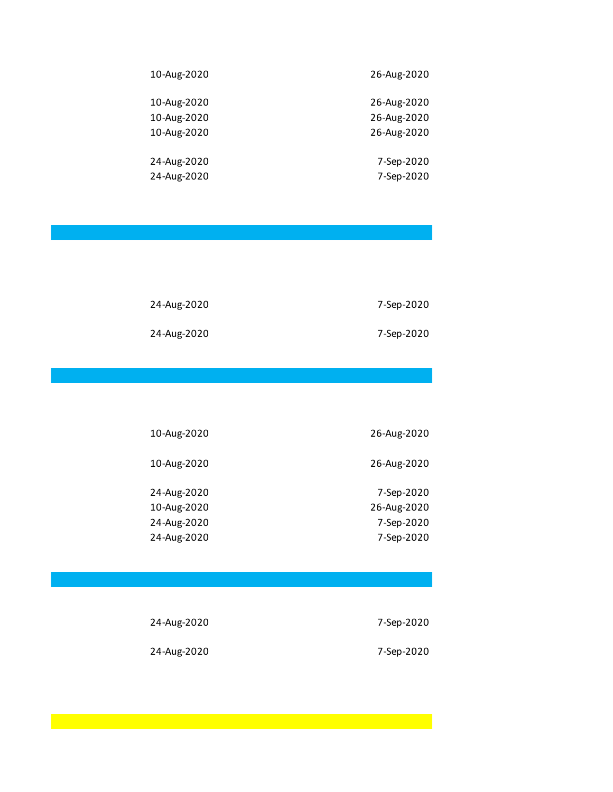| 10-Aug-2020 | 26-Aug-2020 |
|-------------|-------------|
| 10-Aug-2020 | 26-Aug-2020 |
| 10-Aug-2020 | 26-Aug-2020 |
| 10-Aug-2020 | 26-Aug-2020 |
| 24-Aug-2020 | 7-Sep-2020  |
| 24-Aug-2020 | 7-Sep-2020  |

| 24-Aug-2020 | 7-Sep-2020 |
|-------------|------------|
| 24-Aug-2020 | 7-Sep-2020 |

| 10-Aug-2020 | 26-Aug-2020 |
|-------------|-------------|
| 10-Aug-2020 | 26-Aug-2020 |
| 24-Aug-2020 | 7-Sep-2020  |
| 10-Aug-2020 | 26-Aug-2020 |
| 24-Aug-2020 | 7-Sep-2020  |
| 24-Aug-2020 | 7-Sep-2020  |

| 24-Aug-2020 | 7-Sep-2020 |
|-------------|------------|
| 24-Aug-2020 | 7-Sep-2020 |

a sa kacamatan ing Kabupatèn Kabupatèn Kabupatèn Kabupatèn Kabupatèn Kabupatèn Kabupatèn Kabupatèn Kabupatèn K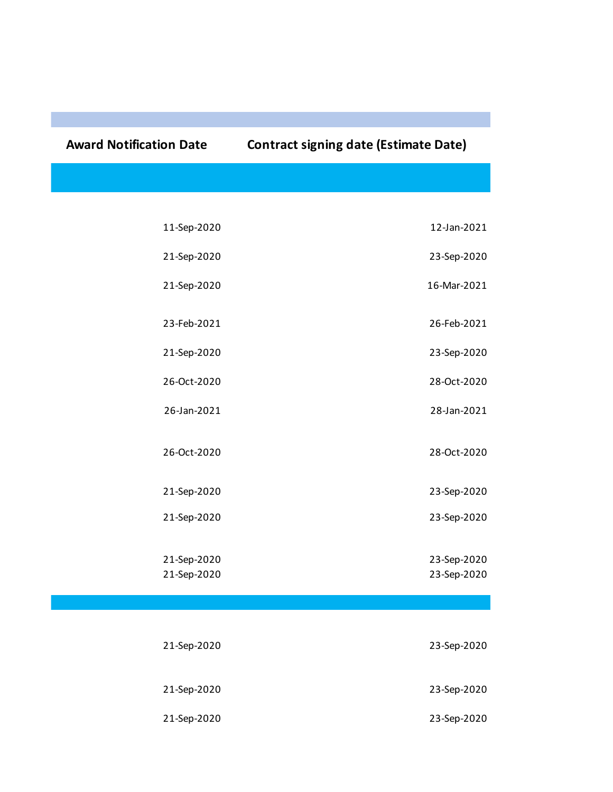## **Award Notification Date Contract signing date (Estimate Date)**

| 11-Sep-2020                | 12-Jan-2021                |
|----------------------------|----------------------------|
| 21-Sep-2020                | 23-Sep-2020                |
| 21-Sep-2020                | 16-Mar-2021                |
| 23-Feb-2021                | 26-Feb-2021                |
| 21-Sep-2020                | 23-Sep-2020                |
| 26-Oct-2020                | 28-Oct-2020                |
| 26-Jan-2021                | 28-Jan-2021                |
| 26-Oct-2020                | 28-Oct-2020                |
| 21-Sep-2020                | 23-Sep-2020                |
| 21-Sep-2020                | 23-Sep-2020                |
| 21-Sep-2020<br>21-Sep-2020 | 23-Sep-2020<br>23-Sep-2020 |
|                            |                            |
| 21-Sep-2020                | 23-Sep-2020                |
|                            |                            |

21-Sep-2020 23-Sep-2020 21-Sep-2020 23-Sep-2020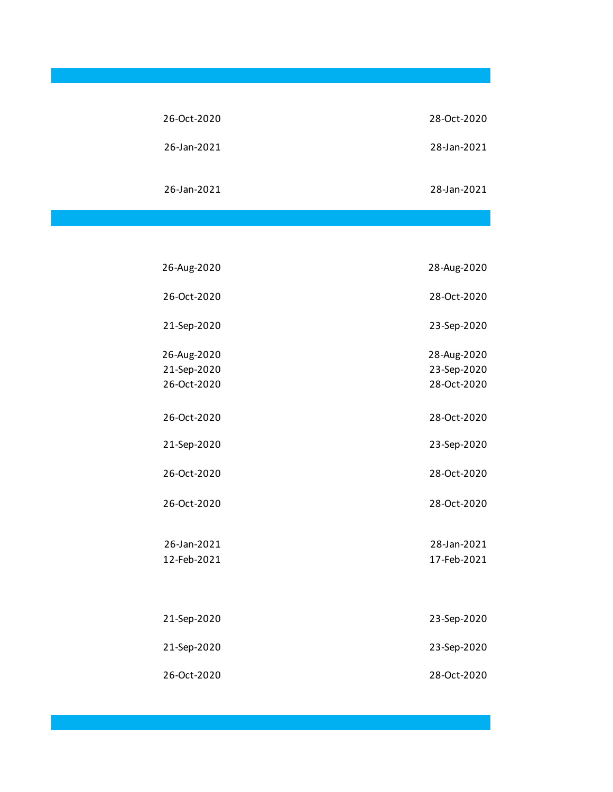| 26-Oct-2020 | 28-Oct-2020 |
|-------------|-------------|
| 26-Jan-2021 | 28-Jan-2021 |
| 26-Jan-2021 | 28-Jan-2021 |
|             |             |
| 26-Aug-2020 | 28-Aug-2020 |

| 26-Oct-2020                               | 28-Oct-2020                               |
|-------------------------------------------|-------------------------------------------|
| 21-Sep-2020                               | 23-Sep-2020                               |
| 26-Aug-2020<br>21-Sep-2020<br>26-Oct-2020 | 28-Aug-2020<br>23-Sep-2020<br>28-Oct-2020 |
|                                           |                                           |
| 26-Oct-2020                               | 28-Oct-2020                               |
| 21-Sep-2020                               | 23-Sep-2020                               |
| 26-Oct-2020                               | 28-Oct-2020                               |
| 26-Oct-2020                               | 28-Oct-2020                               |
| 26-Jan-2021<br>12-Feb-2021                | 28-Jan-2021<br>17-Feb-2021                |
|                                           |                                           |
| 21-Sep-2020                               | 23-Sep-2020                               |
| 21-Sep-2020                               | 23-Sep-2020                               |
| 26-Oct-2020                               | 28-Oct-2020                               |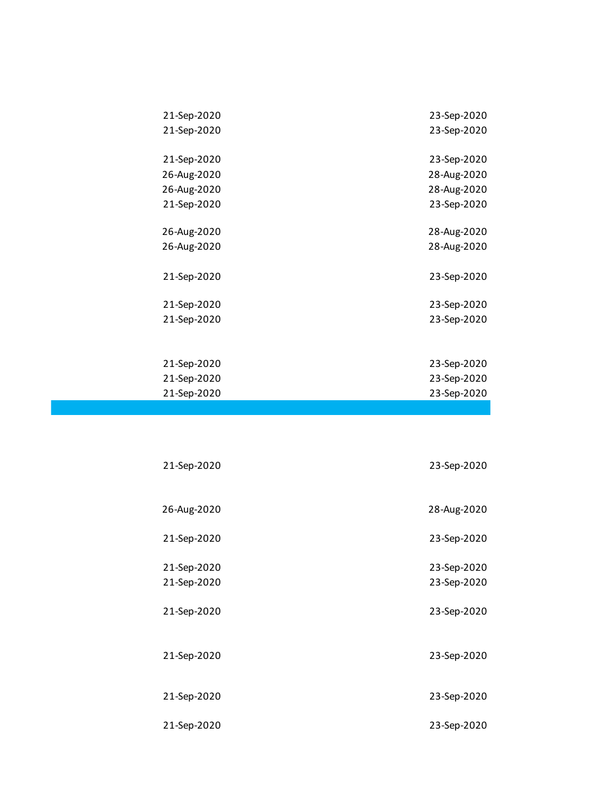| 21-Sep-2020 | 23-Sep-2020                |
|-------------|----------------------------|
| 21-Sep-2020 | 23-Sep-2020                |
|             |                            |
| 21-Sep-2020 | 23-Sep-2020                |
| 26-Aug-2020 | 28-Aug-2020                |
| 26-Aug-2020 | 28-Aug-2020                |
| 21-Sep-2020 | 23-Sep-2020                |
|             |                            |
|             | 28-Aug-2020                |
|             | 28-Aug-2020                |
| 21-Sep-2020 | 23-Sep-2020                |
| 21-Sep-2020 | 23-Sep-2020                |
| 21-Sep-2020 | 23-Sep-2020                |
|             |                            |
| 21-Sep-2020 | 23-Sep-2020                |
| 21-Sep-2020 | 23-Sep-2020                |
|             | 26-Aug-2020<br>26-Aug-2020 |

| 21-Sep-2020       | 23-Sep-2020 |
|-------------------|-------------|
| <b>LIVED LULU</b> | LU ULP LULU |

| 21-Sep-2020                | 23-Sep-2020                |
|----------------------------|----------------------------|
| 26-Aug-2020                | 28-Aug-2020                |
| 21-Sep-2020                | 23-Sep-2020                |
| 21-Sep-2020<br>21-Sep-2020 | 23-Sep-2020<br>23-Sep-2020 |
| 21-Sep-2020                | 23-Sep-2020                |
| 21-Sep-2020                | 23-Sep-2020                |
| 21-Sep-2020                | 23-Sep-2020                |
| 21-Sep-2020                | 23-Sep-2020                |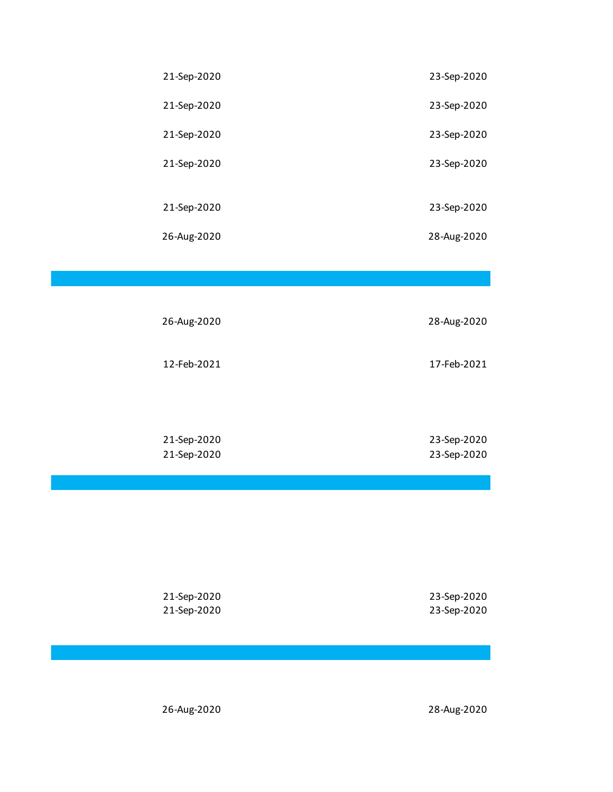| 21-Sep-2020                | 23-Sep-2020                |
|----------------------------|----------------------------|
| 21-Sep-2020                | 23-Sep-2020                |
| 21-Sep-2020                | 23-Sep-2020                |
| 21-Sep-2020                | 23-Sep-2020                |
|                            |                            |
| 21-Sep-2020                | 23-Sep-2020                |
| 26-Aug-2020                | 28-Aug-2020                |
|                            |                            |
|                            |                            |
|                            |                            |
| 26-Aug-2020                | 28-Aug-2020                |
|                            |                            |
| 12-Feb-2021                | 17-Feb-2021                |
|                            |                            |
|                            |                            |
| 21-Sep-2020<br>21-Sep-2020 | 23-Sep-2020<br>23-Sep-2020 |

| 21-Sep-2020 | 23-Sep-2020 |
|-------------|-------------|
| 21-Sep-2020 | 23-Sep-2020 |

26-Aug-2020 28-Aug-2020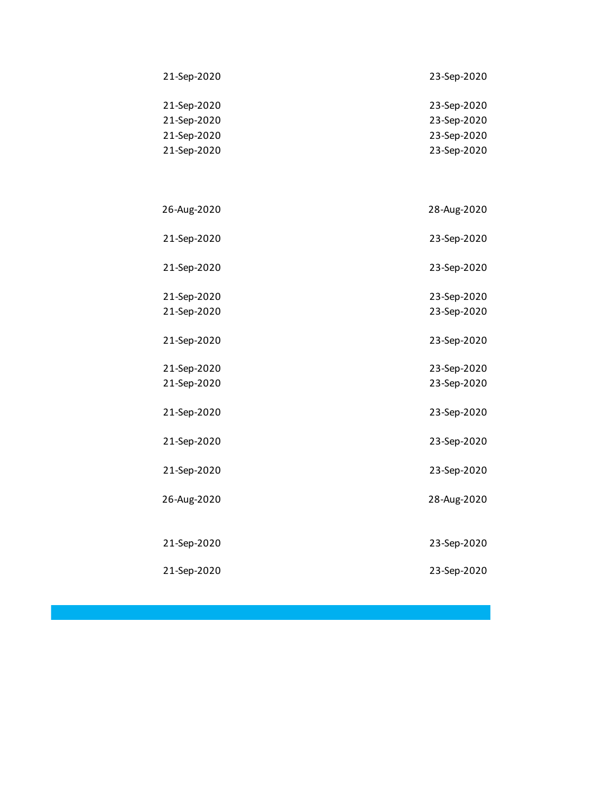| 21-Sep-2020<br>21-Sep-2020<br>21-Sep-2020<br>21-Sep-2020<br>26-Aug-2020<br>21-Sep-2020<br>21-Sep-2020<br>21-Sep-2020<br>21-Sep-2020<br>21-Sep-2020 | 23-Sep-2020<br>23-Sep-2020<br>23-Sep-2020<br>23-Sep-2020<br>28-Aug-2020<br>23-Sep-2020<br>23-Sep-2020<br>23-Sep-2020<br>23-Sep-2020<br>23-Sep-2020 |             |             |
|----------------------------------------------------------------------------------------------------------------------------------------------------|----------------------------------------------------------------------------------------------------------------------------------------------------|-------------|-------------|
|                                                                                                                                                    |                                                                                                                                                    |             |             |
|                                                                                                                                                    |                                                                                                                                                    |             |             |
|                                                                                                                                                    |                                                                                                                                                    |             |             |
|                                                                                                                                                    |                                                                                                                                                    |             |             |
|                                                                                                                                                    |                                                                                                                                                    |             |             |
|                                                                                                                                                    |                                                                                                                                                    |             |             |
|                                                                                                                                                    |                                                                                                                                                    |             |             |
|                                                                                                                                                    |                                                                                                                                                    |             |             |
|                                                                                                                                                    |                                                                                                                                                    |             |             |
|                                                                                                                                                    |                                                                                                                                                    |             |             |
|                                                                                                                                                    |                                                                                                                                                    |             |             |
| 21-Sep-2020                                                                                                                                        | 23-Sep-2020                                                                                                                                        |             |             |
| 21-Sep-2020                                                                                                                                        | 23-Sep-2020                                                                                                                                        |             |             |
| 21-Sep-2020                                                                                                                                        |                                                                                                                                                    |             |             |
| 21-Sep-2020                                                                                                                                        | 23-Sep-2020                                                                                                                                        |             |             |
|                                                                                                                                                    | 23-Sep-2020                                                                                                                                        | 21-Sep-2020 |             |
|                                                                                                                                                    | 23-Sep-2020                                                                                                                                        | 26-Aug-2020 |             |
|                                                                                                                                                    | 28-Aug-2020                                                                                                                                        |             |             |
|                                                                                                                                                    |                                                                                                                                                    |             |             |
| 21-Sep-2020                                                                                                                                        | 23-Sep-2020                                                                                                                                        | 21-Sep-2020 | 23-Sep-2020 |
|                                                                                                                                                    |                                                                                                                                                    |             |             |
|                                                                                                                                                    |                                                                                                                                                    |             |             |
|                                                                                                                                                    |                                                                                                                                                    |             |             |
|                                                                                                                                                    |                                                                                                                                                    |             |             |
|                                                                                                                                                    |                                                                                                                                                    |             |             |
|                                                                                                                                                    |                                                                                                                                                    |             |             |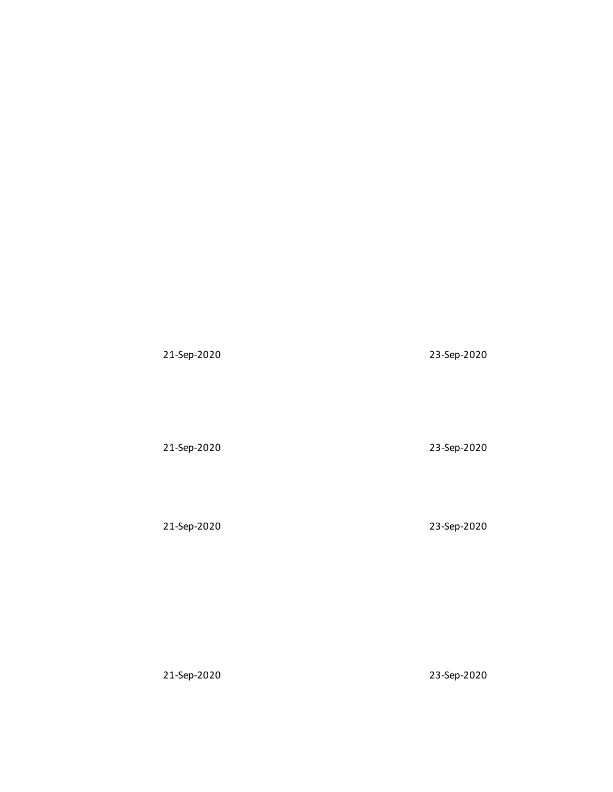21-Sep-2020 23-Sep-2020

21-Sep-2020 23-Sep-2020

21-Sep-2020 23-Sep-2020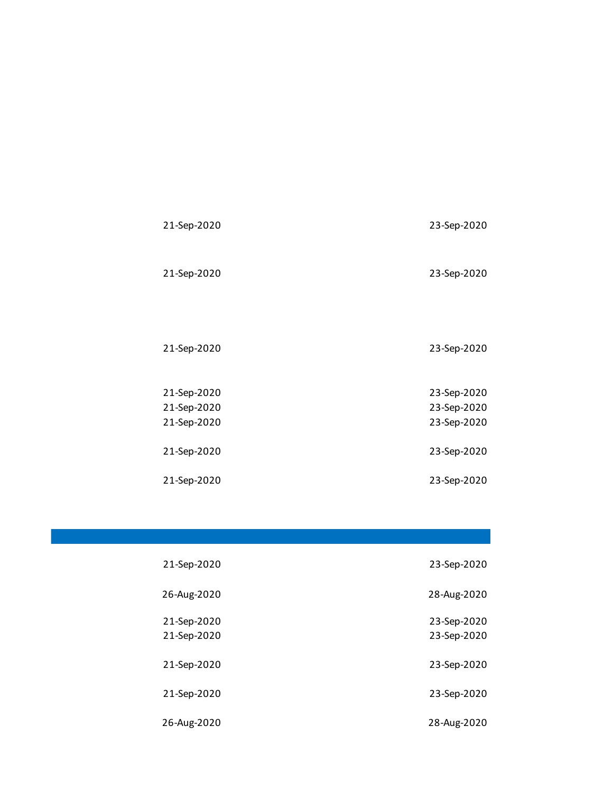| 21-Sep-2020 | 23-Sep-2020 |
|-------------|-------------|
| 21-Sep-2020 | 23-Sep-2020 |
| 21-Sep-2020 | 23-Sep-2020 |
| 21-Sep-2020 | 23-Sep-2020 |
| 21-Sep-2020 | 23-Sep-2020 |
| 21-Sep-2020 | 23-Sep-2020 |
| 21-Sep-2020 | 23-Sep-2020 |
| 21-Sep-2020 | 23-Sep-2020 |

| 21-Sep-2020                | 23-Sep-2020                |
|----------------------------|----------------------------|
| 26-Aug-2020                | 28-Aug-2020                |
| 21-Sep-2020<br>21-Sep-2020 | 23-Sep-2020<br>23-Sep-2020 |
| 21-Sep-2020                | 23-Sep-2020                |
| 21-Sep-2020                | 23-Sep-2020                |
| 26-Aug-2020                | 28-Aug-2020                |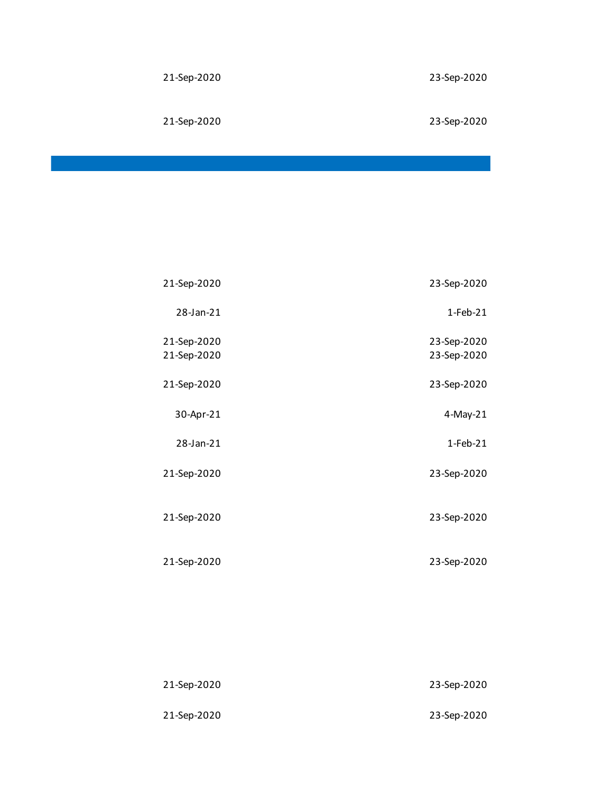| 23-Sep-2020                | 21-Sep-2020                |
|----------------------------|----------------------------|
| $1-Feb-21$                 | 28-Jan-21                  |
| 23-Sep-2020<br>23-Sep-2020 | 21-Sep-2020<br>21-Sep-2020 |
| 23-Sep-2020                | 21-Sep-2020                |
| $4$ -May-21                | 30-Apr-21                  |
| 1-Feb-21                   | 28-Jan-21                  |
| 23-Sep-2020                | 21-Sep-2020                |
| 23-Sep-2020                | 21-Sep-2020                |
| 23-Sep-2020                | 21-Sep-2020                |

| 21-Sep-2020 | 23-Sep-2020 |
|-------------|-------------|
| 21-Sep-2020 | 23-Sep-2020 |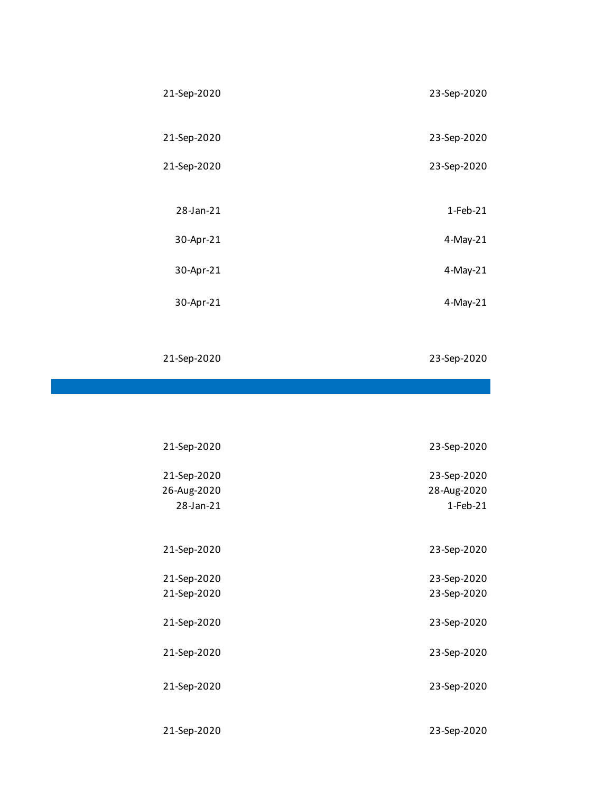| 23-Sep-2020 | 21-Sep-2020 |
|-------------|-------------|
| 23-Sep-2020 | 21-Sep-2020 |
| 23-Sep-2020 | 21-Sep-2020 |
|             |             |
| $1-Feb-21$  | 28-Jan-21   |
| 4-May-21    | 30-Apr-21   |
| 4-May-21    | 30-Apr-21   |
| 4-May-21    | 30-Apr-21   |
|             |             |

| 21-Sep-2020                             | 23-Sep-2020                              |
|-----------------------------------------|------------------------------------------|
| 21-Sep-2020<br>26-Aug-2020<br>28-Jan-21 | 23-Sep-2020<br>28-Aug-2020<br>$1-Feb-21$ |
| 21-Sep-2020                             | 23-Sep-2020                              |
| 21-Sep-2020<br>21-Sep-2020              | 23-Sep-2020<br>23-Sep-2020               |
| 21-Sep-2020                             | 23-Sep-2020                              |
| 21-Sep-2020                             | 23-Sep-2020                              |
| 21-Sep-2020                             | 23-Sep-2020                              |
|                                         |                                          |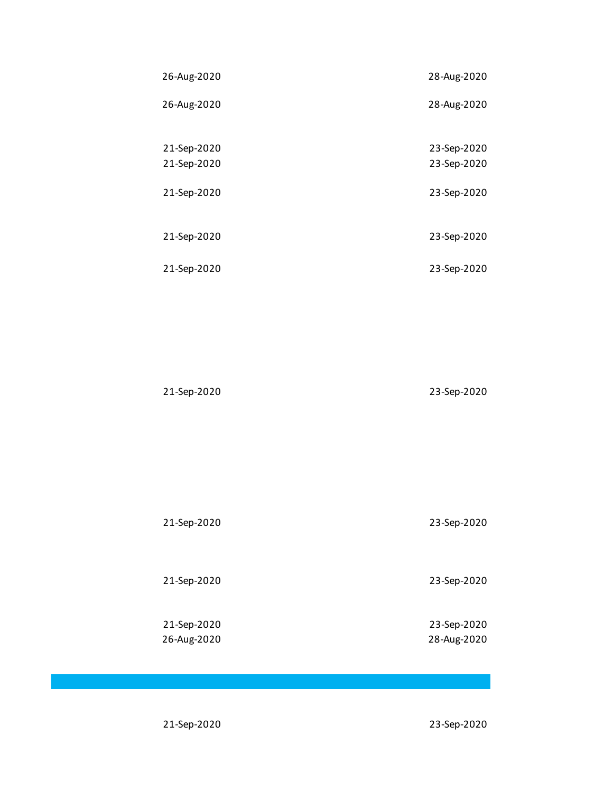| 26-Aug-2020 | 28-Aug-2020 |
|-------------|-------------|
| 26-Aug-2020 | 28-Aug-2020 |
|             |             |
| 21-Sep-2020 | 23-Sep-2020 |
| 21-Sep-2020 | 23-Sep-2020 |
| 21-Sep-2020 | 23-Sep-2020 |
|             |             |
| 21-Sep-2020 | 23-Sep-2020 |
| 21-Sep-2020 | 23-Sep-2020 |

| 21-Sep-2020 | 23-Sep-2020 |
|-------------|-------------|
|             |             |

| 21-Sep-2020                | 23-Sep-2020                |
|----------------------------|----------------------------|
| 21-Sep-2020                | 23-Sep-2020                |
| 21-Sep-2020<br>26-Aug-2020 | 23-Sep-2020<br>28-Aug-2020 |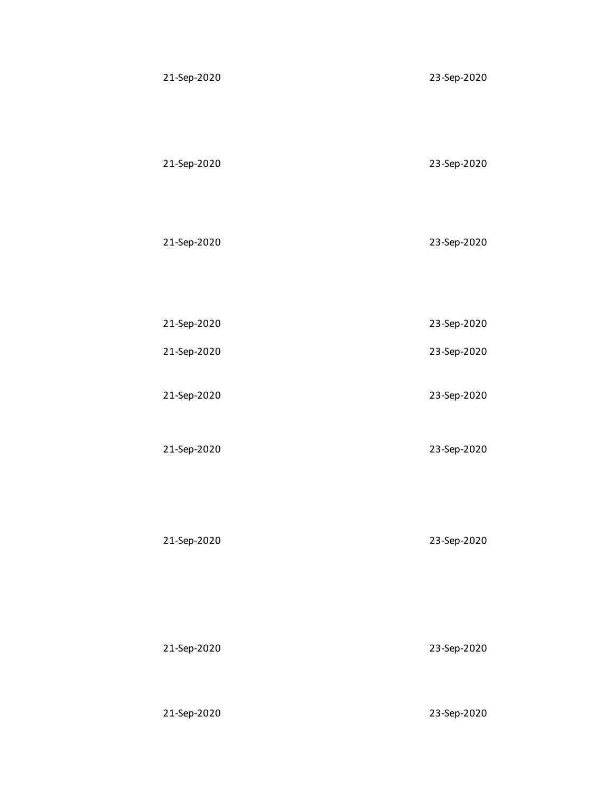| 21-Sep-2020 | 23-Sep-2020 |
|-------------|-------------|
| 21-Sep-2020 | 23-Sep-2020 |
| 21-Sep-2020 | 23-Sep-2020 |
|             |             |
| 21-Sep-2020 | 23-Sep-2020 |
| 21-Sep-2020 | 23-Sep-2020 |
| 21-Sep-2020 | 23-Sep-2020 |
| 21-Sep-2020 | 23-Sep-2020 |
| 21-Sep-2020 | 23-Sep-2020 |
| 21-Sep-2020 | 23-Sep-2020 |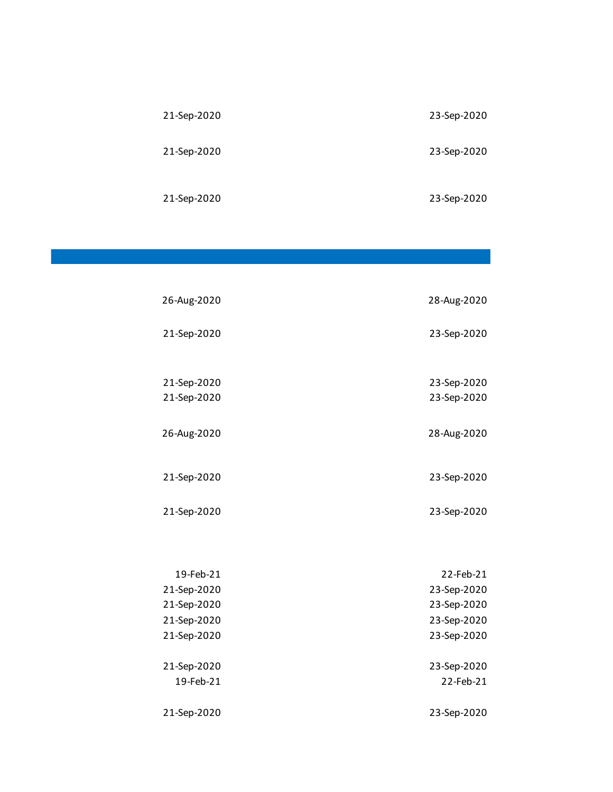| 21-Sep-2020 | 23-Sep-2020 |
|-------------|-------------|
| 21-Sep-2020 | 23-Sep-2020 |
| 21-Sep-2020 | 23-Sep-2020 |

| 26-Aug-2020 | 28-Aug-2020 |
|-------------|-------------|
| 21-Sep-2020 | 23-Sep-2020 |
| 21-Sep-2020 | 23-Sep-2020 |
| 21-Sep-2020 | 23-Sep-2020 |
| 26-Aug-2020 | 28-Aug-2020 |
| 21-Sep-2020 | 23-Sep-2020 |
| 21-Sep-2020 | 23-Sep-2020 |
|             |             |

| 19-Feb-21   | 22-Feb-21   |
|-------------|-------------|
| 21-Sep-2020 | 23-Sep-2020 |
| 21-Sep-2020 | 23-Sep-2020 |
| 21-Sep-2020 | 23-Sep-2020 |
| 21-Sep-2020 | 23-Sep-2020 |
| 21-Sep-2020 | 23-Sep-2020 |
| 19-Feb-21   | 22-Feb-21   |
| 21-Sep-2020 | 23-Sep-2020 |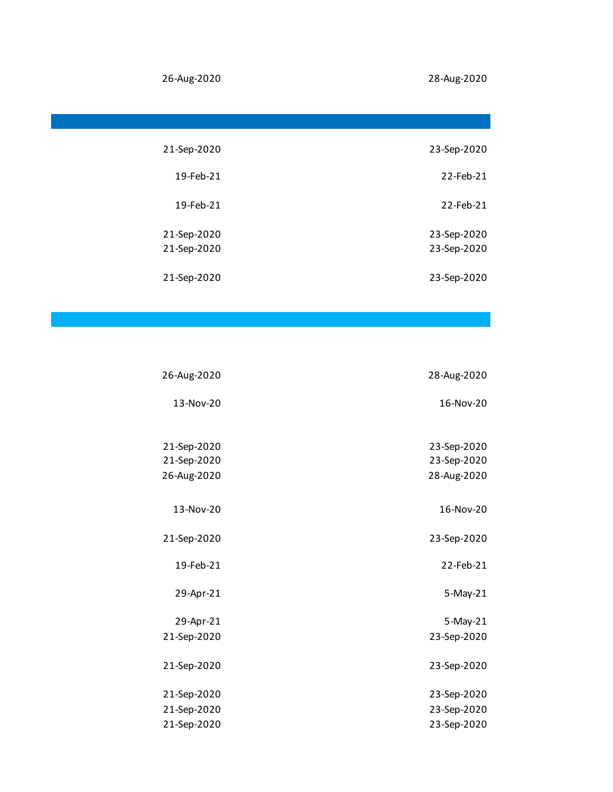| 23-Sep-2020                | 21-Sep-2020                |
|----------------------------|----------------------------|
| 22-Feb-21                  | 19-Feb-21                  |
| 22-Feb-21                  | 19-Feb-21                  |
| 23-Sep-2020<br>23-Sep-2020 | 21-Sep-2020<br>21-Sep-2020 |
| 23-Sep-2020                | 21-Sep-2020                |

| 26-Aug-2020 | 28-Aug-2020 |
|-------------|-------------|
| 13-Nov-20   | 16-Nov-20   |
| 21-Sep-2020 | 23-Sep-2020 |
| 21-Sep-2020 | 23-Sep-2020 |
| 26-Aug-2020 | 28-Aug-2020 |
| 13-Nov-20   | 16-Nov-20   |
| 21-Sep-2020 | 23-Sep-2020 |
| 19-Feb-21   | 22-Feb-21   |
| 29-Apr-21   | 5-May-21    |
| 29-Apr-21   | 5-May-21    |
| 21-Sep-2020 | 23-Sep-2020 |
| 21-Sep-2020 | 23-Sep-2020 |
| 21-Sep-2020 | 23-Sep-2020 |
| 21-Sep-2020 | 23-Sep-2020 |
| 21-Sep-2020 | 23-Sep-2020 |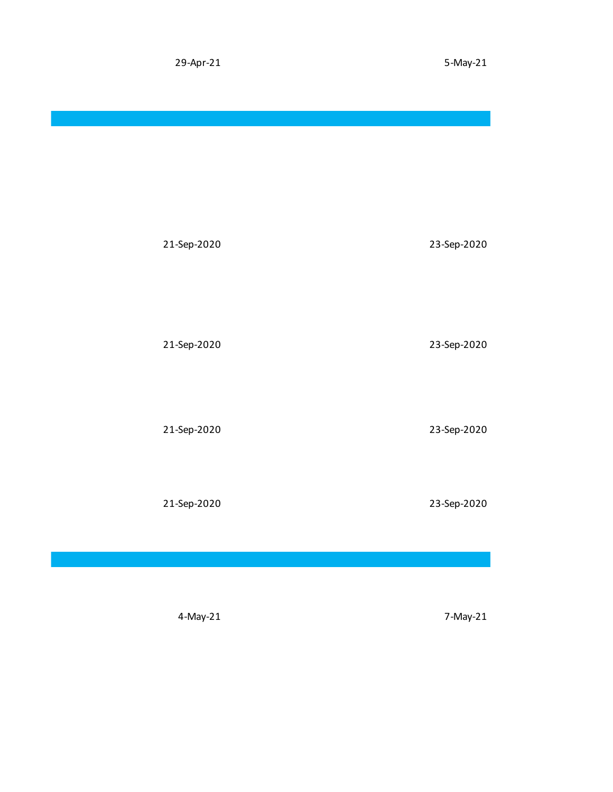21-Sep-2020 23-Sep-2020

21-Sep-2020 23-Sep-2020

21-Sep-2020 23-Sep-2020

4-May-21 7-May-21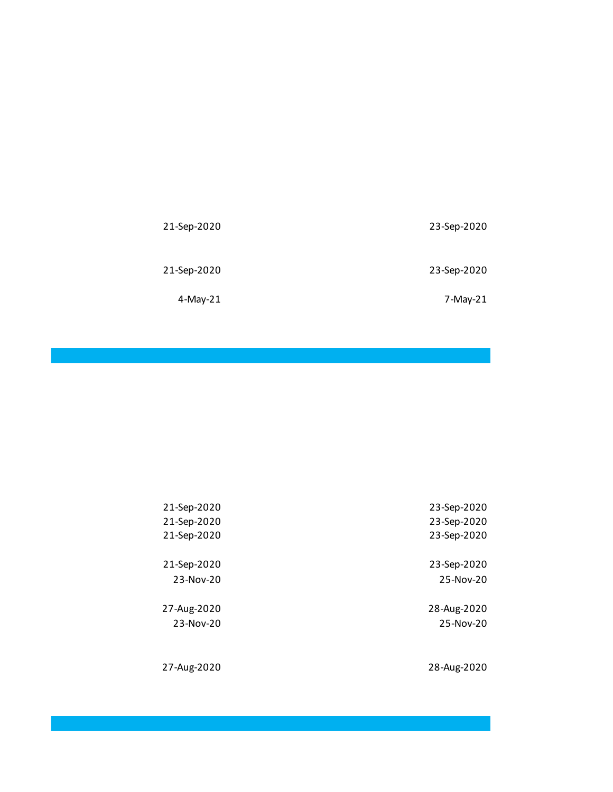| 23-Sep-2020 | 21-Sep-2020 |
|-------------|-------------|
| 23-Sep-2020 | 21-Sep-2020 |
| $7$ -May-21 | $4$ -May-21 |

| 21-Sep-2020 | 23-Sep-2020 |
|-------------|-------------|
| 21-Sep-2020 | 23-Sep-2020 |
| 21-Sep-2020 | 23-Sep-2020 |
| 21-Sep-2020 | 23-Sep-2020 |
| 23-Nov-20   | 25-Nov-20   |
|             |             |
| 27-Aug-2020 | 28-Aug-2020 |
| 23-Nov-20   | 25-Nov-20   |
|             |             |
| 27-Aug-2020 | 28-Aug-2020 |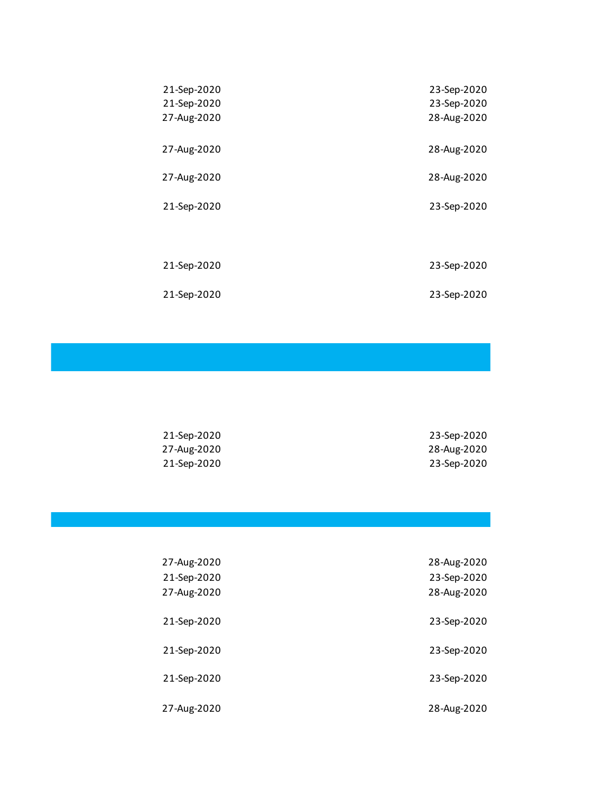| 21-Sep-2020<br>21-Sep-2020<br>27-Aug-2020 | 23-Sep-2020<br>23-Sep-2020<br>28-Aug-2020 |
|-------------------------------------------|-------------------------------------------|
| 27-Aug-2020                               | 28-Aug-2020                               |
| 27-Aug-2020                               | 28-Aug-2020                               |
| 21-Sep-2020                               | 23-Sep-2020                               |
|                                           |                                           |
| 21-Sep-2020                               | 23-Sep-2020                               |
| 21-Sep-2020                               | 23-Sep-2020                               |

| 21-Sep-2020 | 23-Sep-2020 |
|-------------|-------------|
| 27-Aug-2020 | 28-Aug-2020 |
| 21-Sep-2020 | 23-Sep-2020 |

| 27-Aug-2020 | 28-Aug-2020 |
|-------------|-------------|
| 21-Sep-2020 | 23-Sep-2020 |
| 27-Aug-2020 | 28-Aug-2020 |
| 21-Sep-2020 | 23-Sep-2020 |
| 21-Sep-2020 | 23-Sep-2020 |
| 21-Sep-2020 | 23-Sep-2020 |
| 27-Aug-2020 | 28-Aug-2020 |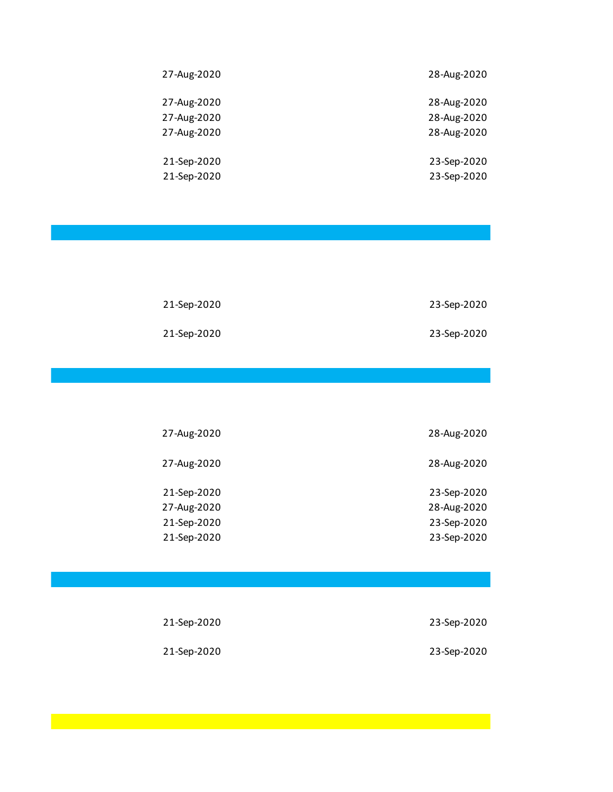| 27-Aug-2020 | 28-Aug-2020 |
|-------------|-------------|
| 27-Aug-2020 | 28-Aug-2020 |
| 27-Aug-2020 | 28-Aug-2020 |
| 27-Aug-2020 | 28-Aug-2020 |
|             |             |
| 21-Sep-2020 | 23-Sep-2020 |
| 21-Sep-2020 | 23-Sep-2020 |

| 21-Sep-2020 | 23-Sep-2020 |
|-------------|-------------|
| 21-Sep-2020 | 23-Sep-2020 |

| 27-Aug-2020 | 28-Aug-2020 |
|-------------|-------------|
| 27-Aug-2020 | 28-Aug-2020 |
| 21-Sep-2020 | 23-Sep-2020 |
| 27-Aug-2020 | 28-Aug-2020 |
| 21-Sep-2020 | 23-Sep-2020 |
| 21-Sep-2020 | 23-Sep-2020 |

| 21-Sep-2020 | 23-Sep-2020 |
|-------------|-------------|
| 21-Sep-2020 | 23-Sep-2020 |

 $\mathcal{L}(\mathcal{L}(\mathcal{L}))$  and  $\mathcal{L}(\mathcal{L}(\mathcal{L}))$  . The contribution of  $\mathcal{L}(\mathcal{L})$  is a set of  $\mathcal{L}(\mathcal{L})$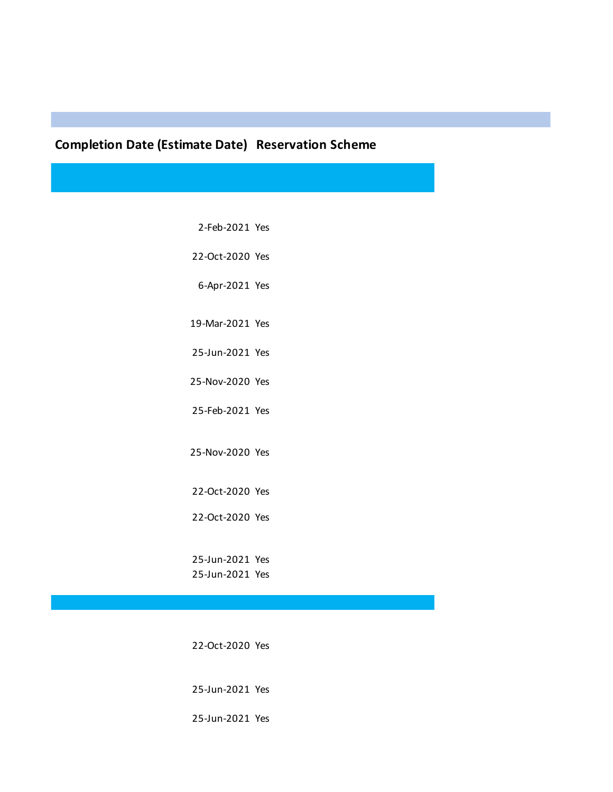## **Completion Date (Estimate Date) Reservation Scheme**

| 2-Feb-2021 Yes |  |
|----------------|--|
|----------------|--|

22-Oct-2020 Yes

6-Apr-2021 Yes

- 19-Mar-2021 Yes
- 25-Jun-2021 Yes
- 25-Nov-2020 Yes
- 25-Feb-2021 Yes
- 25-Nov-2020 Yes
- 22-Oct-2020 Yes
- 22-Oct-2020 Yes
- 25-Jun-2021 Yes 25-Jun-2021 Yes

22-Oct-2020 Yes

25-Jun-2021 Yes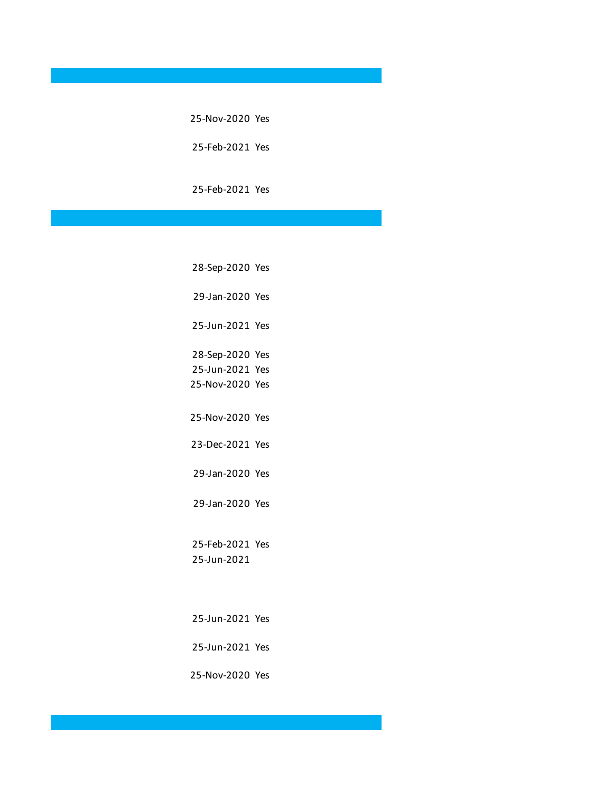25-Nov-2020 Yes

25-Feb-2021 Yes

25-Feb-2021 Yes

28-Sep-2020 Yes 29-Jan-2020 Yes 25-Jun-2021 Yes 28-Sep-2020 Yes 25-Jun-2021 Yes 25-Nov-2020 Yes 25-Nov-2020 Yes 23-Dec-2021 Yes 29-Jan-2020 Yes 29-Jan-2020 Yes 25-Feb-2021 Yes 25-Jun-2021 25-Jun-2021 Yes 25-Jun-2021 Yes 25-Nov-2020 Yes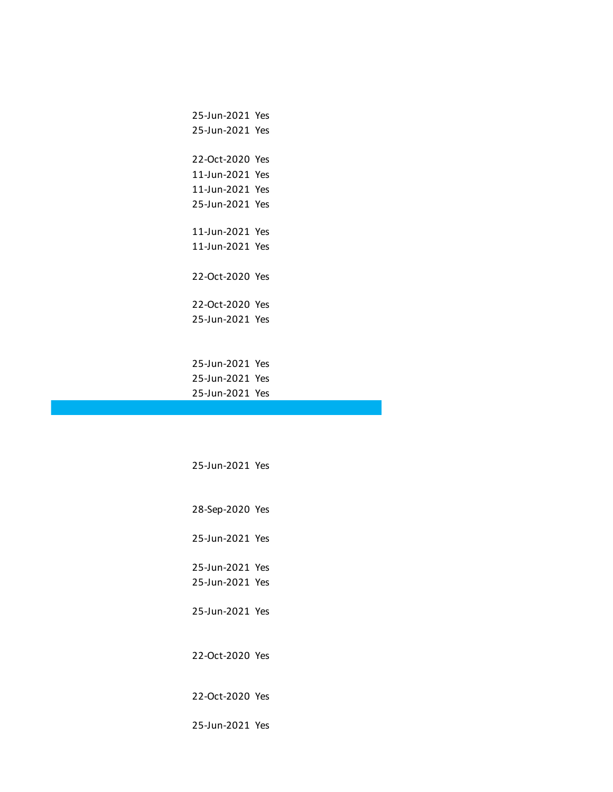| 25-Jun-2021 Yes |  |
|-----------------|--|
| 25-Jun-2021 Yes |  |
|                 |  |
| 22-Oct-2020 Yes |  |
| 11-Jun-2021 Yes |  |
| 11-Jun-2021 Yes |  |
| 25-Jun-2021 Yes |  |
|                 |  |
| 11-Jun-2021 Yes |  |
| 11-Jun-2021 Yes |  |
|                 |  |
| 22-Oct-2020 Yes |  |
|                 |  |
| 22-Oct-2020 Yes |  |
| 25-Jun-2021 Yes |  |
|                 |  |
|                 |  |
| 25-Jun-2021 Yes |  |
| 25-Jun-2021 Yes |  |

25-Jun-2021 Yes

28-Sep-2020 Yes

25-Jun-2021 Yes

25-Jun-2021 Yes 25-Jun-2021 Yes

25-Jun-2021 Yes

22-Oct-2020 Yes

22-Oct-2020 Yes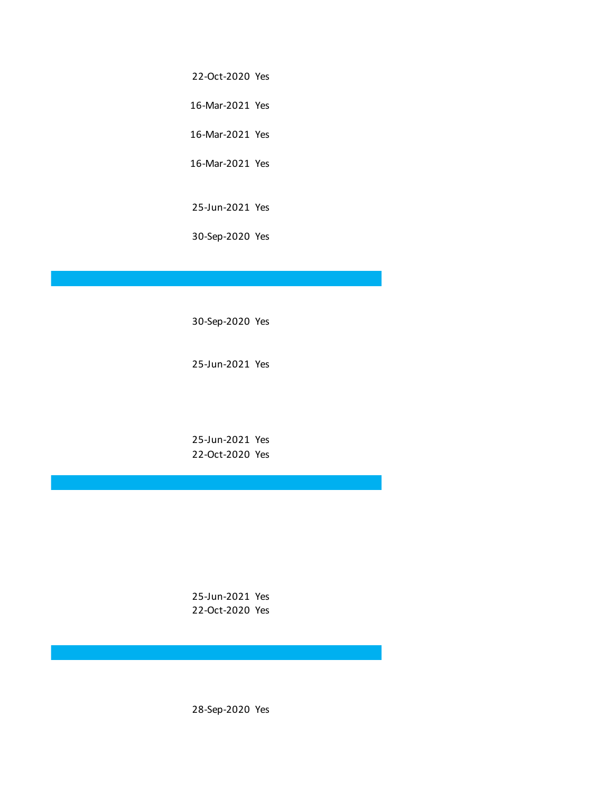22-Oct-2020 Yes

16-Mar-2021 Yes

16-Mar-2021 Yes

16-Mar-2021 Yes

25-Jun-2021 Yes

30-Sep-2020 Yes

30-Sep-2020 Yes

25-Jun-2021 Yes

25-Jun-2021 Yes 22-Oct-2020 Yes

25-Jun-2021 Yes 22-Oct-2020 Yes

28-Sep-2020 Yes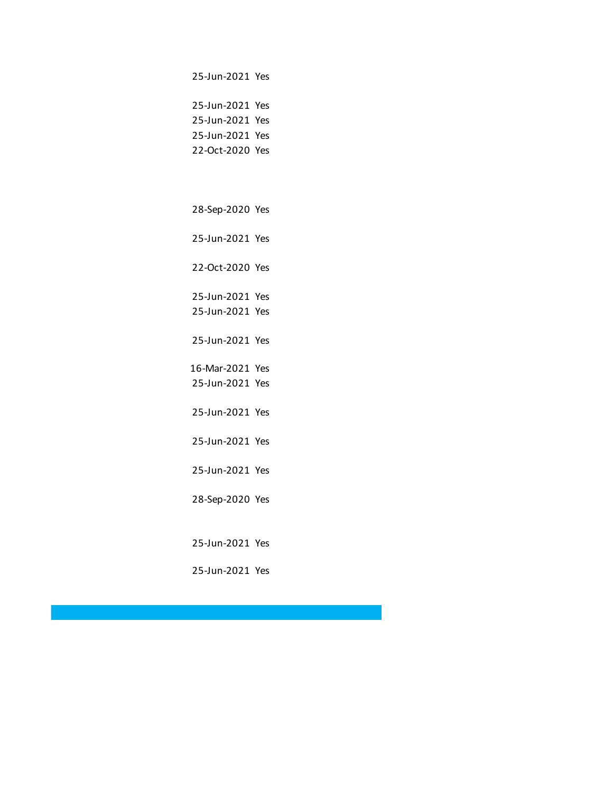25-Jun-2021 Yes 25-Jun-2021 Yes 25-Jun-2021 Yes 22-Oct-2020 Yes

28-Sep-2020 Yes

25-Jun-2021 Yes

22-Oct-2020 Yes

25-Jun-2021 Yes 25-Jun-2021 Yes

25-Jun-2021 Yes

16-Mar-2021 Yes 25-Jun-2021 Yes

25-Jun-2021 Yes

25-Jun-2021 Yes

25-Jun-2021 Yes

28-Sep-2020 Yes

25-Jun-2021 Yes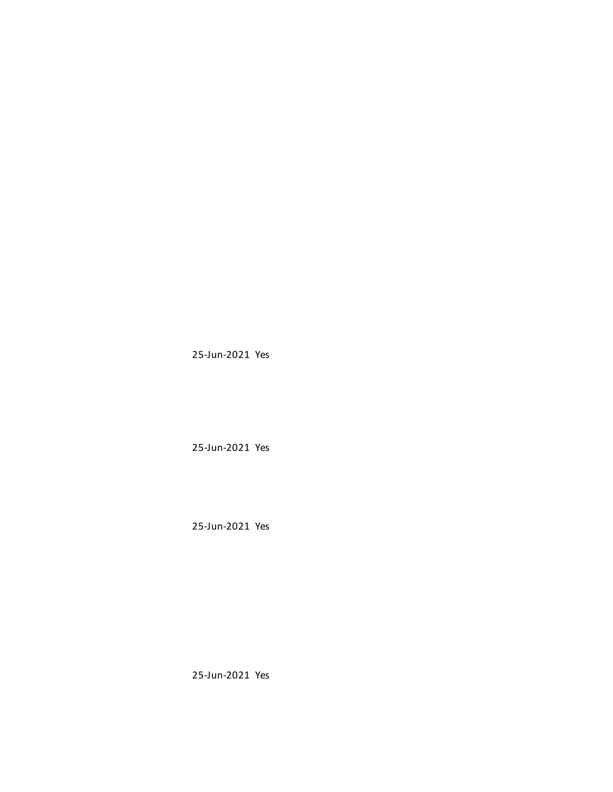25-Jun-2021 Yes

25-Jun-2021 Yes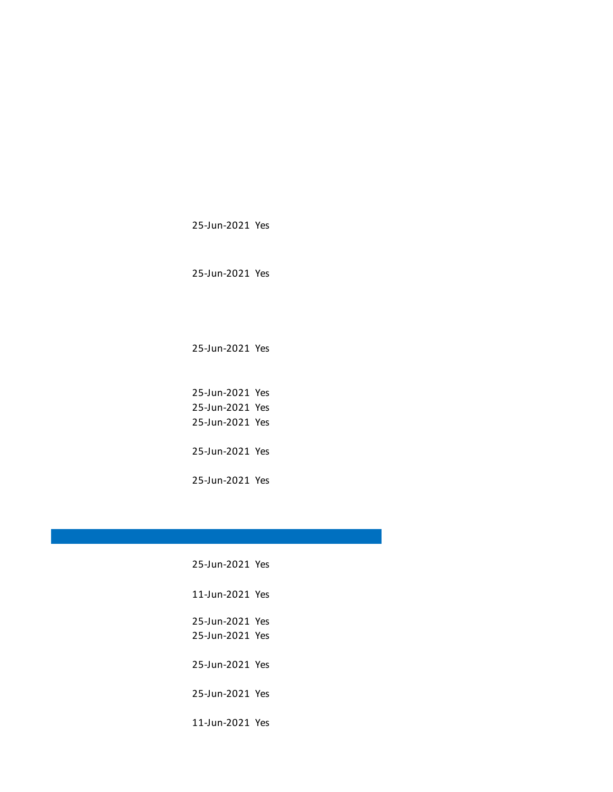## 25-Jun-2021 Yes

25-Jun-2021 Yes

25-Jun-2021 Yes 25-Jun-2021 Yes 25-Jun-2021 Yes 25-Jun-2021 Yes 25-Jun-2021 Yes

25-Jun-2021 Yes 11-Jun-2021 Yes 25-Jun-2021 Yes 25-Jun-2021 Yes 25-Jun-2021 Yes 25-Jun-2021 Yes 11-Jun-2021 Yes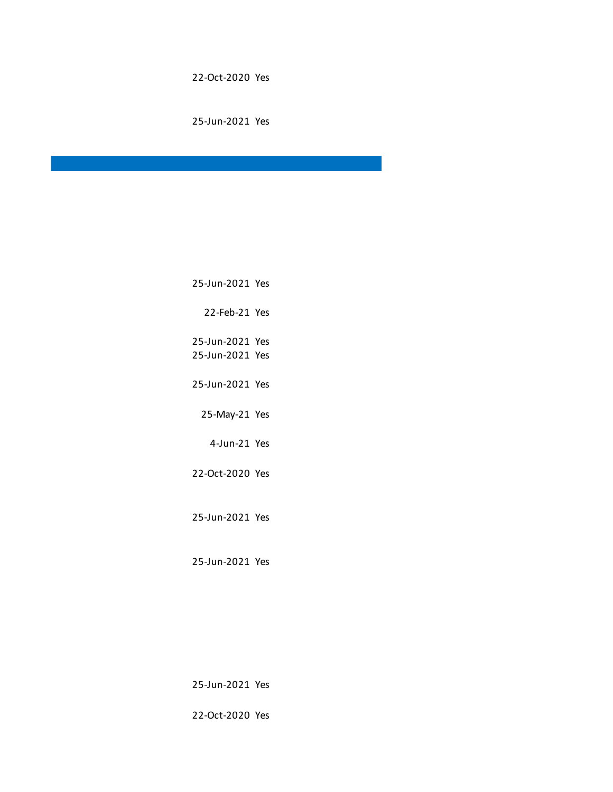22-Oct-2020 Yes

25-Jun-2021 Yes

25-Jun-2021 Yes 22-Feb-21 Yes 25-Jun-2021 Yes 25-Jun-2021 Yes 25-Jun-2021 Yes 25-May-21 Yes 4-Jun-21 Yes 22-Oct-2020 Yes 25-Jun-2021 Yes 25-Jun-2021 Yes

25-Jun-2021 Yes

22-Oct-2020 Yes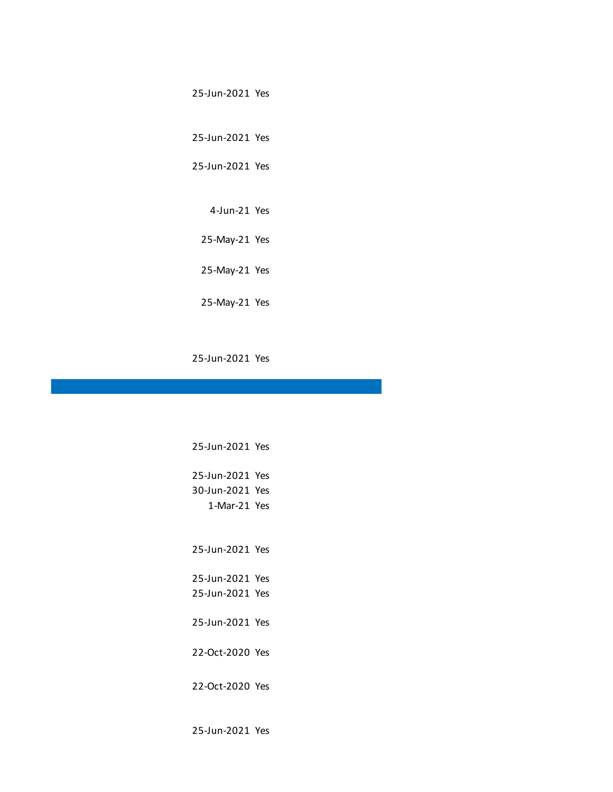25-Jun-2021 Yes

25-Jun-2021 Yes

4-Jun-21 Yes

25-May-21 Yes

25-May-21 Yes

25-May-21 Yes

25-Jun-2021 Yes

25-Jun-2021 Yes 25-Jun-2021 Yes 30-Jun-2021 Yes 1-Mar-21 Yes 25-Jun-2021 Yes 25-Jun-2021 Yes 25-Jun-2021 Yes 25-Jun-2021 Yes 22-Oct-2020 Yes 22-Oct-2020 Yes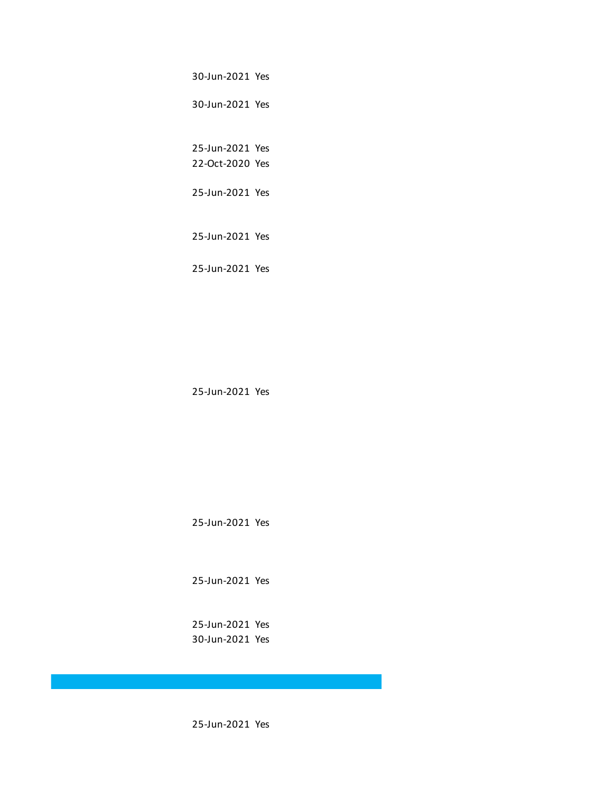30-Jun-2021 Yes

25-Jun-2021 Yes 22-Oct-2020 Yes

25-Jun-2021 Yes

25-Jun-2021 Yes

25-Jun-2021 Yes

25-Jun-2021 Yes

25-Jun-2021 Yes

25-Jun-2021 Yes

25-Jun-2021 Yes 30-Jun-2021 Yes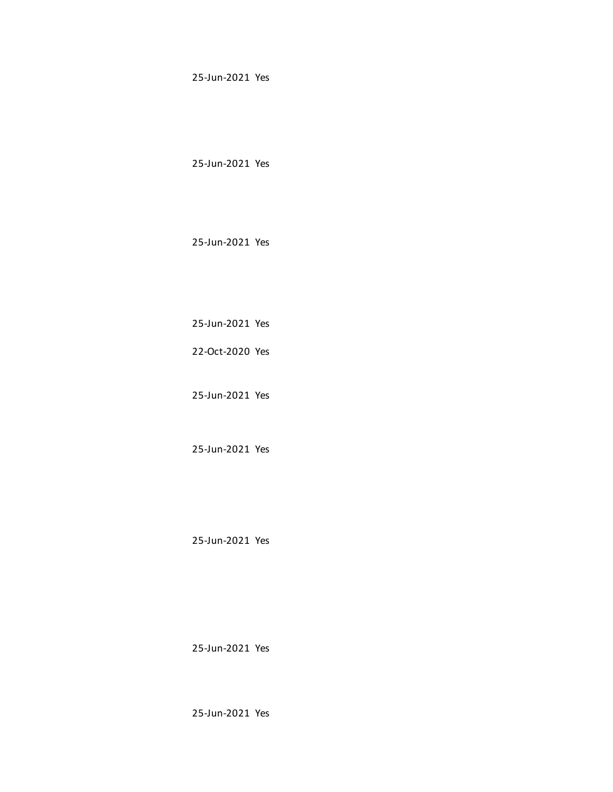25-Jun-2021 Yes

25-Jun-2021 Yes

25-Jun-2021 Yes

22-Oct-2020 Yes

25-Jun-2021 Yes

25-Jun-2021 Yes

25-Jun-2021 Yes

25-Jun-2021 Yes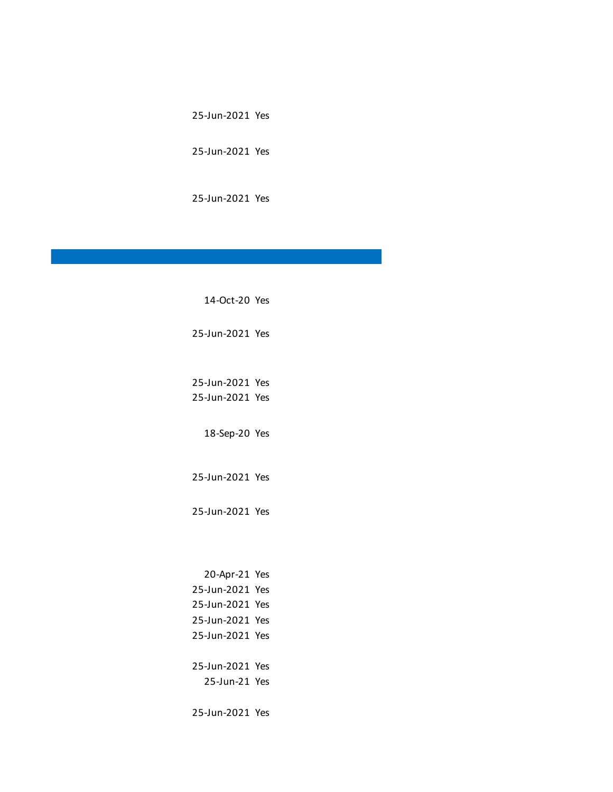25-Jun-2021 Yes

25-Jun-2021 Yes

14-Oct-20 Yes 25-Jun-2021 Yes 25-Jun-2021 Yes 25-Jun-2021 Yes 18-Sep-20 Yes 25-Jun-2021 Yes 25-Jun-2021 Yes 20-Apr-21 Yes 25-Jun-2021 Yes 25-Jun-2021 Yes 25-Jun-2021 Yes 25-Jun-2021 Yes 25-Jun-2021 Yes 25-Jun-21 Yes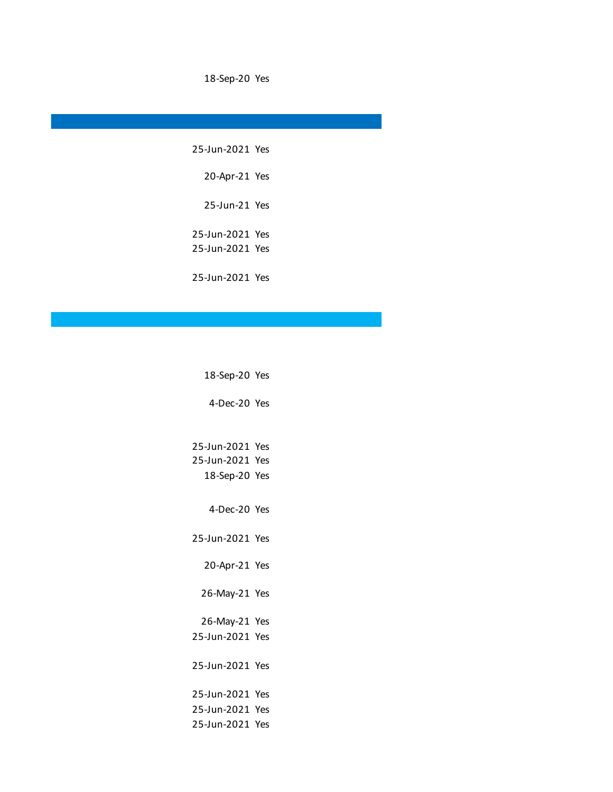18-Sep-20 Yes

25-Jun-2021 Yes 20-Apr-21 Yes 25-Jun-21 Yes 25-Jun-2021 Yes 25-Jun-2021 Yes 25-Jun-2021 Yes

| 18-Sep-20 Yes   |  |
|-----------------|--|
| 4-Dec-20 Yes    |  |
|                 |  |
| 25-Jun-2021 Yes |  |
| 25-Jun-2021 Yes |  |
| 18-Sep-20 Yes   |  |
|                 |  |
| 4-Dec-20 Yes    |  |
|                 |  |
| 25-Jun-2021 Yes |  |
|                 |  |
| 20-Apr-21 Yes   |  |
| 26-May-21 Yes   |  |
|                 |  |
| 26-May-21 Yes   |  |
| 25-Jun-2021 Yes |  |
|                 |  |
| 25-Jun-2021 Yes |  |
|                 |  |
| 25-Jun-2021 Yes |  |
| 25-Jun-2021 Yes |  |
| 25-Jun-2021 Yes |  |
|                 |  |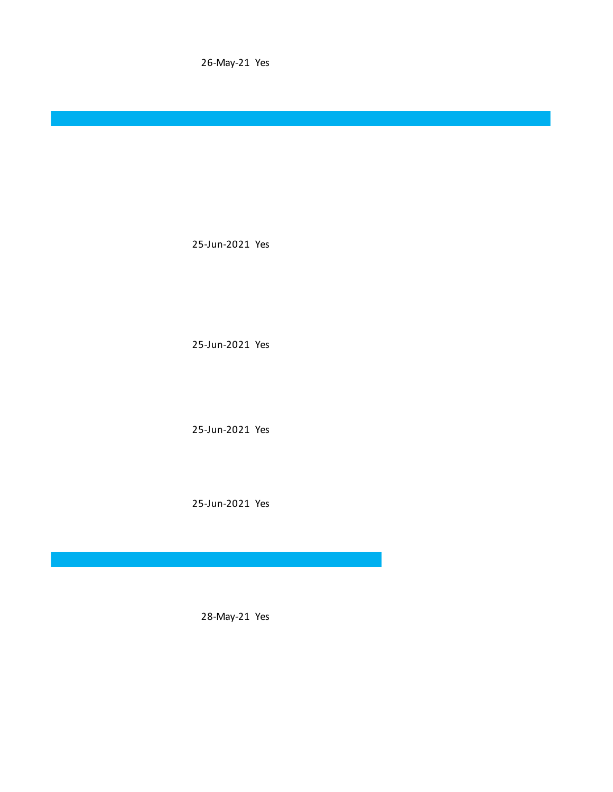26-May-21 Yes

25-Jun-2021 Yes

25-Jun-2021 Yes

25-Jun-2021 Yes

25-Jun-2021 Yes

28-May-21 Yes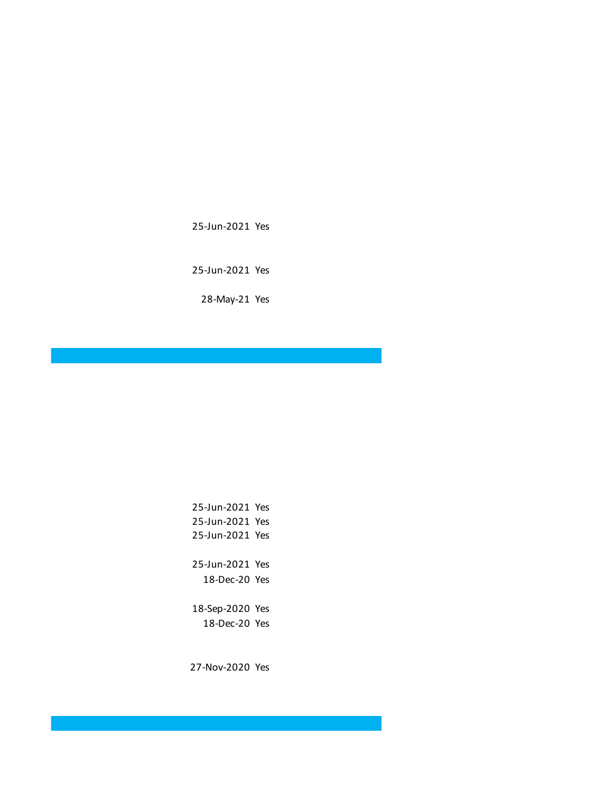25-Jun-2021 Yes

28-May-21 Yes

25-Jun-2021 Yes 25-Jun-2021 Yes 25-Jun-2021 Yes 25-Jun-2021 Yes 18-Dec-20 Yes 18-Sep-2020 Yes 18-Dec-20 Yes

27-Nov-2020 Yes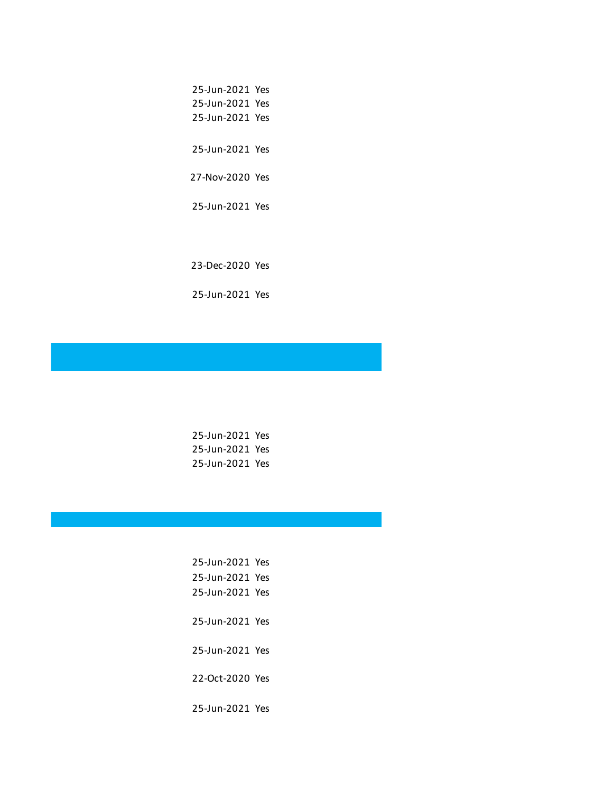| 25-Jun-2021 Yes |  |
|-----------------|--|
| 25-Jun-2021 Yes |  |
| 25-Jun-2021 Yes |  |
|                 |  |
| 25-Jun-2021 Yes |  |
|                 |  |
| 27-Nov-2020 Yes |  |
| 25-Jun-2021 Yes |  |
|                 |  |

23-Dec-2020 Yes

| 25-Jun-2021 Yes |  |
|-----------------|--|
| 25-Jun-2021 Yes |  |
| 25-Jun-2021 Yes |  |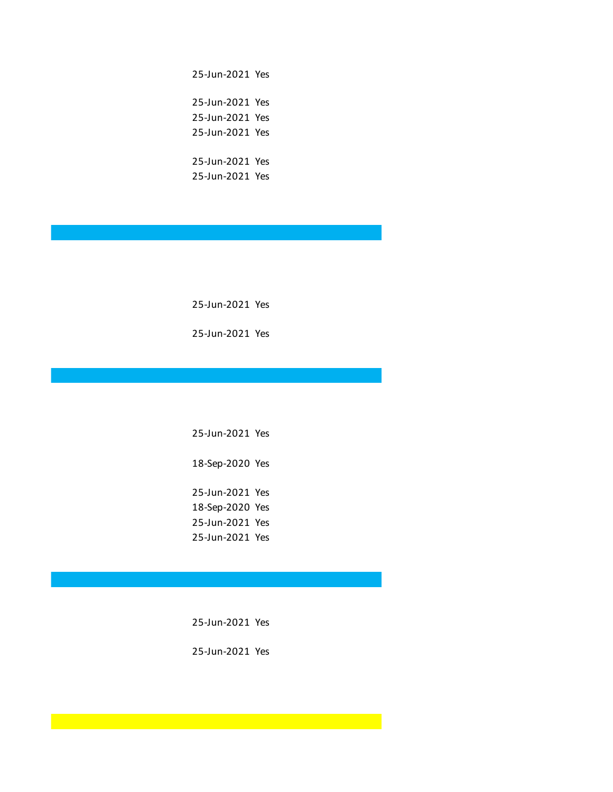25-Jun-2021 Yes 25-Jun-2021 Yes 25-Jun-2021 Yes 25-Jun-2021 Yes 25-Jun-2021 Yes 25-Jun-2021 Yes

25-Jun-2021 Yes

25-Jun-2021 Yes

25-Jun-2021 Yes 18-Sep-2020 Yes 25-Jun-2021 Yes 18-Sep-2020 Yes 25-Jun-2021 Yes 25-Jun-2021 Yes

25-Jun-2021 Yes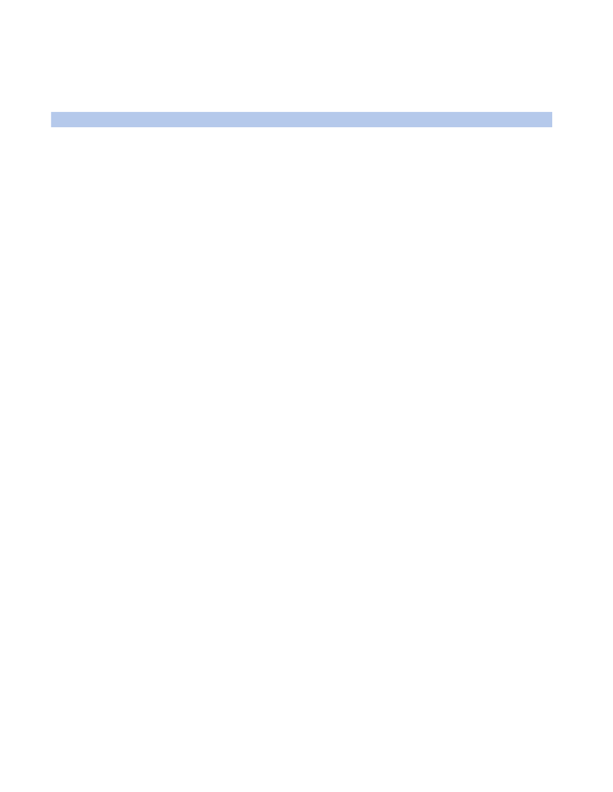and the state of the state of the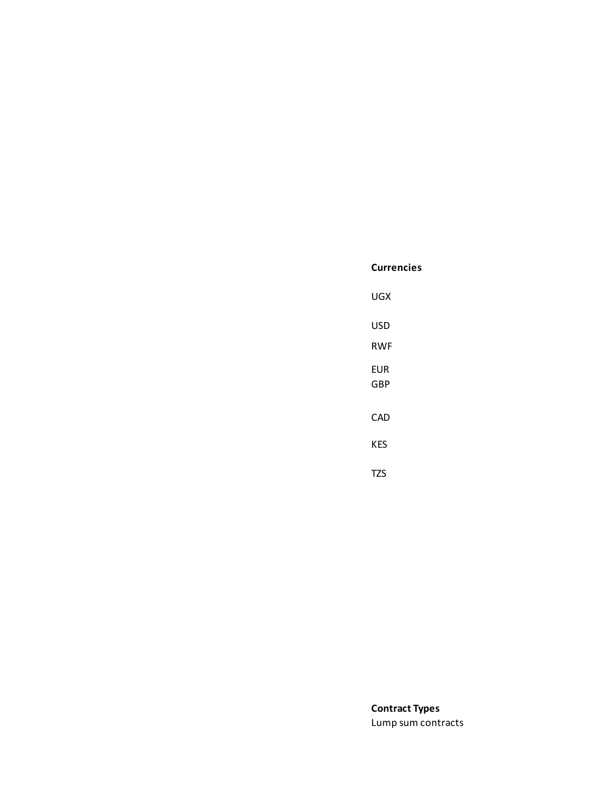| Currencies |
|------------|
| UGX        |
| USD        |
| <b>RWF</b> |
| FUR<br>GBP |
| CAD        |
| KES        |
| T7S        |

**Contract Types** Lump sum contracts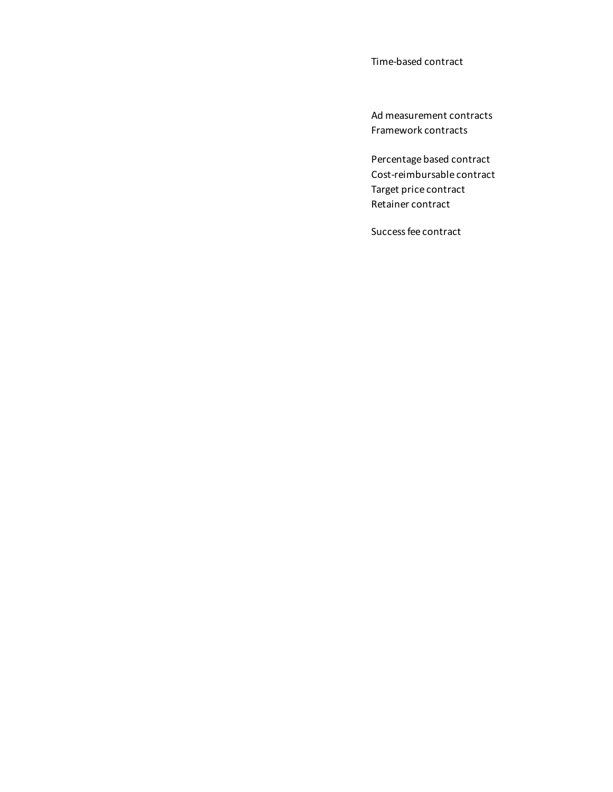Time-based contract

Ad measurement contracts Framework contracts

Percentage based contract Cost-reimbursable contract Target price contract Retainer contract

Success fee contract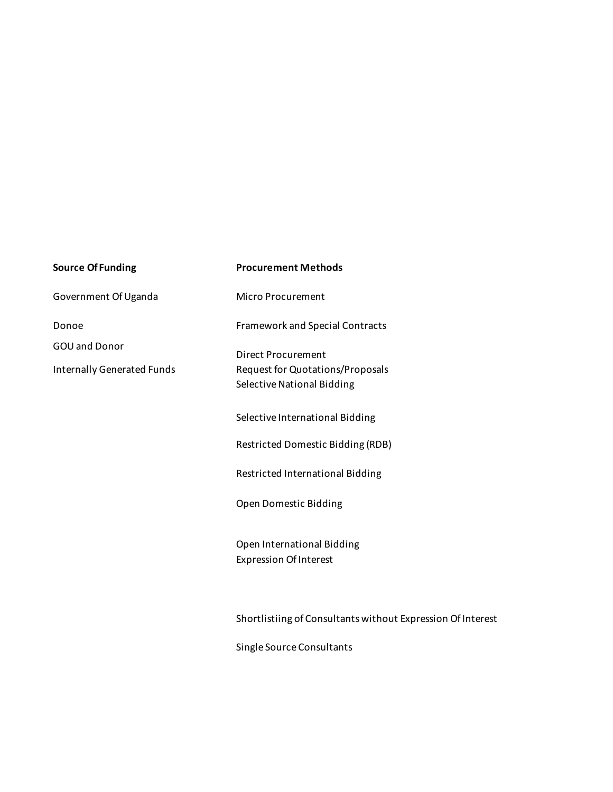## **Source Of Funding The Source Of Funding Research Procurement Methods** Government Of Uganda Micro Procurement Donoe **Framework** and Special Contracts GOU and Donor Direct Procurement Internally Generated Funds Request for Quotations/Proposals Selective National Bidding Selective International Bidding Restricted Domestic Bidding (RDB) Restricted International Bidding Open Domestic Bidding Open International Bidding Expression Of Interest Shortlistiing of Consultants without Expression Of Interest Single Source Consultants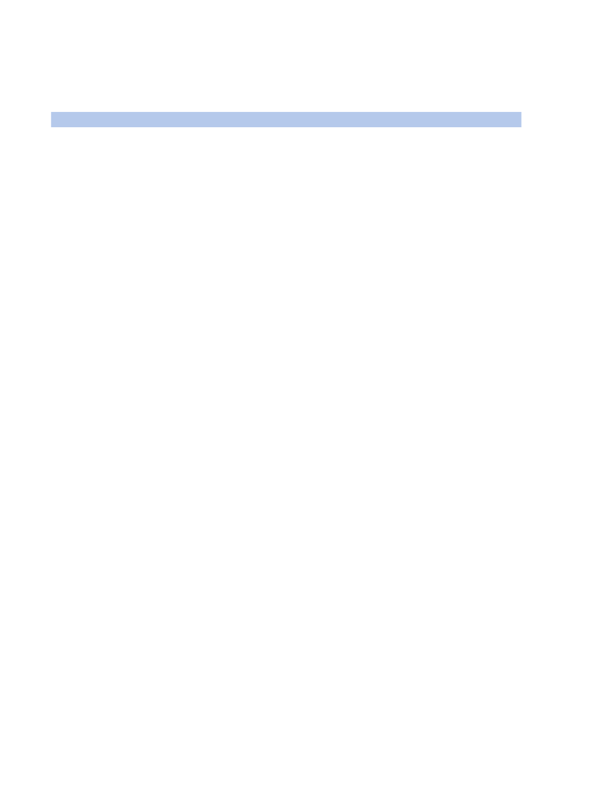a sa kacamatan ing Kabupatèn Kabupatèn Kabupatèn Kabupatèn Kabupatèn Kabupatèn Kabupatèn Kabupatèn Kabupatèn K